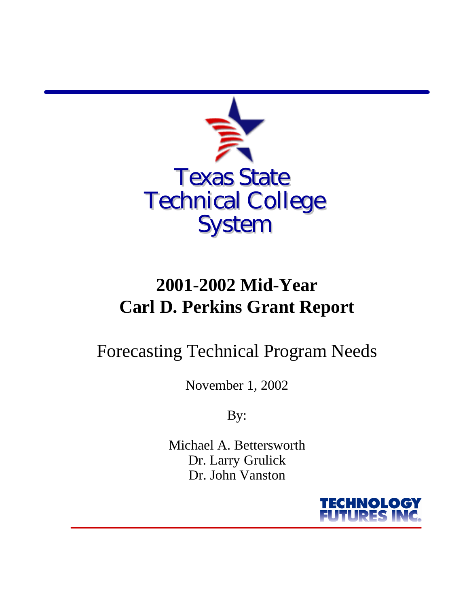

# **2001-2002 Mid-Year Carl D. Perkins Grant Report**

# Forecasting Technical Program Needs

November 1, 2002

By:

Michael A. Bettersworth Dr. Larry Grulick Dr. John Vanston

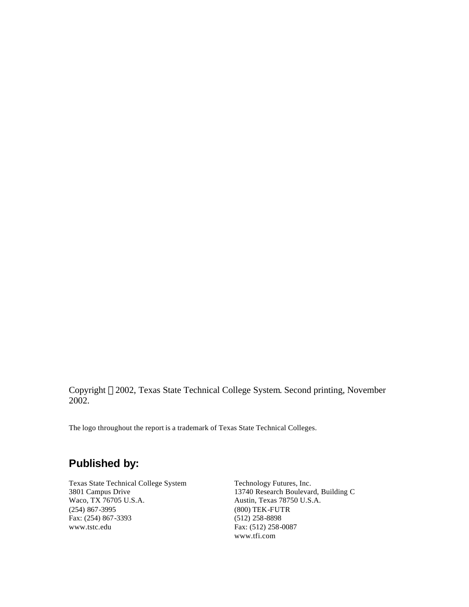Copyright 2002, Texas State Technical College System. Second printing, November 2002.

The logo throughout the report is a trademark of Texas State Technical Colleges.

## **Published by:**

Texas State Technical College System Technology Futures, Inc. Waco, TX 76705 U.S.A. Austin, Texas 78750 U.S.A. (254) 867-3995 (800) TEK-FUTR Fax: (254) 867-3393 (512) 258-8898<br>www.tstc.edu Fax: (512) 258-

3801 Campus Drive 13740 Research Boulevard, Building C Fax: (512) 258-0087 www.tfi.com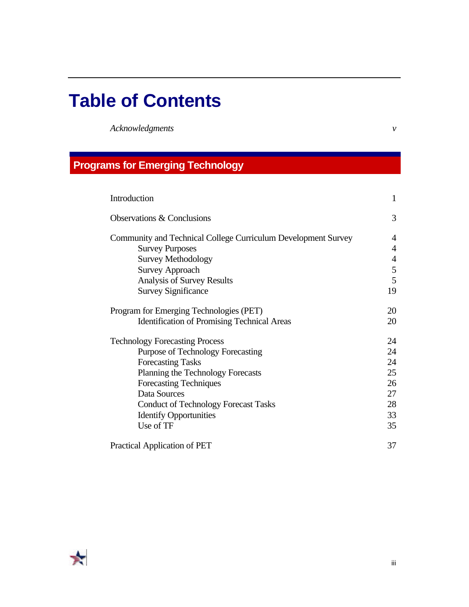# **Table of Contents**

*Acknowledgments v*

## **Programs for Emerging Technology**

| Introduction                                                  | 1              |
|---------------------------------------------------------------|----------------|
| Observations & Conclusions                                    | 3              |
| Community and Technical College Curriculum Development Survey | 4              |
| <b>Survey Purposes</b>                                        | $\overline{4}$ |
| <b>Survey Methodology</b>                                     | $\overline{4}$ |
| <b>Survey Approach</b>                                        | 5              |
| Analysis of Survey Results                                    | 5              |
| <b>Survey Significance</b>                                    | 19             |
| Program for Emerging Technologies (PET)                       | 20             |
| <b>Identification of Promising Technical Areas</b>            | 20             |
| <b>Technology Forecasting Process</b>                         | 24             |
| <b>Purpose of Technology Forecasting</b>                      | 24             |
| <b>Forecasting Tasks</b>                                      | 24             |
| Planning the Technology Forecasts                             | 25             |
| <b>Forecasting Techniques</b>                                 | 26             |
| Data Sources                                                  | 27             |
| <b>Conduct of Technology Forecast Tasks</b>                   | 28             |
| <b>Identify Opportunities</b>                                 | 33             |
| Use of TF                                                     | 35             |
| <b>Practical Application of PET</b>                           | 37             |

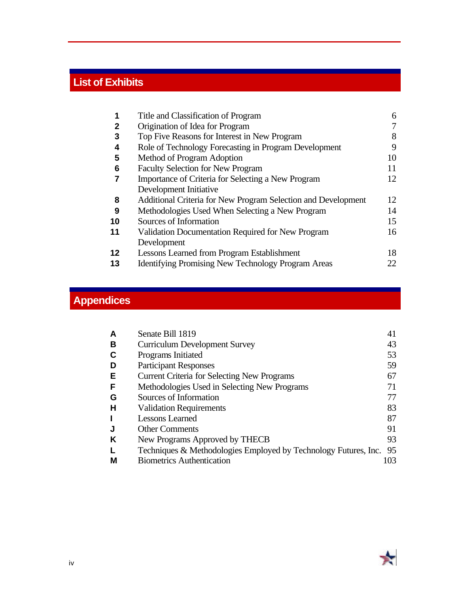# **List of Exhibits**

| 1            | Title and Classification of Program                           | 6  |
|--------------|---------------------------------------------------------------|----|
| $\mathbf{2}$ | Origination of Idea for Program                               | 7  |
| 3            | Top Five Reasons for Interest in New Program                  | 8  |
| 4            | Role of Technology Forecasting in Program Development         | 9  |
| 5            | Method of Program Adoption                                    | 10 |
| 6            | <b>Faculty Selection for New Program</b>                      | 11 |
|              | Importance of Criteria for Selecting a New Program            | 12 |
|              | Development Initiative                                        |    |
| 8            | Additional Criteria for New Program Selection and Development | 12 |
| 9            | Methodologies Used When Selecting a New Program               | 14 |
| 10           | Sources of Information                                        | 15 |
| 11           | Validation Documentation Required for New Program             | 16 |
|              | Development                                                   |    |
| 12           | <b>Lessons Learned from Program Establishment</b>             | 18 |
| 13           | <b>Identifying Promising New Technology Program Areas</b>     | 22 |

## **Appendices**

|   | Senate Bill 1819                                                | 41  |
|---|-----------------------------------------------------------------|-----|
| в | <b>Curriculum Development Survey</b>                            | 43  |
|   | Programs Initiated                                              | 53  |
|   | <b>Participant Responses</b>                                    | 59  |
| Е | <b>Current Criteria for Selecting New Programs</b>              | 67  |
| F | Methodologies Used in Selecting New Programs                    | 71  |
| G | Sources of Information                                          | 77  |
| н | <b>Validation Requirements</b>                                  | 83  |
|   | <b>Lessons Learned</b>                                          | 87  |
|   | <b>Other Comments</b>                                           | 91  |
| κ | New Programs Approved by THECB                                  | 93  |
|   | Techniques & Methodologies Employed by Technology Futures, Inc. | 95  |
| М | <b>Biometrics Authentication</b>                                | 103 |

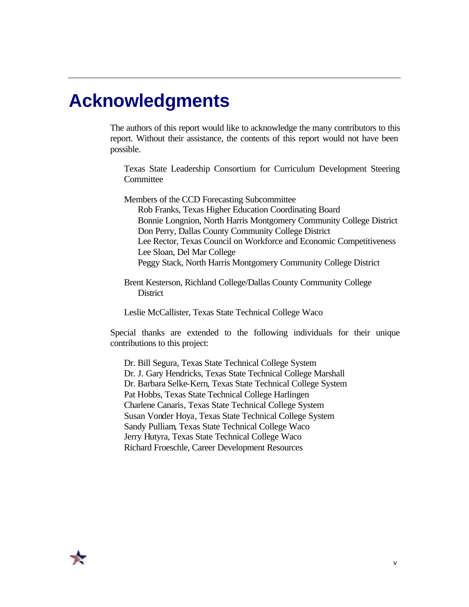# **Acknowledgments**

The authors of this report would like to acknowledge the many contributors to this report. Without their assistance, the contents of this report would not have been possible.

Texas State Leadership Consortium for Curriculum Development Steering **Committee** 

Members of the CCD Forecasting Subcommittee Rob Franks, Texas Higher Education Coordinating Board Bonnie Longnion, North Harris Montgomery Community College District Don Perry, Dallas County Community College District Lee Rector, Texas Council on Workforce and Economic Competitiveness Lee Sloan, Del Mar College Peggy Stack, North Harris Montgomery Community College District

Brent Kesterson, Richland College/Dallas County Community College **District** 

Leslie McCallister, Texas State Technical College Waco

Special thanks are extended to the following individuals for their unique contributions to this project:

Dr. Bill Segura, Texas State Technical College System Dr. J. Gary Hendricks, Texas State Technical College Marshall Dr. Barbara Selke-Kern, Texas State Technical College System Pat Hobbs, Texas State Technical College Harlingen Charlene Canaris, Texas State Technical College System Susan Vonder Hoya, Texas State Technical College System Sandy Pulliam, Texas State Technical College Waco Jerry Hutyra, Texas State Technical College Waco Richard Froeschle, Career Development Resources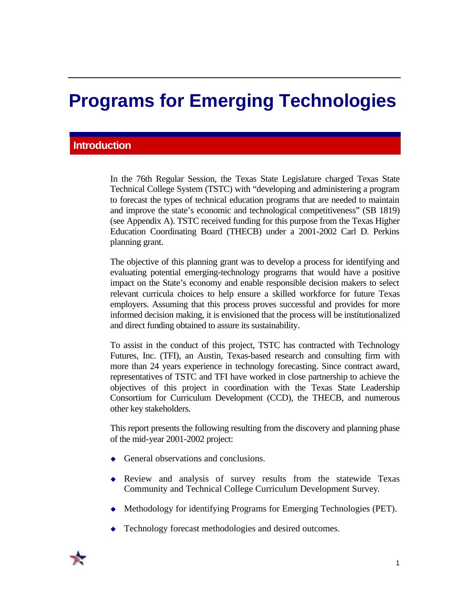# **Programs for Emerging Technologies**

## **Introduction**

In the 76th Regular Session, the Texas State Legislature charged Texas State Technical College System (TSTC) with "developing and administering a program to forecast the types of technical education programs that are needed to maintain and improve the state's economic and technological competitiveness" (SB 1819) (see Appendix A). TSTC received funding for this purpose from the Texas Higher Education Coordinating Board (THECB) under a 2001-2002 Carl D. Perkins planning grant.

The objective of this planning grant was to develop a process for identifying and evaluating potential emerging-technology programs that would have a positive impact on the State's economy and enable responsible decision makers to select relevant curricula choices to help ensure a skilled workforce for future Texas employers. Assuming that this process proves successful and provides for more informed decision making, it is envisioned that the process will be institutionalized and direct funding obtained to assure its sustainability.

To assist in the conduct of this project, TSTC has contracted with Technology Futures, Inc. (TFI), an Austin, Texas-based research and consulting firm with more than 24 years experience in technology forecasting. Since contract award, representatives of TSTC and TFI have worked in close partnership to achieve the objectives of this project in coordination with the Texas State Leadership Consortium for Curriculum Development (CCD), the THECB, and numerous other key stakeholders.

This report presents the following resulting from the discovery and planning phase of the mid-year 2001-2002 project:

- General observations and conclusions.
- $\bullet$  Review and analysis of survey results from the statewide Texas Community and Technical College Curriculum Development Survey.
- Methodology for identifying Programs for Emerging Technologies (PET).
- Technology forecast methodologies and desired outcomes.

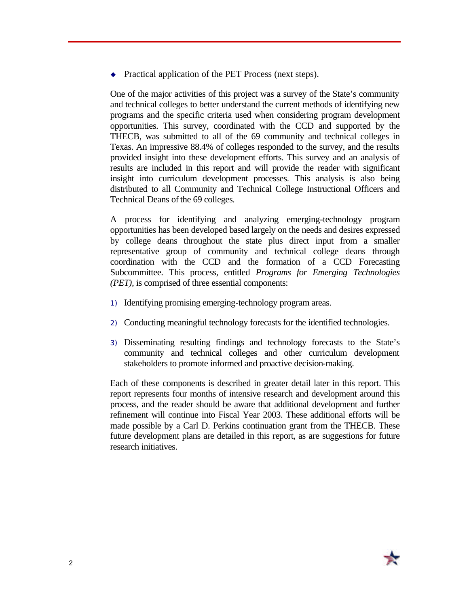$\rightarrow$  Practical application of the PET Process (next steps).

One of the major activities of this project was a survey of the State's community and technical colleges to better understand the current methods of identifying new programs and the specific criteria used when considering program development opportunities. This survey, coordinated with the CCD and supported by the THECB, was submitted to all of the 69 community and technical colleges in Texas. An impressive 88.4% of colleges responded to the survey, and the results provided insight into these development efforts. This survey and an analysis of results are included in this report and will provide the reader with significant insight into curriculum development processes. This analysis is also being distributed to all Community and Technical College Instructional Officers and Technical Deans of the 69 colleges.

A process for identifying and analyzing emerging-technology program opportunities has been developed based largely on the needs and desires expressed by college deans throughout the state plus direct input from a smaller representative group of community and technical college deans through coordination with the CCD and the formation of a CCD Forecasting Subcommittee. This process, entitled *Programs for Emerging Technologies (PET),* is comprised of three essential components:

- 1) Identifying promising emerging-technology program areas.
- 2) Conducting meaningful technology forecasts for the identified technologies.
- 3) Disseminating resulting findings and technology forecasts to the State's community and technical colleges and other curriculum development stakeholders to promote informed and proactive decision-making.

Each of these components is described in greater detail later in this report. This report represents four months of intensive research and development around this process, and the reader should be aware that additional development and further refinement will continue into Fiscal Year 2003. These additional efforts will be made possible by a Carl D. Perkins continuation grant from the THECB. These future development plans are detailed in this report, as are suggestions for future research initiatives.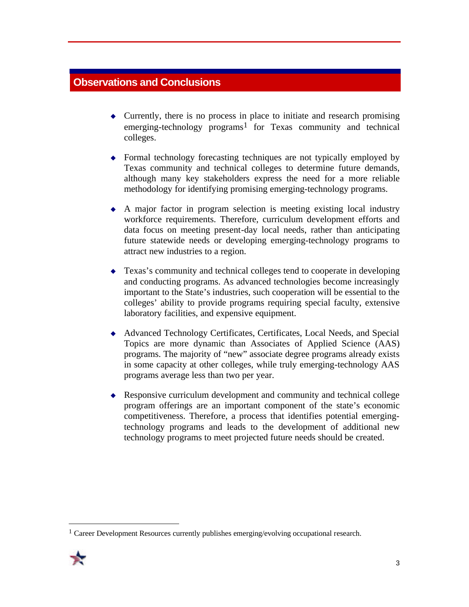## **Observations and Conclusions**

- $\triangle$  Currently, there is no process in place to initiate and research promising emerging-technology programs<sup>1</sup> for Texas community and technical colleges.
- $\rightarrow$  Formal technology forecasting techniques are not typically employed by Texas community and technical colleges to determine future demands, although many key stakeholders express the need for a more reliable methodology for identifying promising emerging-technology programs.
- $\triangle$  A major factor in program selection is meeting existing local industry workforce requirements. Therefore, curriculum development efforts and data focus on meeting present-day local needs, rather than anticipating future statewide needs or developing emerging-technology programs to attract new industries to a region.
- $\triangle$  Texas's community and technical colleges tend to cooperate in developing and conducting programs. As advanced technologies become increasingly important to the State's industries, such cooperation will be essential to the colleges' ability to provide programs requiring special faculty, extensive laboratory facilities, and expensive equipment.
- <sup>u</sup> Advanced Technology Certificates, Certificates, Local Needs, and Special Topics are more dynamic than Associates of Applied Science (AAS) programs. The majority of "new" associate degree programs already exists in some capacity at other colleges, while truly emerging-technology AAS programs average less than two per year.
- $\triangle$  Responsive curriculum development and community and technical college program offerings are an important component of the state's economic competitiveness. Therefore, a process that identifies potential emergingtechnology programs and leads to the development of additional new technology programs to meet projected future needs should be created.

<sup>&</sup>lt;sup>1</sup> Career Development Resources currently publishes emerging/evolving occupational research.



 $\overline{a}$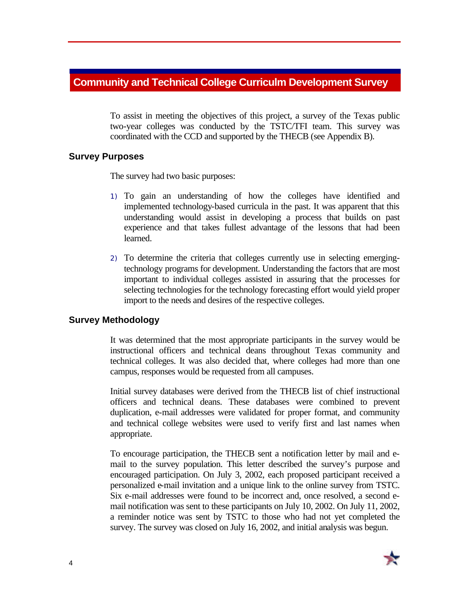### **Community and Technical College Curriculm Development Survey**

To assist in meeting the objectives of this project, a survey of the Texas public two-year colleges was conducted by the TSTC/TFI team. This survey was coordinated with the CCD and supported by the THECB (see Appendix B).

#### **Survey Purposes**

The survey had two basic purposes:

- 1) To gain an understanding of how the colleges have identified and implemented technology-based curricula in the past. It was apparent that this understanding would assist in developing a process that builds on past experience and that takes fullest advantage of the lessons that had been learned.
- 2) To determine the criteria that colleges currently use in selecting emergingtechnology programs for development. Understanding the factors that are most important to individual colleges assisted in assuring that the processes for selecting technologies for the technology forecasting effort would yield proper import to the needs and desires of the respective colleges.

#### **Survey Methodology**

It was determined that the most appropriate participants in the survey would be instructional officers and technical deans throughout Texas community and technical colleges. It was also decided that, where colleges had more than one campus, responses would be requested from all campuses.

Initial survey databases were derived from the THECB list of chief instructional officers and technical deans. These databases were combined to prevent duplication, e-mail addresses were validated for proper format, and community and technical college websites were used to verify first and last names when appropriate.

To encourage participation, the THECB sent a notification letter by mail and email to the survey population. This letter described the survey's purpose and encouraged participation. On July 3, 2002, each proposed participant received a personalized e-mail invitation and a unique link to the online survey from TSTC. Six e-mail addresses were found to be incorrect and, once resolved, a second email notification was sent to these participants on July 10, 2002. On July 11, 2002, a reminder notice was sent by TSTC to those who had not yet completed the survey. The survey was closed on July 16, 2002, and initial analysis was begun.

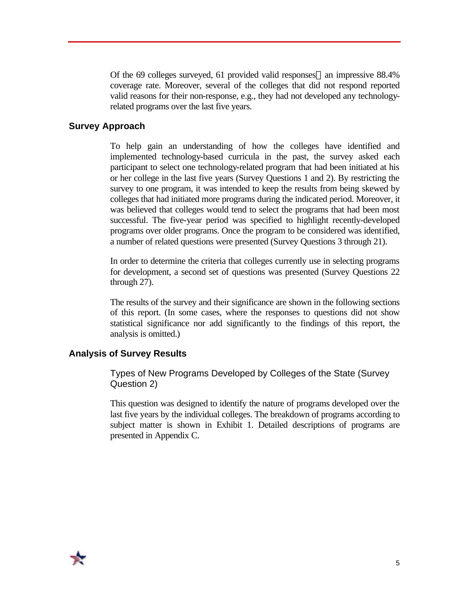Of the 69 colleges surveyed, 61 provided valid responses—an impressive 88.4% coverage rate. Moreover, several of the colleges that did not respond reported valid reasons for their non-response, e.g., they had not developed any technologyrelated programs over the last five years.

#### **Survey Approach**

To help gain an understanding of how the colleges have identified and implemented technology-based curricula in the past, the survey asked each participant to select one technology-related program that had been initiated at his or her college in the last five years (Survey Questions 1 and 2). By restricting the survey to one program, it was intended to keep the results from being skewed by colleges that had initiated more programs during the indicated period. Moreover, it was believed that colleges would tend to select the programs that had been most successful. The five-year period was specified to highlight recently-developed programs over older programs. Once the program to be considered was identified, a number of related questions were presented (Survey Questions 3 through 21).

In order to determine the criteria that colleges currently use in selecting programs for development, a second set of questions was presented (Survey Questions 22 through 27).

The results of the survey and their significance are shown in the following sections of this report. (In some cases, where the responses to questions did not show statistical significance nor add significantly to the findings of this report, the analysis is omitted.)

#### **Analysis of Survey Results**

Types of New Programs Developed by Colleges of the State (Survey Question 2)

This question was designed to identify the nature of programs developed over the last five years by the individual colleges. The breakdown of programs according to subject matter is shown in Exhibit 1. Detailed descriptions of programs are presented in Appendix C.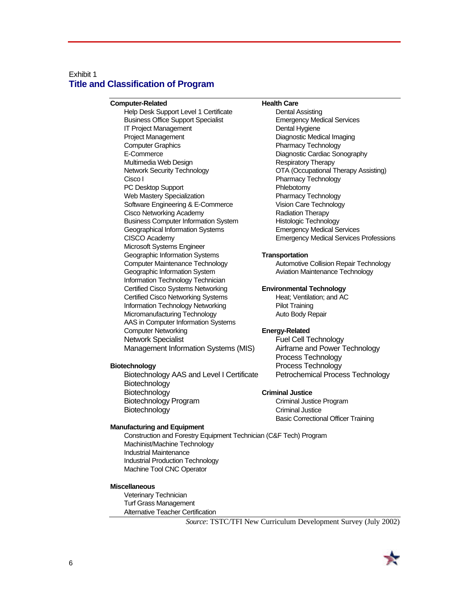#### Exhibit 1 **Title and Classification of Program**

**Computer-Related Health Care** Help Desk Support Level 1 Certificate Business Office Support Specialist Emergency Medical Services IT Project Management Dental Hygiene Project Management Diagnostic Medical Imaging Computer Graphics **Pharmacy Technology** E-Commerce Diagnostic Cardiac Sonography Multimedia Web Design **Respiratory Therapy** Network Security Technology **OTA** (Occupational Therapy Assisting) Cisco I Pharmacy Technology PC Desktop Support PC Phlebotomy Web Mastery Specialization **Pharmacy Technology** Software Engineering & E-Commerce Vision Care Technology Cisco Networking Academy **Radiation Therapy** Radiation Therapy Business Computer Information System Histologic Technology Geographical Information Systems Emergency Medical Services CISCO Academy Emergency Medical Services Professions Microsoft Systems Engineer Geographic Information Systems **Transportation** Computer Maintenance Technology Automotive Collision Repair Technology Geographic Information System **Aviation Maintenance Technology** Information Technology Technician Certified Cisco Systems Networking **Environmental Technology** Certified Cisco Networking Systems Heat; Ventilation; and AC Information Technology Networking Pilot Training Micromanufacturing Technology **Auto Body Repair** AAS in Computer Information Systems Computer Networking **Energy-Related** Network Specialist **Fuel Cell Technology** Management Information Systems (MIS) Airframe and Power Technology

Biotechnology AAS and Level I Certificate Petrochemical Process Technology Biotechnology **Biotechnology Criminal Justice** Biotechnology Program Criminal Justice Program Biotechnology **Criminal Justice** 

#### **Manufacturing and Equipment**

Construction and Forestry Equipment Technician (C&F Tech) Program Machinist/Machine Technology Industrial Maintenance Industrial Production Technology Machine Tool CNC Operator

#### **Miscellaneous**

Veterinary Technician Turf Grass Management Alternative Teacher Certification

Process Technology **Biotechnology Process Technology** 

Basic Correctional Officer Training

*Source*: TSTC/TFI New Curriculum Development Survey (July 2002)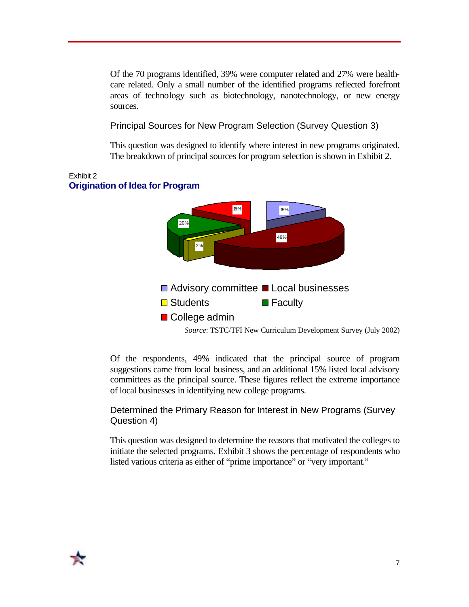Of the 70 programs identified, 39% were computer related and 27% were healthcare related. Only a small number of the identified programs reflected forefront areas of technology such as biotechnology, nanotechnology, or new energy sources.

#### Principal Sources for New Program Selection (Survey Question 3)

This question was designed to identify where interest in new programs originated. The breakdown of principal sources for program selection is shown in Exhibit 2.



Of the respondents, 49% indicated that the principal source of program suggestions came from local business, and an additional 15% listed local advisory committees as the principal source. These figures reflect the extreme importance of local businesses in identifying new college programs.

### Determined the Primary Reason for Interest in New Programs (Survey Question 4)

This question was designed to determine the reasons that motivated the colleges to initiate the selected programs. Exhibit 3 shows the percentage of respondents who listed various criteria as either of "prime importance" or "very important."

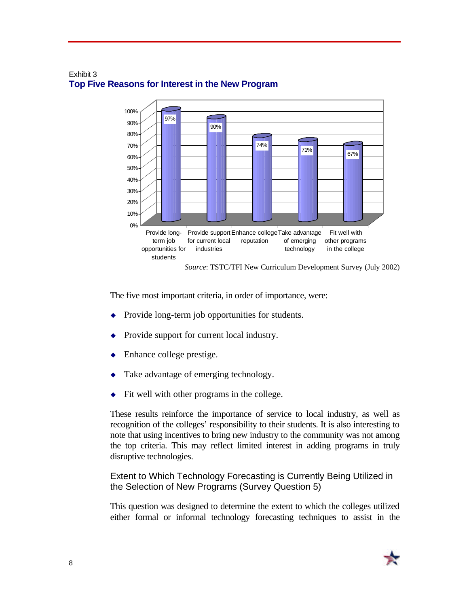

#### Exhibit 3 **Top Five Reasons for Interest in the New Program**

The five most important criteria, in order of importance, were:

- $\rightarrow$  Provide long-term job opportunities for students.
- Provide support for current local industry.
- Enhance college prestige.
- Take advantage of emerging technology.
- $\bullet$  Fit well with other programs in the college.

These results reinforce the importance of service to local industry, as well as recognition of the colleges' responsibility to their students. It is also interesting to note that using incentives to bring new industry to the community was not among the top criteria. This may reflect limited interest in adding programs in truly disruptive technologies.

Extent to Which Technology Forecasting is Currently Being Utilized in the Selection of New Programs (Survey Question 5)

This question was designed to determine the extent to which the colleges utilized either formal or informal technology forecasting techniques to assist in the

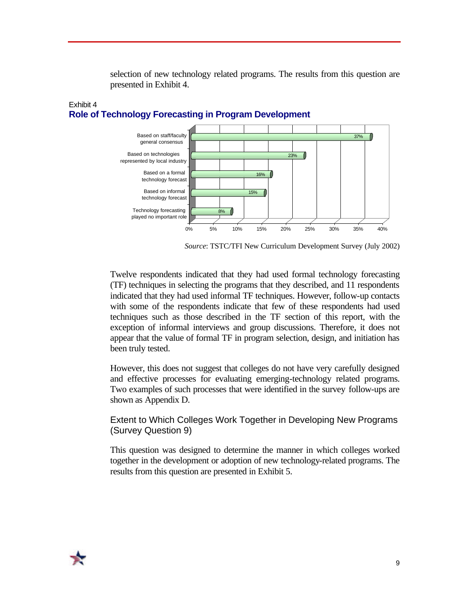selection of new technology related programs. The results from this question are presented in Exhibit 4.



#### Exhibit 4 **Role of Technology Forecasting in Program Development**

*Source*: TSTC/TFI New Curriculum Development Survey (July 2002)

Twelve respondents indicated that they had used formal technology forecasting (TF) techniques in selecting the programs that they described, and 11 respondents indicated that they had used informal TF techniques. However, follow-up contacts with some of the respondents indicate that few of these respondents had used techniques such as those described in the TF section of this report, with the exception of informal interviews and group discussions. Therefore, it does not appear that the value of formal TF in program selection, design, and initiation has been truly tested.

However, this does not suggest that colleges do not have very carefully designed and effective processes for evaluating emerging-technology related programs. Two examples of such processes that were identified in the survey follow-ups are shown as Appendix D.

Extent to Which Colleges Work Together in Developing New Programs (Survey Question 9)

This question was designed to determine the manner in which colleges worked together in the development or adoption of new technology-related programs. The results from this question are presented in Exhibit 5.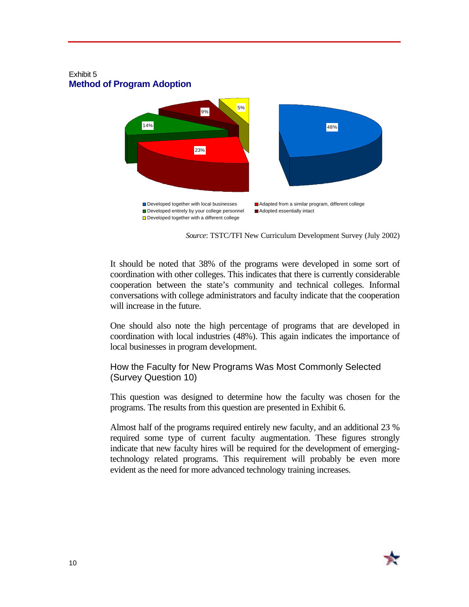#### Exhibit 5 **Method of Program Adoption**



*Source*: TSTC/TFI New Curriculum Development Survey (July 2002)

It should be noted that 38% of the programs were developed in some sort of coordination with other colleges. This indicates that there is currently considerable cooperation between the state's community and technical colleges. Informal conversations with college administrators and faculty indicate that the cooperation will increase in the future.

One should also note the high percentage of programs that are developed in coordination with local industries (48%). This again indicates the importance of local businesses in program development.

#### How the Faculty for New Programs Was Most Commonly Selected (Survey Question 10)

This question was designed to determine how the faculty was chosen for the programs. The results from this question are presented in Exhibit 6.

Almost half of the programs required entirely new faculty, and an additional 23 % required some type of current faculty augmentation. These figures strongly indicate that new faculty hires will be required for the development of emergingtechnology related programs. This requirement will probably be even more evident as the need for more advanced technology training increases.

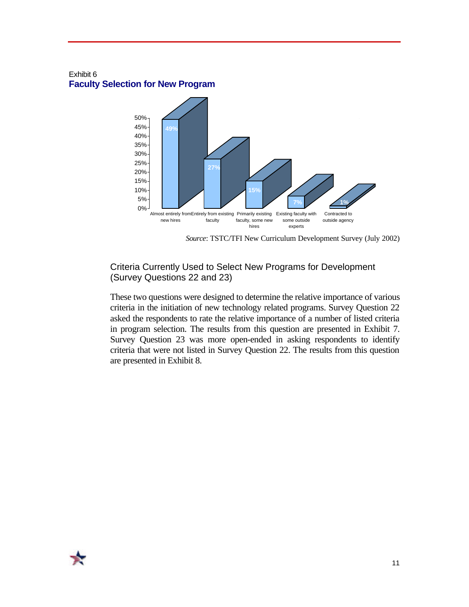#### Exhibit 6 **Faculty Selection for New Program**



*Source*: TSTC/TFI New Curriculum Development Survey (July 2002)

### Criteria Currently Used to Select New Programs for Development (Survey Questions 22 and 23)

These two questions were designed to determine the relative importance of various criteria in the initiation of new technology related programs. Survey Question 22 asked the respondents to rate the relative importance of a number of listed criteria in program selection. The results from this question are presented in Exhibit 7. Survey Question 23 was more open-ended in asking respondents to identify criteria that were not listed in Survey Question 22. The results from this question are presented in Exhibit 8.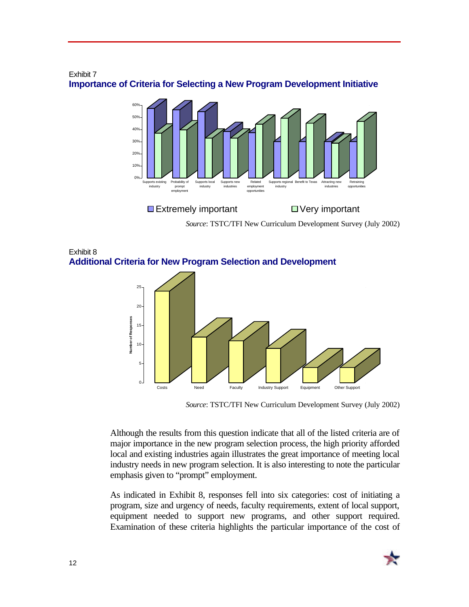

#### Exhibit 7 **Importance of Criteria for Selecting a New Program Development Initiative**

*Source*: TSTC/TFI New Curriculum Development Survey (July 2002)

Exhibit 8 **Additional Criteria for New Program Selection and Development**



*Source*: TSTC/TFI New Curriculum Development Survey (July 2002)

Although the results from this question indicate that all of the listed criteria are of major importance in the new program selection process, the high priority afforded local and existing industries again illustrates the great importance of meeting local industry needs in new program selection. It is also interesting to note the particular emphasis given to "prompt" employment.

As indicated in Exhibit 8, responses fell into six categories: cost of initiating a program, size and urgency of needs, faculty requirements, extent of local support, equipment needed to support new programs, and other support required. Examination of these criteria highlights the particular importance of the cost of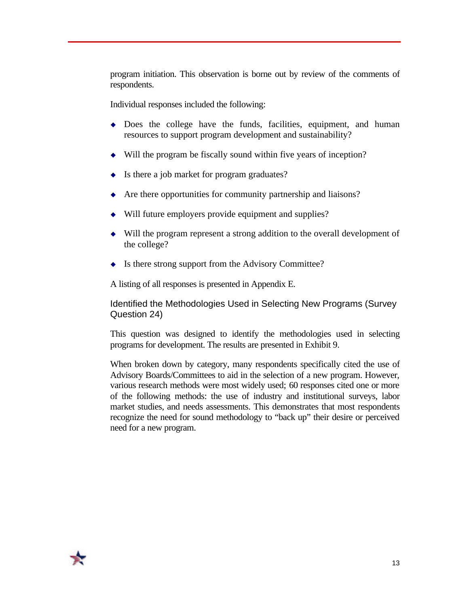program initiation. This observation is borne out by review of the comments of respondents.

Individual responses included the following:

- $\bullet$  Does the college have the funds, facilities, equipment, and human resources to support program development and sustainability?
- $\bullet$  Will the program be fiscally sound within five years of inception?
- $\bullet$  Is there a job market for program graduates?
- $\triangle$  Are there opportunities for community partnership and liaisons?
- $\bullet$  Will future employers provide equipment and supplies?
- $\bullet$  Will the program represent a strong addition to the overall development of the college?
- $\bullet$  Is there strong support from the Advisory Committee?

A listing of all responses is presented in Appendix E.

Identified the Methodologies Used in Selecting New Programs (Survey Question 24)

This question was designed to identify the methodologies used in selecting programs for development. The results are presented in Exhibit 9.

When broken down by category, many respondents specifically cited the use of Advisory Boards/Committees to aid in the selection of a new program. However, various research methods were most widely used; 60 responses cited one or more of the following methods: the use of industry and institutional surveys, labor market studies, and needs assessments. This demonstrates that most respondents recognize the need for sound methodology to "back up" their desire or perceived need for a new program.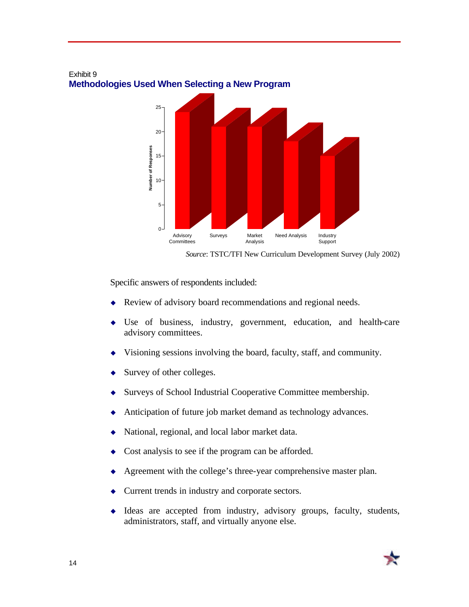

#### Exhibit 9 **Methodologies Used When Selecting a New Program**

*Source*: TSTC/TFI New Curriculum Development Survey (July 2002)

Specific answers of respondents included:

- Review of advisory board recommendations and regional needs.
- $\bullet$  Use of business, industry, government, education, and health-care advisory committees.
- Visioning sessions involving the board, faculty, staff, and community.
- Survey of other colleges.
- Surveys of School Industrial Cooperative Committee membership.
- Anticipation of future job market demand as technology advances.
- National, regional, and local labor market data.
- Cost analysis to see if the program can be afforded.
- Agreement with the college's three-year comprehensive master plan.
- Current trends in industry and corporate sectors.
- $\bullet$  Ideas are accepted from industry, advisory groups, faculty, students, administrators, staff, and virtually anyone else.

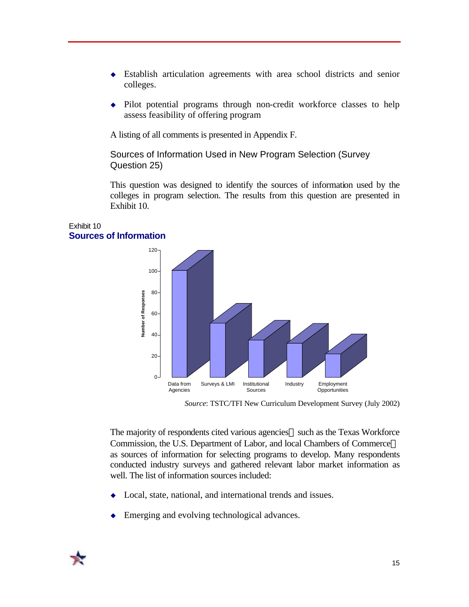- $\bullet$  Establish articulation agreements with area school districts and senior colleges.
- $\bullet$  Pilot potential programs through non-credit workforce classes to help assess feasibility of offering program

A listing of all comments is presented in Appendix F.

Sources of Information Used in New Program Selection (Survey Question 25)

This question was designed to identify the sources of information used by the colleges in program selection. The results from this question are presented in Exhibit 10.

#### Exhibit 10 **Sources of Information**



*Source*: TSTC/TFI New Curriculum Development Survey (July 2002)

The majority of respondents cited various agencies—such as the Texas Workforce Commission, the U.S. Department of Labor, and local Chambers of Commerce as sources of information for selecting programs to develop. Many respondents conducted industry surveys and gathered relevant labor market information as well. The list of information sources included:

- Local, state, national, and international trends and issues.
- Emerging and evolving technological advances.

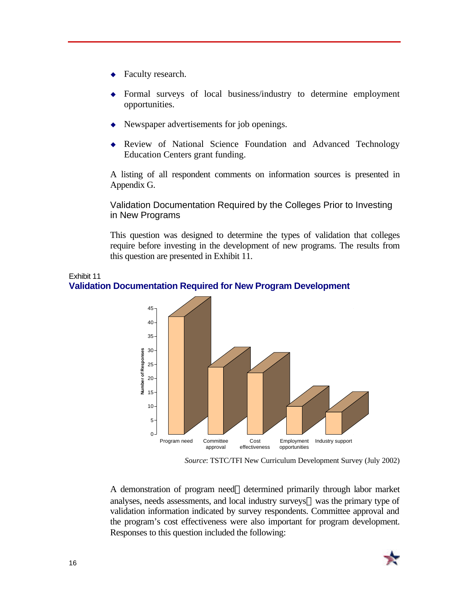- Faculty research.
- Formal surveys of local business/industry to determine employment opportunities.
- $\leftrightarrow$  Newspaper advertisements for job openings.
- Review of National Science Foundation and Advanced Technology Education Centers grant funding.

A listing of all respondent comments on information sources is presented in Appendix G.

Validation Documentation Required by the Colleges Prior to Investing in New Programs

This question was designed to determine the types of validation that colleges require before investing in the development of new programs. The results from this question are presented in Exhibit 11.



**Validation Documentation Required for New Program Development**

A demonstration of program need—determined primarily through labor market analyses, needs assessments, and local industry surveys—was the primary type of validation information indicated by survey respondents. Committee approval and the program's cost effectiveness were also important for program development. Responses to this question included the following:



Exhibit 11

*Source*: TSTC/TFI New Curriculum Development Survey (July 2002)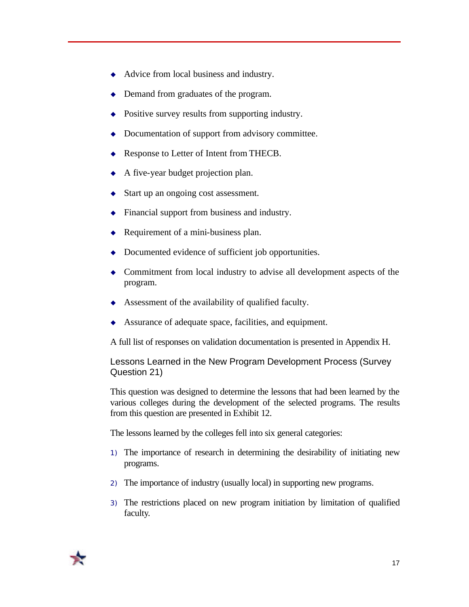- $\triangleleft$  Advice from local business and industry.
- Demand from graduates of the program.
- $\rightarrow$  Positive survey results from supporting industry.
- $\bullet$  Documentation of support from advisory committee.
- $\triangle$  Response to Letter of Intent from THECB.
- $\triangle$  A five-year budget projection plan.
- Start up an ongoing cost assessment.
- $\blacklozenge$  Financial support from business and industry.
- $\triangleleft$  Requirement of a mini-business plan.
- $\rightarrow$  Documented evidence of sufficient job opportunities.
- $\bullet$  Commitment from local industry to advise all development aspects of the program.
- $\triangle$  Assessment of the availability of qualified faculty.
- $\triangle$  Assurance of adequate space, facilities, and equipment.

A full list of responses on validation documentation is presented in Appendix H.

#### Lessons Learned in the New Program Development Process (Survey Question 21)

This question was designed to determine the lessons that had been learned by the various colleges during the development of the selected programs. The results from this question are presented in Exhibit 12.

The lessons learned by the colleges fell into six general categories:

- 1) The importance of research in determining the desirability of initiating new programs.
- 2) The importance of industry (usually local) in supporting new programs.
- 3) The restrictions placed on new program initiation by limitation of qualified faculty.

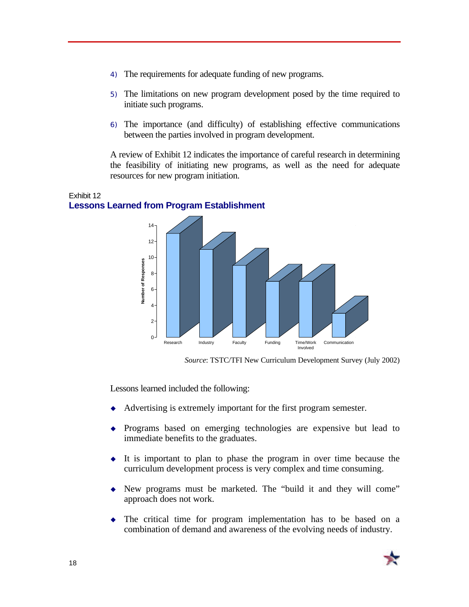- 4) The requirements for adequate funding of new programs.
- 5) The limitations on new program development posed by the time required to initiate such programs.
- 6) The importance (and difficulty) of establishing effective communications between the parties involved in program development.

A review of Exhibit 12 indicates the importance of careful research in determining the feasibility of initiating new programs, as well as the need for adequate resources for new program initiation.



#### Exhibit 12 **Lessons Learned from Program Establishment**

Lessons learned included the following:

- Advertising is extremely important for the first program semester.
- $\rightarrow$  Programs based on emerging technologies are expensive but lead to immediate benefits to the graduates.
- $\bullet$  It is important to plan to phase the program in over time because the curriculum development process is very complex and time consuming.
- New programs must be marketed. The "build it and they will come" approach does not work.
- $\bullet$  The critical time for program implementation has to be based on a combination of demand and awareness of the evolving needs of industry.



*Source*: TSTC/TFI New Curriculum Development Survey (July 2002)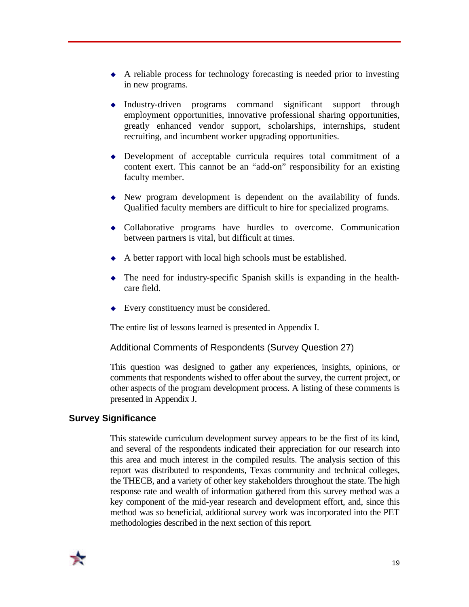- $\triangle$  A reliable process for technology forecasting is needed prior to investing in new programs.
- $\bullet$  Industry-driven programs command significant support through employment opportunities, innovative professional sharing opportunities, greatly enhanced vendor support, scholarships, internships, student recruiting, and incumbent worker upgrading opportunities.
- $\rightarrow$  Development of acceptable curricula requires total commitment of a content exert. This cannot be an "add-on" responsibility for an existing faculty member.
- $\blacklozenge$  New program development is dependent on the availability of funds. Qualified faculty members are difficult to hire for specialized programs.
- Collaborative programs have hurdles to overcome. Communication between partners is vital, but difficult at times.
- $\leftrightarrow$  A better rapport with local high schools must be established.
- $\bullet$  The need for industry-specific Spanish skills is expanding in the healthcare field.
- $\bullet$  Every constituency must be considered.

The entire list of lessons learned is presented in Appendix I.

Additional Comments of Respondents (Survey Question 27)

This question was designed to gather any experiences, insights, opinions, or comments that respondents wished to offer about the survey, the current project, or other aspects of the program development process. A listing of these comments is presented in Appendix J.

#### **Survey Significance**

This statewide curriculum development survey appears to be the first of its kind, and several of the respondents indicated their appreciation for our research into this area and much interest in the compiled results. The analysis section of this report was distributed to respondents, Texas community and technical colleges, the THECB, and a variety of other key stakeholders throughout the state. The high response rate and wealth of information gathered from this survey method was a key component of the mid-year research and development effort, and, since this method was so beneficial, additional survey work was incorporated into the PET methodologies described in the next section of this report.

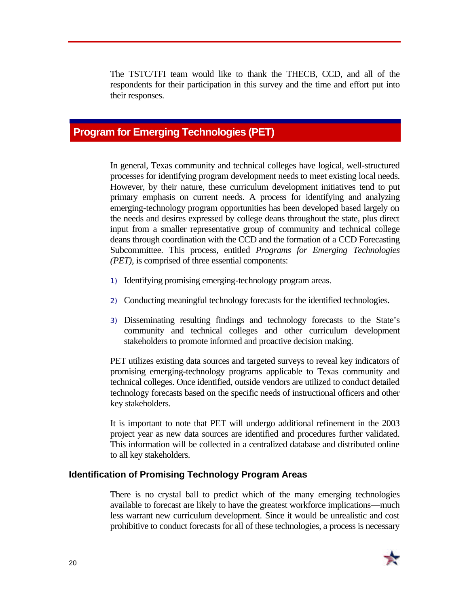The TSTC/TFI team would like to thank the THECB, CCD, and all of the respondents for their participation in this survey and the time and effort put into their responses.

## **Program for Emerging Technologies (PET)**

In general, Texas community and technical colleges have logical, well-structured processes for identifying program development needs to meet existing local needs. However, by their nature, these curriculum development initiatives tend to put primary emphasis on current needs. A process for identifying and analyzing emerging-technology program opportunities has been developed based largely on the needs and desires expressed by college deans throughout the state, plus direct input from a smaller representative group of community and technical college deans through coordination with the CCD and the formation of a CCD Forecasting Subcommittee. This process, entitled *Programs for Emerging Technologies (PET),* is comprised of three essential components:

- 1) Identifying promising emerging-technology program areas.
- 2) Conducting meaningful technology forecasts for the identified technologies.
- 3) Disseminating resulting findings and technology forecasts to the State's community and technical colleges and other curriculum development stakeholders to promote informed and proactive decision making.

PET utilizes existing data sources and targeted surveys to reveal key indicators of promising emerging-technology programs applicable to Texas community and technical colleges. Once identified, outside vendors are utilized to conduct detailed technology forecasts based on the specific needs of instructional officers and other key stakeholders.

It is important to note that PET will undergo additional refinement in the 2003 project year as new data sources are identified and procedures further validated. This information will be collected in a centralized database and distributed online to all key stakeholders.

#### **Identification of Promising Technology Program Areas**

There is no crystal ball to predict which of the many emerging technologies available to forecast are likely to have the greatest workforce implications—much less warrant new curriculum development. Since it would be unrealistic and cost prohibitive to conduct forecasts for all of these technologies, a process is necessary

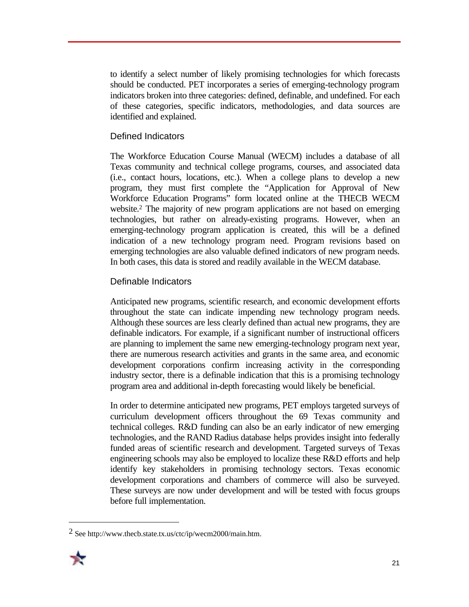to identify a select number of likely promising technologies for which forecasts should be conducted. PET incorporates a series of emerging-technology program indicators broken into three categories: defined, definable, and undefined. For each of these categories, specific indicators, methodologies, and data sources are identified and explained.

### Defined Indicators

The Workforce Education Course Manual (WECM) includes a database of all Texas community and technical college programs, courses, and associated data (i.e., contact hours, locations, etc.). When a college plans to develop a new program, they must first complete the "Application for Approval of New Workforce Education Programs" form located online at the THECB WECM website. 2 The majority of new program applications are not based on emerging technologies, but rather on already-existing programs. However, when an emerging-technology program application is created, this will be a defined indication of a new technology program need. Program revisions based on emerging technologies are also valuable defined indicators of new program needs. In both cases, this data is stored and readily available in the WECM database.

### Definable Indicators

Anticipated new programs, scientific research, and economic development efforts throughout the state can indicate impending new technology program needs. Although these sources are less clearly defined than actual new programs, they are definable indicators. For example, if a significant number of instructional officers are planning to implement the same new emerging-technology program next year, there are numerous research activities and grants in the same area, and economic development corporations confirm increasing activity in the corresponding industry sector, there is a definable indication that this is a promising technology program area and additional in-depth forecasting would likely be beneficial.

In order to determine anticipated new programs, PET employs targeted surveys of curriculum development officers throughout the 69 Texas community and technical colleges. R&D funding can also be an early indicator of new emerging technologies, and the RAND Radius database helps provides insight into federally funded areas of scientific research and development. Targeted surveys of Texas engineering schools may also be employed to localize these R&D efforts and help identify key stakeholders in promising technology sectors. Texas economic development corporations and chambers of commerce will also be surveyed. These surveys are now under development and will be tested with focus groups before full implementation.

<sup>2</sup> See http://www.thecb.state.tx.us/ctc/ip/wecm2000/main.htm.



 $\overline{a}$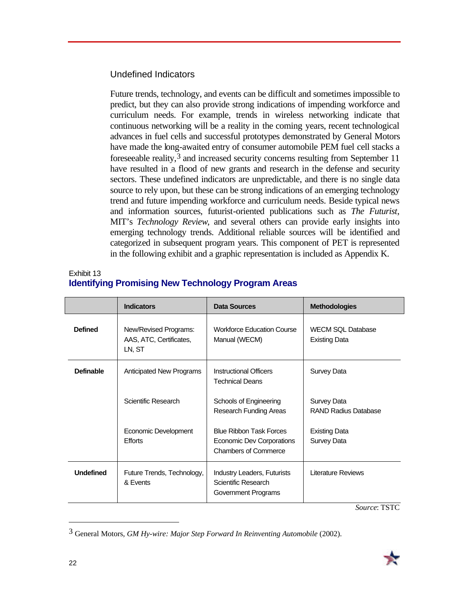#### Undefined Indicators

Future trends, technology, and events can be difficult and sometimes impossible to predict, but they can also provide strong indications of impending workforce and curriculum needs. For example, trends in wireless networking indicate that continuous networking will be a reality in the coming years, recent technological advances in fuel cells and successful prototypes demonstrated by General Motors have made the long-awaited entry of consumer automobile PEM fuel cell stacks a foreseeable reality,3 and increased security concerns resulting from September 11 have resulted in a flood of new grants and research in the defense and security sectors. These undefined indicators are unpredictable, and there is no single data source to rely upon, but these can be strong indications of an emerging technology trend and future impending workforce and curriculum needs. Beside typical news and information sources, futurist-oriented publications such as *The Futurist*, MIT's *Technology Review*, and several others can provide early insights into emerging technology trends. Additional reliable sources will be identified and categorized in subsequent program years. This component of PET is represented in the following exhibit and a graphic representation is included as Appendix K.

#### Exhibit 13 **Identifying Promising New Technology Program Areas**

|                  | <b>Indicators</b>                                          | <b>Data Sources</b>                                                                        | <b>Methodologies</b>                             |
|------------------|------------------------------------------------------------|--------------------------------------------------------------------------------------------|--------------------------------------------------|
| <b>Defined</b>   | New/Revised Programs:<br>AAS, ATC, Certificates,<br>LN, ST | <b>Workforce Education Course</b><br>Manual (WECM)                                         | <b>WECM SQL Database</b><br><b>Existing Data</b> |
| <b>Definable</b> | <b>Anticipated New Programs</b>                            | <b>Instructional Officers</b><br><b>Technical Deans</b>                                    | Survey Data                                      |
|                  | Scientific Research                                        | Schools of Engineering<br>Research Funding Areas                                           | Survey Data<br><b>RAND Radius Database</b>       |
|                  | Economic Development<br><b>Efforts</b>                     | <b>Blue Ribbon Task Forces</b><br>Economic Dev Corporations<br><b>Chambers of Commerce</b> | Existing Data<br>Survey Data                     |
| <b>Undefined</b> | Future Trends, Technology,<br>& Events                     | Industry Leaders, Futurists<br>Scientific Research<br>Government Programs                  | Literature Reviews                               |

*Source*: TSTC

 $\overline{a}$ 

<sup>3</sup> General Motors, *GM Hy-wire: Major Step Forward In Reinventing Automobile* (2002).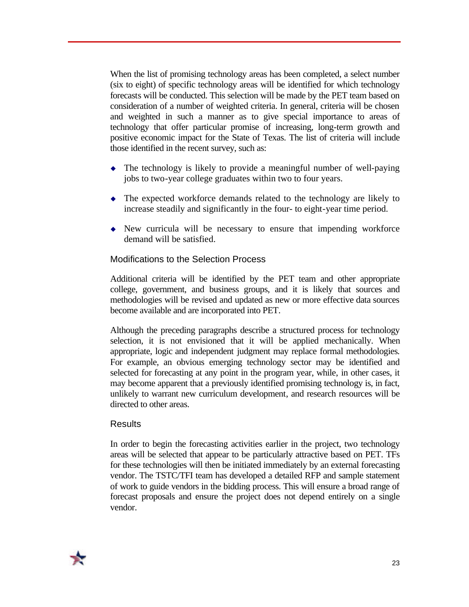When the list of promising technology areas has been completed, a select number (six to eight) of specific technology areas will be identified for which technology forecasts will be conducted. This selection will be made by the PET team based on consideration of a number of weighted criteria. In general, criteria will be chosen and weighted in such a manner as to give special importance to areas of technology that offer particular promise of increasing, long-term growth and positive economic impact for the State of Texas. The list of criteria will include those identified in the recent survey, such as:

- $\bullet$  The technology is likely to provide a meaningful number of well-paying jobs to two-year college graduates within two to four years.
- $\bullet$  The expected workforce demands related to the technology are likely to increase steadily and significantly in the four- to eight-year time period.
- $\rightarrow$  New curricula will be necessary to ensure that impending workforce demand will be satisfied.

### Modifications to the Selection Process

Additional criteria will be identified by the PET team and other appropriate college, government, and business groups, and it is likely that sources and methodologies will be revised and updated as new or more effective data sources become available and are incorporated into PET.

Although the preceding paragraphs describe a structured process for technology selection, it is not envisioned that it will be applied mechanically. When appropriate, logic and independent judgment may replace formal methodologies. For example, an obvious emerging technology sector may be identified and selected for forecasting at any point in the program year, while, in other cases, it may become apparent that a previously identified promising technology is, in fact, unlikely to warrant new curriculum development, and research resources will be directed to other areas.

#### **Results**

In order to begin the forecasting activities earlier in the project, two technology areas will be selected that appear to be particularly attractive based on PET. TFs for these technologies will then be initiated immediately by an external forecasting vendor. The TSTC/TFI team has developed a detailed RFP and sample statement of work to guide vendors in the bidding process. This will ensure a broad range of forecast proposals and ensure the project does not depend entirely on a single vendor.

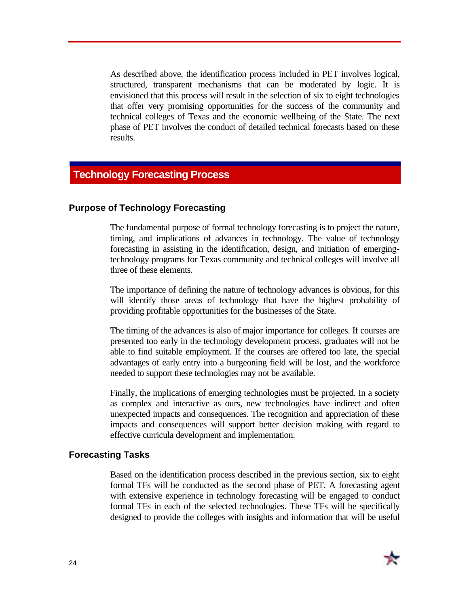As described above, the identification process included in PET involves logical, structured, transparent mechanisms that can be moderated by logic. It is envisioned that this process will result in the selection of six to eight technologies that offer very promising opportunities for the success of the community and technical colleges of Texas and the economic wellbeing of the State. The next phase of PET involves the conduct of detailed technical forecasts based on these results.

### **Technology Forecasting Process**

#### **Purpose of Technology Forecasting**

The fundamental purpose of formal technology forecasting is to project the nature, timing, and implications of advances in technology. The value of technology forecasting in assisting in the identification, design, and initiation of emergingtechnology programs for Texas community and technical colleges will involve all three of these elements.

The importance of defining the nature of technology advances is obvious, for this will identify those areas of technology that have the highest probability of providing profitable opportunities for the businesses of the State.

The timing of the advances is also of major importance for colleges. If courses are presented too early in the technology development process, graduates will not be able to find suitable employment. If the courses are offered too late, the special advantages of early entry into a burgeoning field will be lost, and the workforce needed to support these technologies may not be available.

Finally, the implications of emerging technologies must be projected. In a society as complex and interactive as ours, new technologies have indirect and often unexpected impacts and consequences. The recognition and appreciation of these impacts and consequences will support better decision making with regard to effective curricula development and implementation.

#### **Forecasting Tasks**

Based on the identification process described in the previous section, six to eight formal TFs will be conducted as the second phase of PET. A forecasting agent with extensive experience in technology forecasting will be engaged to conduct formal TFs in each of the selected technologies. These TFs will be specifically designed to provide the colleges with insights and information that will be useful

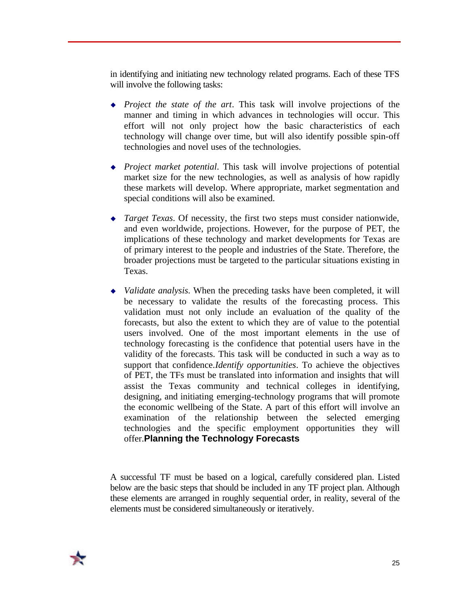in identifying and initiating new technology related programs. Each of these TFS will involve the following tasks:

- *Project the state of the art*. This task will involve projections of the manner and timing in which advances in technologies will occur. This effort will not only project how the basic characteristics of each technology will change over time, but will also identify possible spin-off technologies and novel uses of the technologies.
- <sup>u</sup> *Project market potential*. This task will involve projections of potential market size for the new technologies, as well as analysis of how rapidly these markets will develop. Where appropriate, market segmentation and special conditions will also be examined.
- <sup>u</sup> *Target Texas*. Of necessity, the first two steps must consider nationwide, and even worldwide, projections. However, for the purpose of PET, the implications of these technology and market developments for Texas are of primary interest to the people and industries of the State. Therefore, the broader projections must be targeted to the particular situations existing in Texas.
- *Validate analysis*. When the preceding tasks have been completed, it will be necessary to validate the results of the forecasting process. This validation must not only include an evaluation of the quality of the forecasts, but also the extent to which they are of value to the potential users involved. One of the most important elements in the use of technology forecasting is the confidence that potential users have in the validity of the forecasts. This task will be conducted in such a way as to support that confidence.*Identify opportunities*. To achieve the objectives of PET, the TFs must be translated into information and insights that will assist the Texas community and technical colleges in identifying, designing, and initiating emerging-technology programs that will promote the economic wellbeing of the State. A part of this effort will involve an examination of the relationship between the selected emerging technologies and the specific employment opportunities they will offer.**Planning the Technology Forecasts**

A successful TF must be based on a logical, carefully considered plan. Listed below are the basic steps that should be included in any TF project plan. Although these elements are arranged in roughly sequential order, in reality, several of the elements must be considered simultaneously or iteratively.

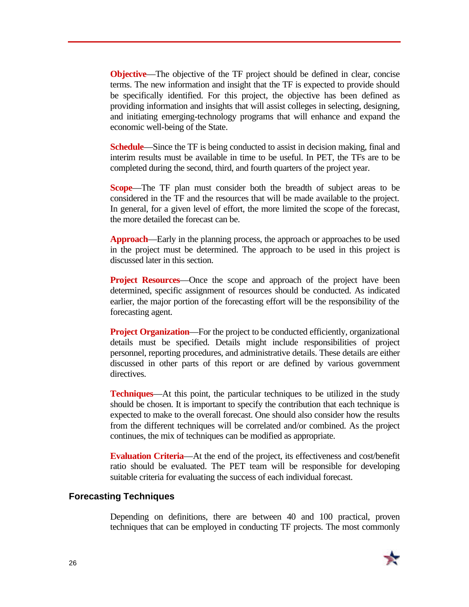**Objective—The objective of the TF project should be defined in clear, concise** terms. The new information and insight that the TF is expected to provide should be specifically identified. For this project, the objective has been defined as providing information and insights that will assist colleges in selecting, designing, and initiating emerging-technology programs that will enhance and expand the economic well-being of the State.

**Schedule**—Since the TF is being conducted to assist in decision making, final and interim results must be available in time to be useful. In PET, the TFs are to be completed during the second, third, and fourth quarters of the project year.

**Scope**—The TF plan must consider both the breadth of subject areas to be considered in the TF and the resources that will be made available to the project. In general, for a given level of effort, the more limited the scope of the forecast, the more detailed the forecast can be.

**Approach**—Early in the planning process, the approach or approaches to be used in the project must be determined. The approach to be used in this project is discussed later in this section.

**Project Resources**—Once the scope and approach of the project have been determined, specific assignment of resources should be conducted. As indicated earlier, the major portion of the forecasting effort will be the responsibility of the forecasting agent.

**Project Organization—For the project to be conducted efficiently, organizational** details must be specified. Details might include responsibilities of project personnel, reporting procedures, and administrative details. These details are either discussed in other parts of this report or are defined by various government directives.

**Techniques**—At this point, the particular techniques to be utilized in the study should be chosen. It is important to specify the contribution that each technique is expected to make to the overall forecast. One should also consider how the results from the different techniques will be correlated and/or combined. As the project continues, the mix of techniques can be modified as appropriate.

**Evaluation Criteria**—At the end of the project, its effectiveness and cost/benefit ratio should be evaluated. The PET team will be responsible for developing suitable criteria for evaluating the success of each individual forecast.

#### **Forecasting Techniques**

Depending on definitions, there are between 40 and 100 practical, proven techniques that can be employed in conducting TF projects. The most commonly

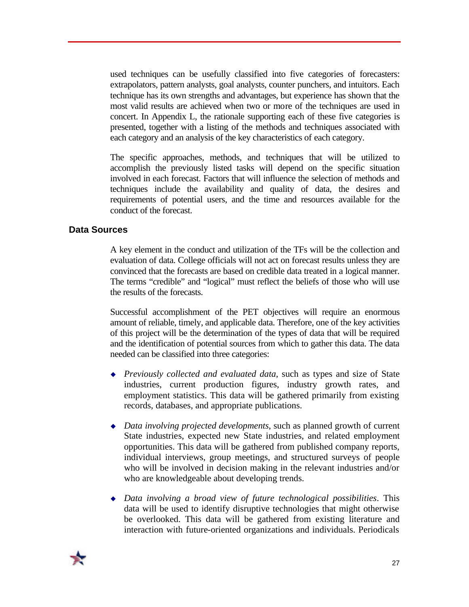used techniques can be usefully classified into five categories of forecasters: extrapolators, pattern analysts, goal analysts, counter punchers, and intuitors. Each technique has its own strengths and advantages, but experience has shown that the most valid results are achieved when two or more of the techniques are used in concert. In Appendix L, the rationale supporting each of these five categories is presented, together with a listing of the methods and techniques associated with each category and an analysis of the key characteristics of each category.

The specific approaches, methods, and techniques that will be utilized to accomplish the previously listed tasks will depend on the specific situation involved in each forecast. Factors that will influence the selection of methods and techniques include the availability and quality of data, the desires and requirements of potential users, and the time and resources available for the conduct of the forecast.

#### **Data Sources**

A key element in the conduct and utilization of the TFs will be the collection and evaluation of data. College officials will not act on forecast results unless they are convinced that the forecasts are based on credible data treated in a logical manner. The terms "credible" and "logical" must reflect the beliefs of those who will use the results of the forecasts.

Successful accomplishment of the PET objectives will require an enormous amount of reliable, timely, and applicable data. Therefore, one of the key activities of this project will be the determination of the types of data that will be required and the identification of potential sources from which to gather this data. The data needed can be classified into three categories:

- <sup>u</sup> *Previously collected and evaluated data*, such as types and size of State industries, current production figures, industry growth rates, and employment statistics. This data will be gathered primarily from existing records, databases, and appropriate publications.
- ◆ *Data involving projected developments*, such as planned growth of current State industries, expected new State industries, and related employment opportunities. This data will be gathered from published company reports, individual interviews, group meetings, and structured surveys of people who will be involved in decision making in the relevant industries and/or who are knowledgeable about developing trends.
- <sup>u</sup> *Data involving a broad view of future technological possibilities*. This data will be used to identify disruptive technologies that might otherwise be overlooked. This data will be gathered from existing literature and interaction with future-oriented organizations and individuals. Periodicals

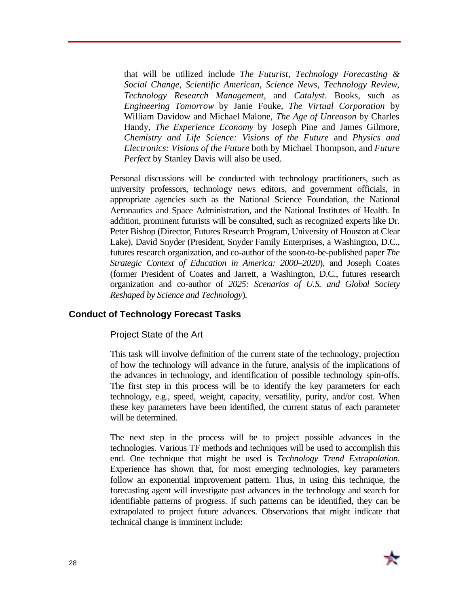that will be utilized include *The Futurist*, *Technology Forecasting & Social Change*, *Scientific American*, *Science News*, *Technology Review*, *Technology Research Management*, and *Catalyst*. Books, such as *Engineering Tomorrow* by Janie Fouke, *The Virtual Corporation* by William Davidow and Michael Malone, *The Age of Unreason* by Charles Handy, *The Experience Economy* by Joseph Pine and James Gilmore, *Chemistry and Life Science: Visions of the Future* and *Physics and Electronics: Visions of the Future* both by Michael Thompson, and *Future Perfect* by Stanley Davis will also be used.

Personal discussions will be conducted with technology practitioners, such as university professors, technology news editors, and government officials, in appropriate agencies such as the National Science Foundation, the National Aeronautics and Space Administration, and the National Institutes of Health. In addition, prominent futurists will be consulted, such as recognized experts like Dr. Peter Bishop (Director, Futures Research Program, University of Houston at Clear Lake), David Snyder (President, Snyder Family Enterprises, a Washington, D.C., futures research organization, and co-author of the soon-to-be-published paper *The Strategic Context of Education in America: 2000–2020*), and Joseph Coates (former President of Coates and Jarrett, a Washington, D.C., futures research organization and co-author of *2025: Scenarios of U.S. and Global Society Reshaped by Science and Technology*).

#### **Conduct of Technology Forecast Tasks**

Project State of the Art

This task will involve definition of the current state of the technology, projection of how the technology will advance in the future, analysis of the implications of the advances in technology, and identification of possible technology spin-offs. The first step in this process will be to identify the key parameters for each technology, e.g., speed, weight, capacity, versatility, purity, and/or cost. When these key parameters have been identified, the current status of each parameter will be determined.

The next step in the process will be to project possible advances in the technologies. Various TF methods and techniques will be used to accomplish this end. One technique that might be used is *Technology Trend Extrapolation*. Experience has shown that, for most emerging technologies, key parameters follow an exponential improvement pattern. Thus, in using this technique, the forecasting agent will investigate past advances in the technology and search for identifiable patterns of progress. If such patterns can be identified, they can be extrapolated to project future advances. Observations that might indicate that technical change is imminent include:

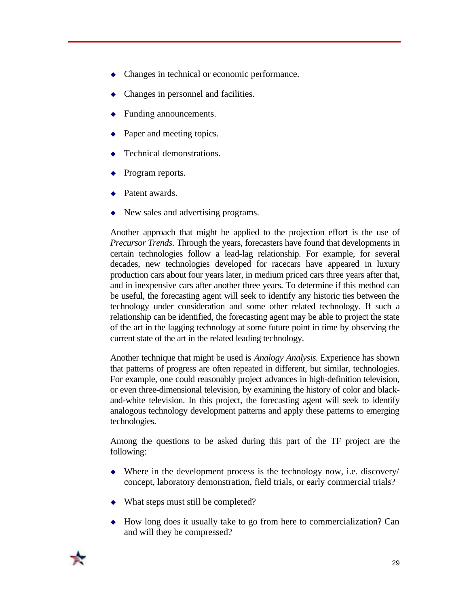- $\bullet$  Changes in technical or economic performance.
- Changes in personnel and facilities.
- Funding announcements.
- Paper and meeting topics.
- Technical demonstrations.
- Program reports.
- Patent awards.
- $\blacklozenge$  New sales and advertising programs.

Another approach that might be applied to the projection effort is the use of *Precursor Trends*. Through the years, forecasters have found that developments in certain technologies follow a lead-lag relationship. For example, for several decades, new technologies developed for racecars have appeared in luxury production cars about four years later, in medium priced cars three years after that, and in inexpensive cars after another three years. To determine if this method can be useful, the forecasting agent will seek to identify any historic ties between the technology under consideration and some other related technology. If such a relationship can be identified, the forecasting agent may be able to project the state of the art in the lagging technology at some future point in time by observing the current state of the art in the related leading technology.

Another technique that might be used is *Analogy Analysis*. Experience has shown that patterns of progress are often repeated in different, but similar, technologies. For example, one could reasonably project advances in high-definition television, or even three-dimensional television, by examining the history of color and blackand-white television. In this project, the forecasting agent will seek to identify analogous technology development patterns and apply these patterns to emerging technologies.

Among the questions to be asked during this part of the TF project are the following:

- $\blacklozenge$  Where in the development process is the technology now, i.e. discovery/ concept, laboratory demonstration, field trials, or early commercial trials?
- $\bullet$  What steps must still be completed?
- $\leftrightarrow$  How long does it usually take to go from here to commercialization? Can and will they be compressed?

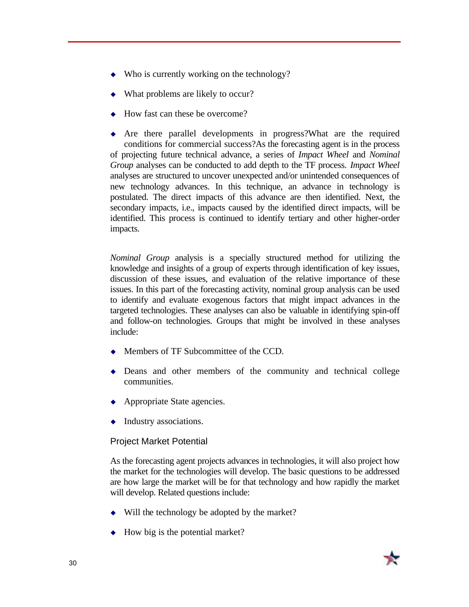- $\bullet$  Who is currently working on the technology?
- What problems are likely to occur?
- $\leftrightarrow$  How fast can these be overcome?

 $\leftrightarrow$  Are there parallel developments in progress? What are the required conditions for commercial success?As the forecasting agent is in the process of projecting future technical advance, a series of *Impact Wheel* and *Nominal Group* analyses can be conducted to add depth to the TF process. *Impact Wheel* analyses are structured to uncover unexpected and/or unintended consequences of new technology advances. In this technique, an advance in technology is postulated. The direct impacts of this advance are then identified. Next, the secondary impacts, i.e., impacts caused by the identified direct impacts, will be identified. This process is continued to identify tertiary and other higher-order impacts.

*Nominal Group* analysis is a specially structured method for utilizing the knowledge and insights of a group of experts through identification of key issues, discussion of these issues, and evaluation of the relative importance of these issues. In this part of the forecasting activity, nominal group analysis can be used to identify and evaluate exogenous factors that might impact advances in the targeted technologies. These analyses can also be valuable in identifying spin-off and follow-on technologies. Groups that might be involved in these analyses include:

- $\triangleleft$  Members of TF Subcommittee of the CCD.
- $\bullet$  Deans and other members of the community and technical college communities.
- $\leftrightarrow$  Appropriate State agencies.
- $\bullet$  Industry associations.

#### Project Market Potential

As the forecasting agent projects advances in technologies, it will also project how the market for the technologies will develop. The basic questions to be addressed are how large the market will be for that technology and how rapidly the market will develop. Related questions include:

- $\bullet$  Will the technology be adopted by the market?
- $\leftrightarrow$  How big is the potential market?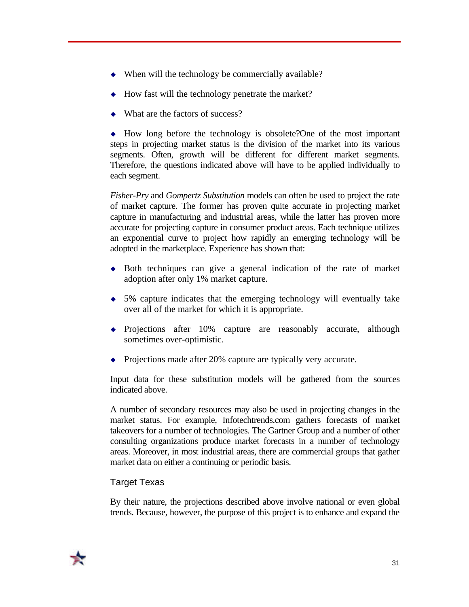- $\bullet$  When will the technology be commercially available?
- $\leftrightarrow$  How fast will the technology penetrate the market?
- $\bullet$  What are the factors of success?

 $\rightarrow$  How long before the technology is obsolete? One of the most important steps in projecting market status is the division of the market into its various segments. Often, growth will be different for different market segments. Therefore, the questions indicated above will have to be applied individually to each segment.

*Fisher-Pry* and *Gompertz Substitution* models can often be used to project the rate of market capture. The former has proven quite accurate in projecting market capture in manufacturing and industrial areas, while the latter has proven more accurate for projecting capture in consumer product areas. Each technique utilizes an exponential curve to project how rapidly an emerging technology will be adopted in the marketplace. Experience has shown that:

- $\bullet$  Both techniques can give a general indication of the rate of market adoption after only 1% market capture.
- $\bullet$  5% capture indicates that the emerging technology will eventually take over all of the market for which it is appropriate.
- Projections after 10% capture are reasonably accurate, although sometimes over-optimistic.
- $\rightarrow$  Projections made after 20% capture are typically very accurate.

Input data for these substitution models will be gathered from the sources indicated above.

A number of secondary resources may also be used in projecting changes in the market status. For example, Infotechtrends.com gathers forecasts of market takeovers for a number of technologies. The Gartner Group and a number of other consulting organizations produce market forecasts in a number of technology areas. Moreover, in most industrial areas, there are commercial groups that gather market data on either a continuing or periodic basis.

#### Target Texas

By their nature, the projections described above involve national or even global trends. Because, however, the purpose of this project is to enhance and expand the

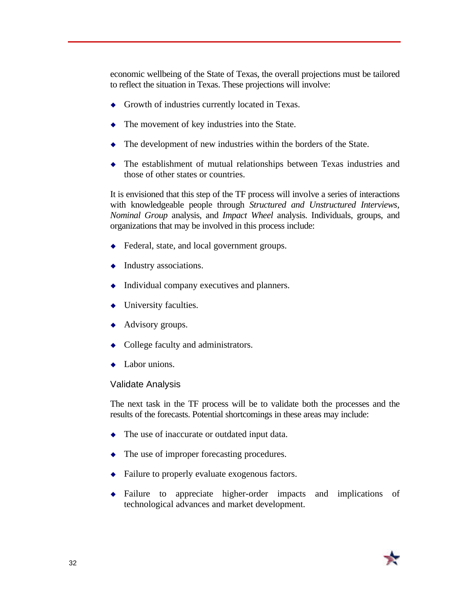economic wellbeing of the State of Texas, the overall projections must be tailored to reflect the situation in Texas. These projections will involve:

- $\leftrightarrow$  Growth of industries currently located in Texas.
- $\bullet$  The movement of key industries into the State.
- $\bullet$  The development of new industries within the borders of the State.
- $\bullet$  The establishment of mutual relationships between Texas industries and those of other states or countries.

It is envisioned that this step of the TF process will involve a series of interactions with knowledgeable people through *Structured and Unstructured Interviews*, *Nominal Group* analysis, and *Impact Wheel* analysis. Individuals, groups, and organizations that may be involved in this process include:

- $\triangleleft$  Federal, state, and local government groups.
- $\bullet$  Industry associations.
- $\bullet$  Individual company executives and planners.
- University faculties.
- $\leftrightarrow$  Advisory groups.
- $\bullet$  College faculty and administrators.
- $\bullet$  Labor unions.

#### Validate Analysis

The next task in the TF process will be to validate both the processes and the results of the forecasts. Potential shortcomings in these areas may include:

- $\bullet$  The use of inaccurate or outdated input data.
- $\bullet$  The use of improper forecasting procedures.
- $\bullet$  Failure to properly evaluate exogenous factors.
- $\bullet$  Failure to appreciate higher-order impacts and implications of technological advances and market development.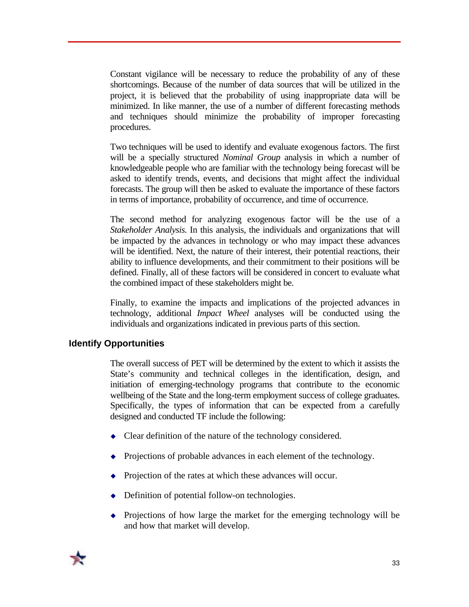Constant vigilance will be necessary to reduce the probability of any of these shortcomings. Because of the number of data sources that will be utilized in the project, it is believed that the probability of using inappropriate data will be minimized. In like manner, the use of a number of different forecasting methods and techniques should minimize the probability of improper forecasting procedures.

Two techniques will be used to identify and evaluate exogenous factors. The first will be a specially structured *Nominal Group* analysis in which a number of knowledgeable people who are familiar with the technology being forecast will be asked to identify trends, events, and decisions that might affect the individual forecasts. The group will then be asked to evaluate the importance of these factors in terms of importance, probability of occurrence, and time of occurrence.

The second method for analyzing exogenous factor will be the use of a *Stakeholder Analysis*. In this analysis, the individuals and organizations that will be impacted by the advances in technology or who may impact these advances will be identified. Next, the nature of their interest, their potential reactions, their ability to influence developments, and their commitment to their positions will be defined. Finally, all of these factors will be considered in concert to evaluate what the combined impact of these stakeholders might be.

Finally, to examine the impacts and implications of the projected advances in technology, additional *Impact Wheel* analyses will be conducted using the individuals and organizations indicated in previous parts of this section.

#### **Identify Opportunities**

The overall success of PET will be determined by the extent to which it assists the State's community and technical colleges in the identification, design, and initiation of emerging-technology programs that contribute to the economic wellbeing of the State and the long-term employment success of college graduates. Specifically, the types of information that can be expected from a carefully designed and conducted TF include the following:

- $\triangleleft$  Clear definition of the nature of the technology considered.
- $\leftrightarrow$  Projections of probable advances in each element of the technology.
- Projection of the rates at which these advances will occur.
- $\rightarrow$  Definition of potential follow-on technologies.
- $\bullet$  Projections of how large the market for the emerging technology will be and how that market will develop.

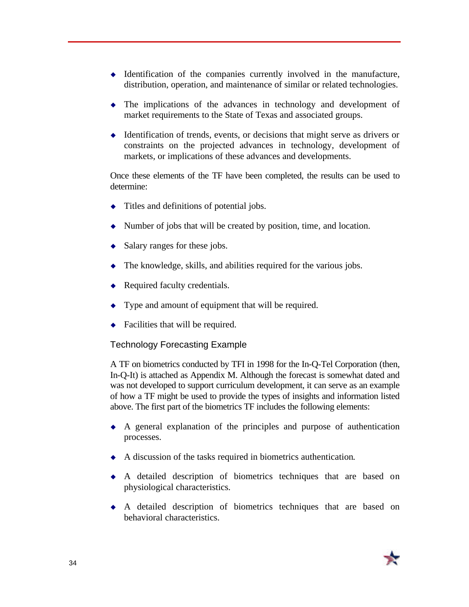- $\bullet$  Identification of the companies currently involved in the manufacture, distribution, operation, and maintenance of similar or related technologies.
- $\bullet$  The implications of the advances in technology and development of market requirements to the State of Texas and associated groups.
- $\triangleleft$  Identification of trends, events, or decisions that might serve as drivers or constraints on the projected advances in technology, development of markets, or implications of these advances and developments.

Once these elements of the TF have been completed, the results can be used to determine:

- $\bullet$  Titles and definitions of potential jobs.
- $\blacklozenge$  Number of jobs that will be created by position, time, and location.
- $\triangleleft$  Salary ranges for these jobs.
- $\bullet$  The knowledge, skills, and abilities required for the various jobs.
- $\triangle$  Required faculty credentials.
- $\bullet$  Type and amount of equipment that will be required.
- $\bullet$  Facilities that will be required.

#### Technology Forecasting Example

A TF on biometrics conducted by TFI in 1998 for the In-Q-Tel Corporation (then, In-Q-It) is attached as Appendix M. Although the forecast is somewhat dated and was not developed to support curriculum development, it can serve as an example of how a TF might be used to provide the types of insights and information listed above. The first part of the biometrics TF includes the following elements:

- $\bullet$  A general explanation of the principles and purpose of authentication processes.
- $\leftrightarrow$  A discussion of the tasks required in biometrics authentication.
- $\bullet$  A detailed description of biometrics techniques that are based on physiological characteristics.
- $\bullet$  A detailed description of biometrics techniques that are based on behavioral characteristics.

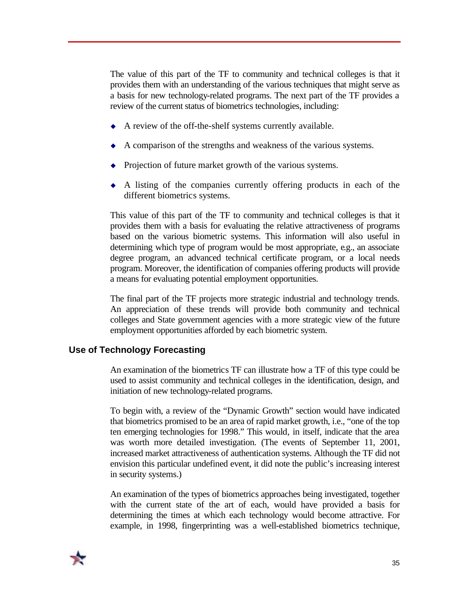The value of this part of the TF to community and technical colleges is that it provides them with an understanding of the various techniques that might serve as a basis for new technology-related programs. The next part of the TF provides a review of the current status of biometrics technologies, including:

- $\blacklozenge$  A review of the off-the-shelf systems currently available.
- $\triangle$  A comparison of the strengths and weakness of the various systems.
- $\rightarrow$  Projection of future market growth of the various systems.
- $\leftrightarrow$  A listing of the companies currently offering products in each of the different biometrics systems.

This value of this part of the TF to community and technical colleges is that it provides them with a basis for evaluating the relative attractiveness of programs based on the various biometric systems. This information will also useful in determining which type of program would be most appropriate, e.g., an associate degree program, an advanced technical certificate program, or a local needs program. Moreover, the identification of companies offering products will provide a means for evaluating potential employment opportunities.

The final part of the TF projects more strategic industrial and technology trends. An appreciation of these trends will provide both community and technical colleges and State government agencies with a more strategic view of the future employment opportunities afforded by each biometric system.

#### **Use of Technology Forecasting**

An examination of the biometrics TF can illustrate how a TF of this type could be used to assist community and technical colleges in the identification, design, and initiation of new technology-related programs.

To begin with, a review of the "Dynamic Growth" section would have indicated that biometrics promised to be an area of rapid market growth, i.e., "one of the top ten emerging technologies for 1998." This would, in itself, indicate that the area was worth more detailed investigation. (The events of September 11, 2001, increased market attractiveness of authentication systems. Although the TF did not envision this particular undefined event, it did note the public's increasing interest in security systems.)

An examination of the types of biometrics approaches being investigated, together with the current state of the art of each, would have provided a basis for determining the times at which each technology would become attractive. For example, in 1998, fingerprinting was a well-established biometrics technique,

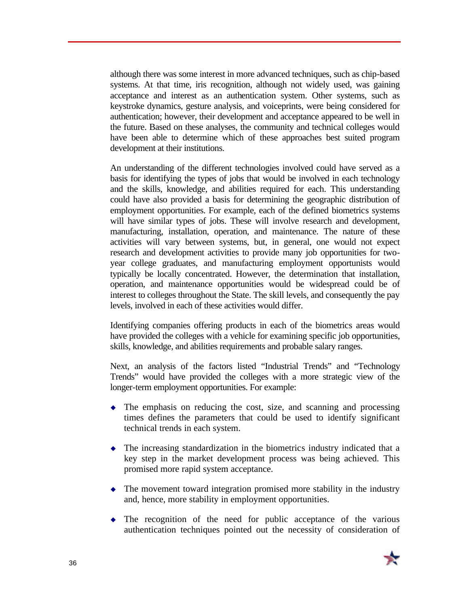although there was some interest in more advanced techniques, such as chip-based systems. At that time, iris recognition, although not widely used, was gaining acceptance and interest as an authentication system. Other systems, such as keystroke dynamics, gesture analysis, and voiceprints, were being considered for authentication; however, their development and acceptance appeared to be well in the future. Based on these analyses, the community and technical colleges would have been able to determine which of these approaches best suited program development at their institutions.

An understanding of the different technologies involved could have served as a basis for identifying the types of jobs that would be involved in each technology and the skills, knowledge, and abilities required for each. This understanding could have also provided a basis for determining the geographic distribution of employment opportunities. For example, each of the defined biometrics systems will have similar types of jobs. These will involve research and development, manufacturing, installation, operation, and maintenance. The nature of these activities will vary between systems, but, in general, one would not expect research and development activities to provide many job opportunities for twoyear college graduates, and manufacturing employment opportunists would typically be locally concentrated. However, the determination that installation, operation, and maintenance opportunities would be widespread could be of interest to colleges throughout the State. The skill levels, and consequently the pay levels, involved in each of these activities would differ.

Identifying companies offering products in each of the biometrics areas would have provided the colleges with a vehicle for examining specific job opportunities, skills, knowledge, and abilities requirements and probable salary ranges.

Next, an analysis of the factors listed "Industrial Trends" and "Technology Trends" would have provided the colleges with a more strategic view of the longer-term employment opportunities. For example:

- $\bullet$  The emphasis on reducing the cost, size, and scanning and processing times defines the parameters that could be used to identify significant technical trends in each system.
- $\bullet$  The increasing standardization in the biometrics industry indicated that a key step in the market development process was being achieved. This promised more rapid system acceptance.
- $\bullet$  The movement toward integration promised more stability in the industry and, hence, more stability in employment opportunities.
- $\bullet$  The recognition of the need for public acceptance of the various authentication techniques pointed out the necessity of consideration of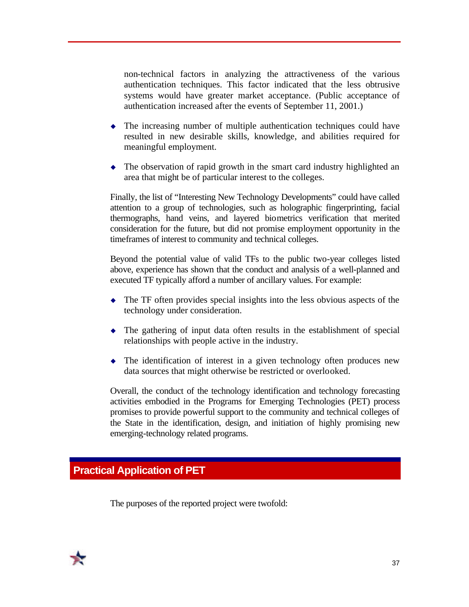non-technical factors in analyzing the attractiveness of the various authentication techniques. This factor indicated that the less obtrusive systems would have greater market acceptance. (Public acceptance of authentication increased after the events of September 11, 2001.)

- $\bullet$  The increasing number of multiple authentication techniques could have resulted in new desirable skills, knowledge, and abilities required for meaningful employment.
- $\bullet$  The observation of rapid growth in the smart card industry highlighted an area that might be of particular interest to the colleges.

Finally, the list of "Interesting New Technology Developments" could have called attention to a group of technologies, such as holographic fingerprinting, facial thermographs, hand veins, and layered biometrics verification that merited consideration for the future, but did not promise employment opportunity in the timeframes of interest to community and technical colleges.

Beyond the potential value of valid TFs to the public two-year colleges listed above, experience has shown that the conduct and analysis of a well-planned and executed TF typically afford a number of ancillary values. For example:

- $\bullet$  The TF often provides special insights into the less obvious aspects of the technology under consideration.
- $\bullet$  The gathering of input data often results in the establishment of special relationships with people active in the industry.
- $\bullet$  The identification of interest in a given technology often produces new data sources that might otherwise be restricted or overlooked.

Overall, the conduct of the technology identification and technology forecasting activities embodied in the Programs for Emerging Technologies (PET) process promises to provide powerful support to the community and technical colleges of the State in the identification, design, and initiation of highly promising new emerging-technology related programs.

# **Practical Application of PET**

The purposes of the reported project were twofold:

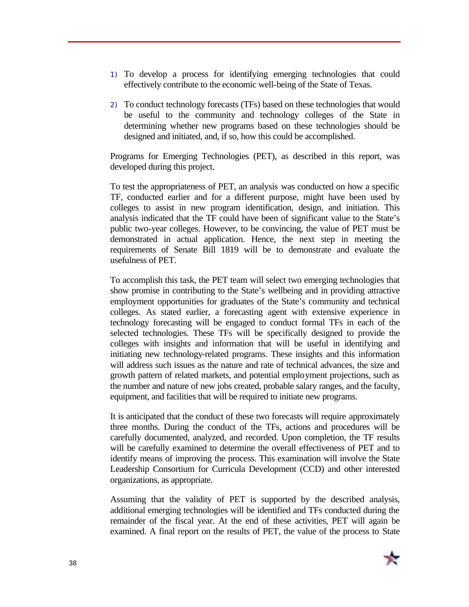- 1) To develop a process for identifying emerging technologies that could effectively contribute to the economic well-being of the State of Texas.
- 2) To conduct technology forecasts (TFs) based on these technologies that would be useful to the community and technology colleges of the State in determining whether new programs based on these technologies should be designed and initiated, and, if so, how this could be accomplished.

Programs for Emerging Technologies (PET), as described in this report, was developed during this project.

To test the appropriateness of PET, an analysis was conducted on how a specific TF, conducted earlier and for a different purpose, might have been used by colleges to assist in new program identification, design, and initiation. This analysis indicated that the TF could have been of significant value to the State's public two-year colleges. However, to be convincing, the value of PET must be demonstrated in actual application. Hence, the next step in meeting the requirements of Senate Bill 1819 will be to demonstrate and evaluate the usefulness of PET.

To accomplish this task, the PET team will select two emerging technologies that show promise in contributing to the State's wellbeing and in providing attractive employment opportunities for graduates of the State's community and technical colleges. As stated earlier, a forecasting agent with extensive experience in technology forecasting will be engaged to conduct formal TFs in each of the selected technologies. These TFs will be specifically designed to provide the colleges with insights and information that will be useful in identifying and initiating new technology-related programs. These insights and this information will address such issues as the nature and rate of technical advances, the size and growth pattern of related markets, and potential employment projections, such as the number and nature of new jobs created, probable salary ranges, and the faculty, equipment, and facilities that will be required to initiate new programs.

It is anticipated that the conduct of these two forecasts will require approximately three months. During the conduct of the TFs, actions and procedures will be carefully documented, analyzed, and recorded. Upon completion, the TF results will be carefully examined to determine the overall effectiveness of PET and to identify means of improving the process. This examination will involve the State Leadership Consortium for Curricula Development (CCD) and other interested organizations, as appropriate.

Assuming that the validity of PET is supported by the described analysis, additional emerging technologies will be identified and TFs conducted during the remainder of the fiscal year. At the end of these activities, PET will again be examined. A final report on the results of PET, the value of the process to State

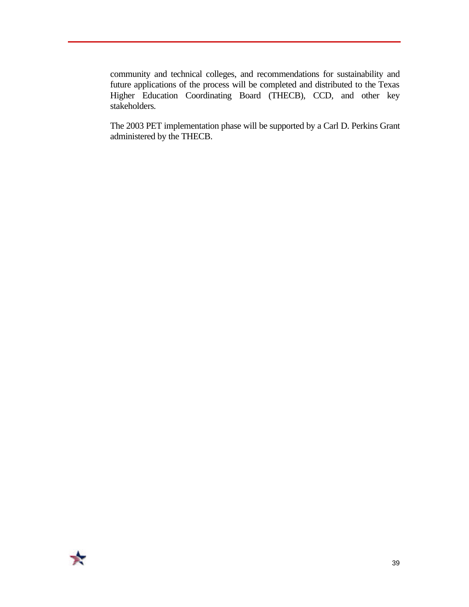community and technical colleges, and recommendations for sustainability and future applications of the process will be completed and distributed to the Texas Higher Education Coordinating Board (THECB), CCD, and other key stakeholders.

The 2003 PET implementation phase will be supported by a Carl D. Perkins Grant administered by the THECB.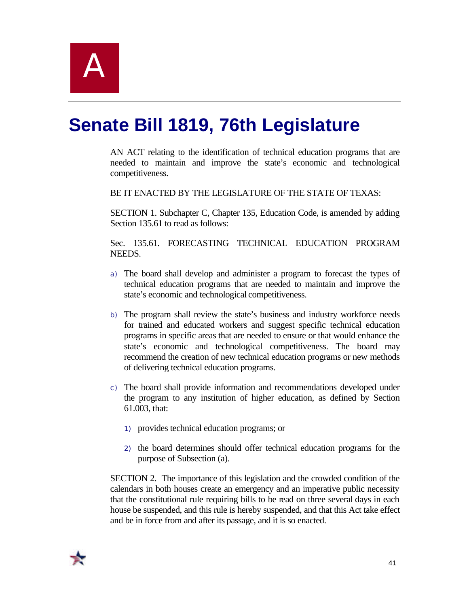# **Senate Bill 1819, 76th Legislature**

AN ACT relating to the identification of technical education programs that are needed to maintain and improve the state's economic and technological competitiveness.

BE IT ENACTED BY THE LEGISLATURE OF THE STATE OF TEXAS:

SECTION 1. Subchapter C, Chapter 135, Education Code, is amended by adding Section 135.61 to read as follows:

Sec. 135.61. FORECASTING TECHNICAL EDUCATION PROGRAM NEEDS.

- a) The board shall develop and administer a program to forecast the types of technical education programs that are needed to maintain and improve the state's economic and technological competitiveness.
- b) The program shall review the state's business and industry workforce needs for trained and educated workers and suggest specific technical education programs in specific areas that are needed to ensure or that would enhance the state's economic and technological competitiveness. The board may recommend the creation of new technical education programs or new methods of delivering technical education programs.
- c) The board shall provide information and recommendations developed under the program to any institution of higher education, as defined by Section 61.003, that:
	- 1) provides technical education programs; or
	- 2) the board determines should offer technical education programs for the purpose of Subsection (a).

SECTION 2. The importance of this legislation and the crowded condition of the calendars in both houses create an emergency and an imperative public necessity that the constitutional rule requiring bills to be read on three several days in each house be suspended, and this rule is hereby suspended, and that this Act take effect and be in force from and after its passage, and it is so enacted.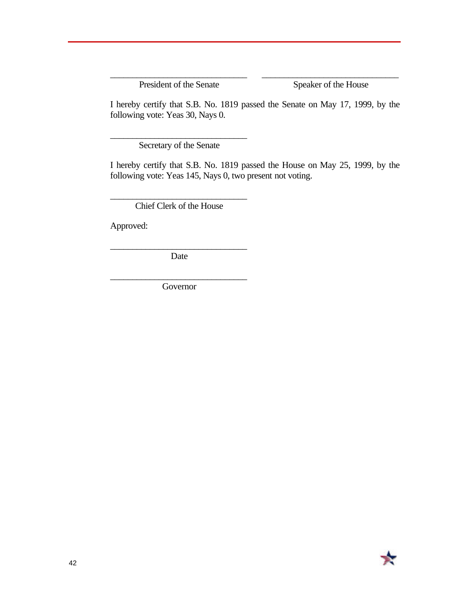President of the Senate Speaker of the House

I hereby certify that S.B. No. 1819 passed the Senate on May 17, 1999, by the following vote: Yeas 30, Nays 0.

\_\_\_\_\_\_\_\_\_\_\_\_\_\_\_\_\_\_\_\_\_\_\_\_\_\_\_\_\_\_\_ \_\_\_\_\_\_\_\_\_\_\_\_\_\_\_\_\_\_\_\_\_\_\_\_\_\_\_\_\_\_\_

\_\_\_\_\_\_\_\_\_\_\_\_\_\_\_\_\_\_\_\_\_\_\_\_\_\_\_\_\_\_\_ Secretary of the Senate

I hereby certify that S.B. No. 1819 passed the House on May 25, 1999, by the following vote: Yeas 145, Nays 0, two present not voting.

\_\_\_\_\_\_\_\_\_\_\_\_\_\_\_\_\_\_\_\_\_\_\_\_\_\_\_\_\_\_\_ Chief Clerk of the House

Approved:

\_\_\_\_\_\_\_\_\_\_\_\_\_\_\_\_\_\_\_\_\_\_\_\_\_\_\_\_\_\_\_ Date

\_\_\_\_\_\_\_\_\_\_\_\_\_\_\_\_\_\_\_\_\_\_\_\_\_\_\_\_\_\_\_ Governor

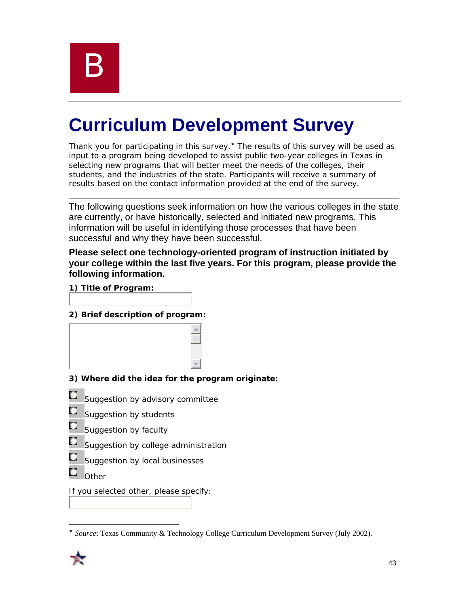

# **Curriculum Development Survey**

Thank you for participating in this survey.<sup>\*</sup> The results of this survey will be used as input to a program being developed to assist public two-year colleges in Texas in selecting new programs that will better meet the needs of the colleges, their students, and the industries of the state. Participants will receive a summary of results based on the contact information provided at the end of the survey.

The following questions seek information on how the various colleges in the state are currently, or have historically, selected and initiated new programs. This information will be useful in identifying those processes that have been successful and why they have been successful.

#### **Please select one technology-oriented program of instruction initiated by your college within the last five years. For this program, please provide the following information.**

**1) Title of Program:**

#### **2) Brief description of program:**

|    | 3) Where did the idea for the program originate: |
|----|--------------------------------------------------|
| C) | Suggestion by advisory committee                 |
| C. | Suggestion by students                           |
| C, | Suggestion by faculty                            |
| C, | Suggestion by college administration             |
| C, | Suggestion by local businesses                   |
| C. | Other                                            |
|    | If you selected other, please specify:           |

 $\overline{a}$ ´ *Source*: Texas Community & Technology College Curriculum Development Survey (July 2002).

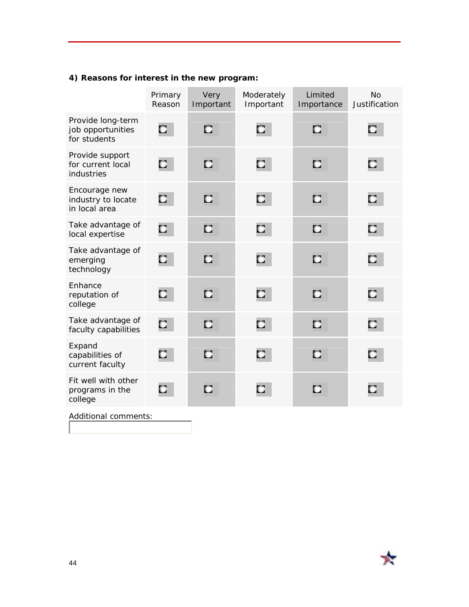# **4) Reasons for interest in the new program:**

|                                                        | Primary<br>Reason         | Very<br>Important | Moderately<br>Important | Limited<br>Importance | <b>No</b><br>Justification |
|--------------------------------------------------------|---------------------------|-------------------|-------------------------|-----------------------|----------------------------|
| Provide long-term<br>job opportunities<br>for students | $\mathbf{C}$              | C.                | $\mathbb{Z}$            | C                     | $\mathbf{C}$               |
| Provide support<br>for current local<br>industries     | $\mathbf{C}$              | C                 | $\mathbf{C}$            | C                     | $\mathbf{C}$               |
| Encourage new<br>industry to locate<br>in local area   | $\mathbb{C}^{\mathbb{Z}}$ | C                 | $\mathbf{C}$            | C                     | C                          |
| Take advantage of<br>local expertise                   | O                         | C                 | C                       | C                     | C                          |
| Take advantage of<br>emerging<br>technology            | $\mathbf{C}$              | n                 | $\mathbf{C}$            | C                     | C                          |
| Enhance<br>reputation of<br>college                    | $\mathbf{C}$              | C                 | $\mathbf{C}$            | C                     | $\mathbf{C}$               |
| Take advantage of<br>faculty capabilities              | $\Box$                    | n                 | C                       | n                     | C.                         |
| Expand<br>capabilities of<br>current faculty           | D                         | C                 | $\mathbf{C}$            | C                     | $\mathbb{C}$               |
| Fit well with other<br>programs in the<br>college      | $\mathbf{C}$              | C                 | C.                      | C                     | C                          |
| Additional comments:                                   |                           |                   |                         |                       |                            |

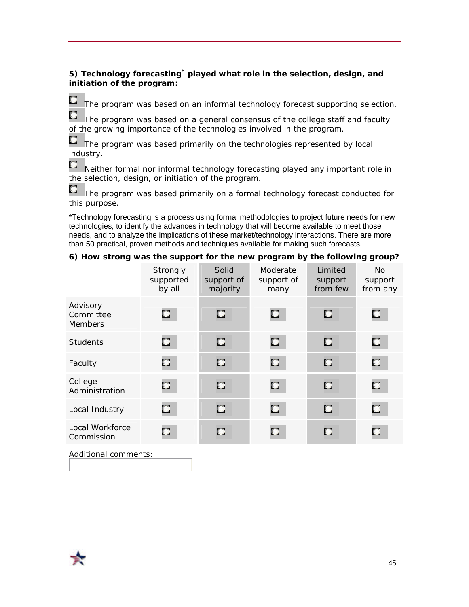#### **5) Technology forecasting\* played what role in the selection, design, and initiation of the program:**

 $\Box$  The program was based on an informal technology forecast supporting selection.

 $\Box$  The program was based on a general consensus of the college staff and faculty of the growing importance of the technologies involved in the program.

 $\Box$  The program was based primarily on the technologies represented by local industry.

 $\Box$  Neither formal nor informal technology forecasting played any important role in the selection, design, or initiation of the program.

The program was based primarily on a formal technology forecast conducted for this purpose.

\*Technology forecasting is a process using formal methodologies to project future needs for new technologies, to identify the advances in technology that will become available to meet those needs, and to analyze the implications of these market/technology interactions. There are more than 50 practical, proven methods and techniques available for making such forecasts.

#### **6) How strong was the support for the new program by the following group?**

|                                         | Strongly<br>supported<br>by all | Solid<br>support of<br>majority | Moderate<br>support of<br>many | Limited<br>support<br>from few | <b>No</b><br>support<br>from any |
|-----------------------------------------|---------------------------------|---------------------------------|--------------------------------|--------------------------------|----------------------------------|
| Advisory<br>Committee<br><b>Members</b> | C.                              | C                               | C                              | C                              | C                                |
| <b>Students</b>                         | $\mathbf{C}$                    | O                               | $\mathbf{C}$                   | C                              | O                                |
| Faculty                                 | $\bullet$                       | C.                              | $\mathbf{C}$                   | C                              | C                                |
| College<br>Administration               | $\mathbf C$                     | C.                              | $\bullet$                      | C                              | C                                |
| Local Industry                          | O                               | C                               | $\mathbf{C}$                   | C                              | C.                               |
| Local Workforce<br>Commission           | C                               | C                               | O                              | C                              | C.                               |

Additional comments: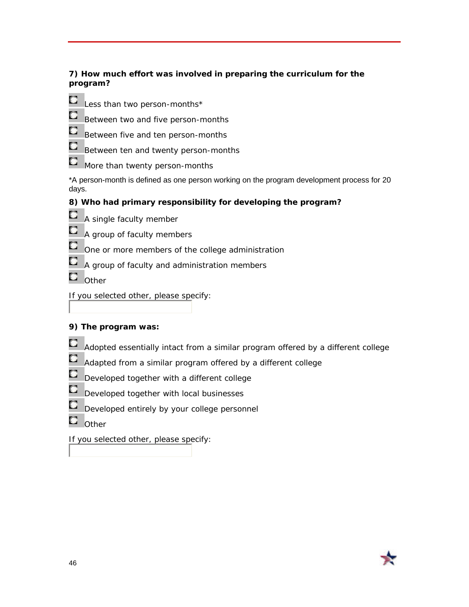#### **7) How much effort was involved in preparing the curriculum for the program?**

- 
- $\Box$  Less than two person-months\*
- $\Box$  Between two and five person-months
- $\Box$  Between five and ten person-months
- $\mathbf{E}$  Between ten and twenty person-months
- $\Box$  More than twenty person-months

\*A person-month is defined as one person working on the program development process for 20 days.

## **8) Who had primary responsibility for developing the program?**

- $\Box$  A single faculty member
- $\Box$  A group of faculty members
- $\Box$  One or more members of the college administration
- $\mathbb{C}$  A group of faculty and administration members
- $\blacksquare$  Other
- If you selected other, please specify:

## **9) The program was:**

- **Adopted essentially intact from a similar program offered by a different college**
- $\Box$  Adapted from a similar program offered by a different college
- $\mathbf{C}$ Developed together with a different college
- $\mathbf{C}$ Developed together with local businesses
- $\Box$  Developed entirely by your college personnel
- $\blacksquare$  Other

If you selected other, please specify:

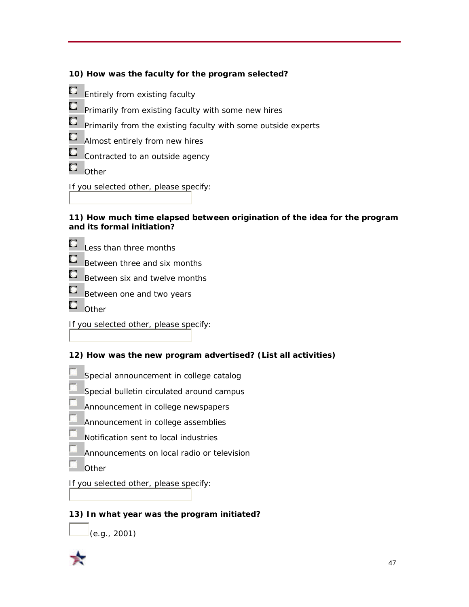|  |  |  | 10) How was the faculty for the program selected? |
|--|--|--|---------------------------------------------------|
|  |  |  |                                                   |



#### **11) How much time elapsed between origination of the idea for the program and its formal initiation?**

- $\Box$  Less than three months
- $\Box$  Between three and six months
- $\Box$  Between six and twelve months
- $\Box$  Between one and two years
- $\blacksquare$  Other

If you selected other, please specify:

#### **12) How was the new program advertised? (List all activities)**

- Special announcement in college catalog
- Special bulletin circulated around campus
- Announcement in college newspapers
- Announcement in college assemblies
- Notification sent to local industries
- Announcements on local radio or television
- **Other**

#### If you selected other, please specify:

### **13) In what year was the program initiated?**

 $(e.g., 2001)$ 

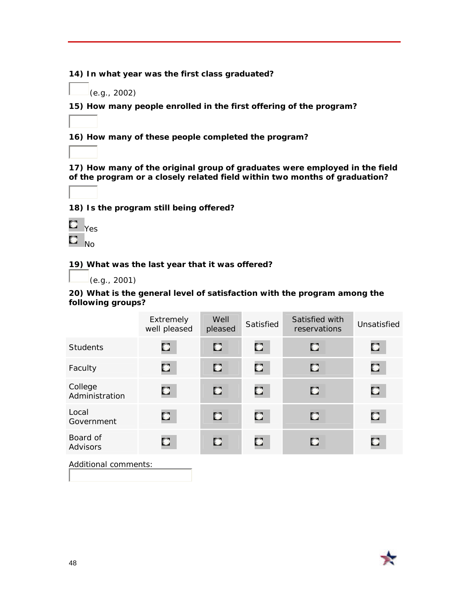**14) In what year was the first class graduated?**

(e.g., 2002)

**15) How many people enrolled in the first offering of the program?**

**16) How many of these people completed the program?**

**17) How many of the original group of graduates were employed in the field of the program or a closely related field within two months of graduation?**

**18) Is the program still being offered?**



**19) What was the last year that it was offered?**

(e.g., 2001)

**20) What is the general level of satisfaction with the program among the following groups?**

|                           | Extremely<br>well pleased | Well<br>pleased | Satisfied    | Satisfied with<br>reservations | Unsatisfied |
|---------------------------|---------------------------|-----------------|--------------|--------------------------------|-------------|
| <b>Students</b>           | $\mathbf{C}$              | C               | C.           | C                              | C           |
| Faculty                   | $\mathbb{C}$              | $\bullet$       | $\mathbb{C}$ | C                              | O           |
| College<br>Administration | $\mathbf{C}$              | $\mathbf{C}$    | C.           | C                              | O,          |
| Local<br>Government       | $\mathbb{C}$              | C               | о            | С                              | C           |
| Board of<br>Advisors      | $\mathbb{C}$              | C               | C.           | О                              | C           |
| Additional comments:      |                           |                 |              |                                |             |

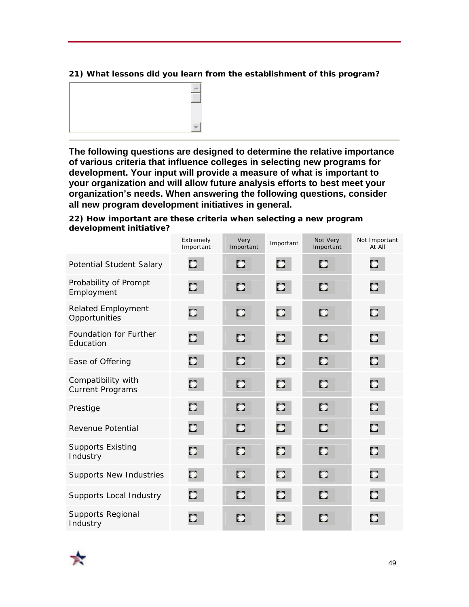#### **21) What lessons did you learn from the establishment of this program?**



**The following questions are designed to determine the relative importance of various criteria that influence colleges in selecting new programs for development. Your input will provide a measure of what is important to your organization and will allow future analysis efforts to best meet your organization's needs. When answering the following questions, consider all new program development initiatives in general.**

**22) How important are these criteria when selecting a new program development initiative?** 

|                                               | Extremely<br>Important | Very<br>Important | Important    | Not Very<br>Important | Not Important<br>At All |
|-----------------------------------------------|------------------------|-------------------|--------------|-----------------------|-------------------------|
| Potential Student Salary                      | C                      | C                 | $\mathbf{C}$ | C.                    | C                       |
| Probability of Prompt<br>Employment           | C                      | C                 | $\mathbf{C}$ | D                     | O                       |
| <b>Related Employment</b><br>Opportunities    | C                      | C                 | C            | C                     | С                       |
| Foundation for Further<br>Education           | О                      | n                 | C            | C                     | C                       |
| Ease of Offering                              | C                      | D                 | C            | n                     | C                       |
| Compatibility with<br><b>Current Programs</b> | O                      | C.                | C            | C                     | o                       |
| Prestige                                      | C                      | п                 | C            | D                     | O                       |
| Revenue Potential                             | C                      | C                 | C            | C                     | С                       |
| <b>Supports Existing</b><br>Industry          | $\mathbf{C}$           | C                 | C            | C                     | o                       |
| <b>Supports New Industries</b>                | C                      | C.                | C            | C                     | O                       |
| Supports Local Industry                       | O                      | C                 | C            | C                     | О                       |
| <b>Supports Regional</b><br>Industry          | C.                     | C                 | C            | C                     | C.                      |

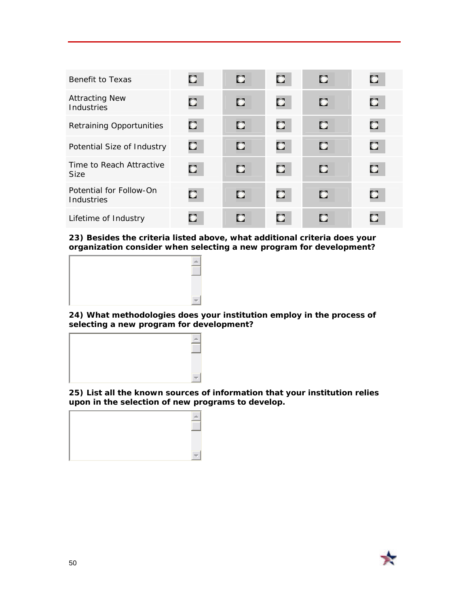| Benefit to Texas                        | 0            | C  | Ω.           | о | C. |
|-----------------------------------------|--------------|----|--------------|---|----|
| <b>Attracting New</b><br>Industries     | C.           | n  | $\mathbf{C}$ | п | Ø. |
| <b>Retraining Opportunities</b>         | $\mathbf{C}$ | C  | 0.           | о | œ  |
| Potential Size of Industry              | o.           | C. | O.           | о | О. |
| Time to Reach Attractive<br><b>Size</b> | $\bullet$    | D  | Ω.           | п | Ω. |
| Potential for Follow-On<br>Industries   | $\mathbf{C}$ | D  | $\mathbf{C}$ | п | Ω. |
| Lifetime of Industry                    | Œ            | С  | C.           | С | п  |

**23) Besides the criteria listed above, what additional criteria does your organization consider when selecting a new program for development?**



**24) What methodologies does your institution employ in the process of selecting a new program for development?**



**25) List all the known sources of information that your institution relies upon in the selection of new programs to develop.**



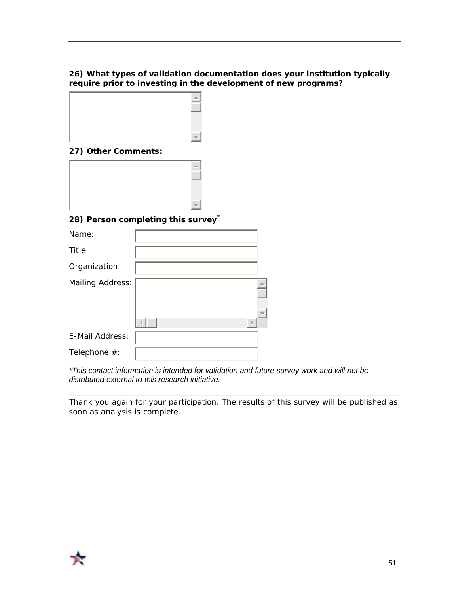#### **26) What types of validation documentation does your institution typically require prior to investing in the development of new programs?**



#### **27) Other Comments:**

#### **28) Person completing this survey\***

| Name:                   |  |
|-------------------------|--|
| Title                   |  |
| Organization            |  |
| <b>Mailing Address:</b> |  |
|                         |  |
| E-Mail Address:         |  |
| Telephone #:            |  |

*\*This contact information is intended for validation and future survey work and will not be distributed external to this research initiative.* 

*Thank you again for your participation. The results of this survey will be published as soon as analysis is complete.* 

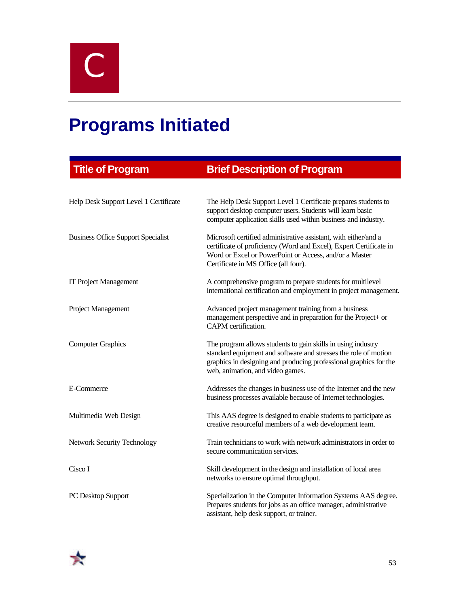C

# **Programs Initiated**

| <b>Title of Program</b>                   | <b>Brief Description of Program</b>                                                                                                                                                                                                      |
|-------------------------------------------|------------------------------------------------------------------------------------------------------------------------------------------------------------------------------------------------------------------------------------------|
|                                           |                                                                                                                                                                                                                                          |
| Help Desk Support Level 1 Certificate     | The Help Desk Support Level 1 Certificate prepares students to<br>support desktop computer users. Students will learn basic<br>computer application skills used within business and industry.                                            |
| <b>Business Office Support Specialist</b> | Microsoft certified administrative assistant, with either/and a<br>certificate of proficiency (Word and Excel), Expert Certificate in<br>Word or Excel or PowerPoint or Access, and/or a Master<br>Certificate in MS Office (all four).  |
| <b>IT Project Management</b>              | A comprehensive program to prepare students for multilevel<br>international certification and employment in project management.                                                                                                          |
| Project Management                        | Advanced project management training from a business<br>management perspective and in preparation for the Project+ or<br>CAPM certification.                                                                                             |
| <b>Computer Graphics</b>                  | The program allows students to gain skills in using industry<br>standard equipment and software and stresses the role of motion<br>graphics in designing and producing professional graphics for the<br>web, animation, and video games. |
| E-Commerce                                | Addresses the changes in business use of the Internet and the new<br>business processes available because of Internet technologies.                                                                                                      |
| Multimedia Web Design                     | This AAS degree is designed to enable students to participate as<br>creative resourceful members of a web development team.                                                                                                              |
| <b>Network Security Technology</b>        | Train technicians to work with network administrators in order to<br>secure communication services.                                                                                                                                      |
| Cisco I                                   | Skill development in the design and installation of local area<br>networks to ensure optimal throughput.                                                                                                                                 |
| PC Desktop Support                        | Specialization in the Computer Information Systems AAS degree.<br>Prepares students for jobs as an office manager, administrative<br>assistant, help desk support, or trainer.                                                           |

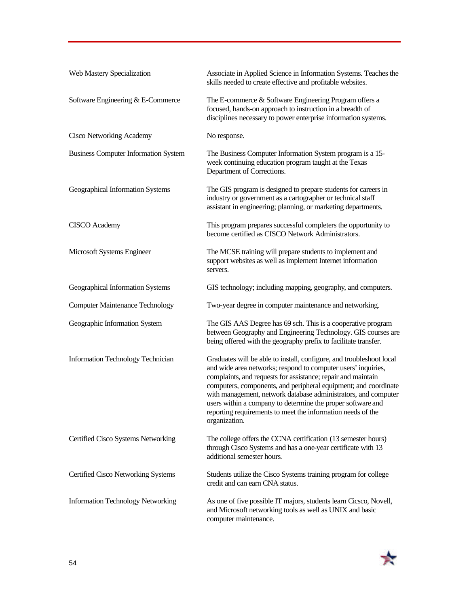| Web Mastery Specialization                  | Associate in Applied Science in Information Systems. Teaches the<br>skills needed to create effective and profitable websites.                                                                                                                                                                                                                                                                                                                                                            |
|---------------------------------------------|-------------------------------------------------------------------------------------------------------------------------------------------------------------------------------------------------------------------------------------------------------------------------------------------------------------------------------------------------------------------------------------------------------------------------------------------------------------------------------------------|
| Software Engineering & E-Commerce           | The E-commerce & Software Engineering Program offers a<br>focused, hands-on approach to instruction in a breadth of<br>disciplines necessary to power enterprise information systems.                                                                                                                                                                                                                                                                                                     |
| <b>Cisco Networking Academy</b>             | No response.                                                                                                                                                                                                                                                                                                                                                                                                                                                                              |
| <b>Business Computer Information System</b> | The Business Computer Information System program is a 15-<br>week continuing education program taught at the Texas<br>Department of Corrections.                                                                                                                                                                                                                                                                                                                                          |
| Geographical Information Systems            | The GIS program is designed to prepare students for careers in<br>industry or government as a cartographer or technical staff<br>assistant in engineering; planning, or marketing departments.                                                                                                                                                                                                                                                                                            |
| <b>CISCO</b> Academy                        | This program prepares successful completers the opportunity to<br>become certified as CISCO Network Administrators.                                                                                                                                                                                                                                                                                                                                                                       |
| Microsoft Systems Engineer                  | The MCSE training will prepare students to implement and<br>support websites as well as implement Internet information<br>servers.                                                                                                                                                                                                                                                                                                                                                        |
| Geographical Information Systems            | GIS technology; including mapping, geography, and computers.                                                                                                                                                                                                                                                                                                                                                                                                                              |
| <b>Computer Maintenance Technology</b>      | Two-year degree in computer maintenance and networking.                                                                                                                                                                                                                                                                                                                                                                                                                                   |
| Geographic Information System               | The GIS AAS Degree has 69 sch. This is a cooperative program<br>between Geography and Engineering Technology. GIS courses are<br>being offered with the geography prefix to facilitate transfer.                                                                                                                                                                                                                                                                                          |
| Information Technology Technician           | Graduates will be able to install, configure, and troubleshoot local<br>and wide area networks; respond to computer users' inquiries,<br>complaints, and requests for assistance; repair and maintain<br>computers, components, and peripheral equipment; and coordinate<br>with management, network database administrators, and computer<br>users within a company to determine the proper software and<br>reporting requirements to meet the information needs of the<br>organization. |
| Certified Cisco Systems Networking          | The college offers the CCNA certification (13 semester hours)<br>through Cisco Systems and has a one-year certificate with 13<br>additional semester hours.                                                                                                                                                                                                                                                                                                                               |
| Certified Cisco Networking Systems          | Students utilize the Cisco Systems training program for college<br>credit and can earn CNA status.                                                                                                                                                                                                                                                                                                                                                                                        |
| <b>Information Technology Networking</b>    | As one of five possible IT majors, students learn Cicsco, Novell,<br>and Microsoft networking tools as well as UNIX and basic<br>computer maintenance.                                                                                                                                                                                                                                                                                                                                    |

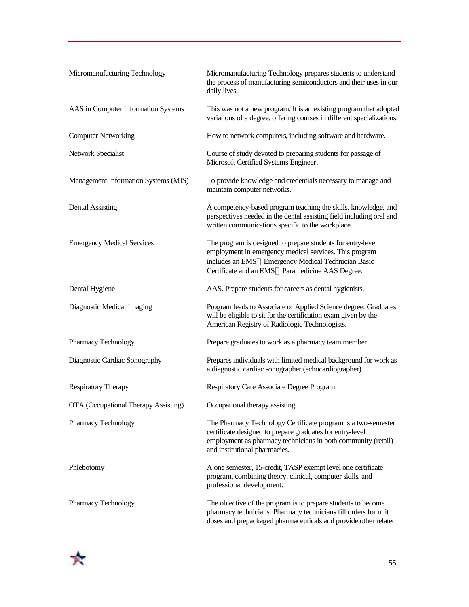| Micromanufacturing Technology        | Micromanufacturing Technology prepares students to understand<br>the process of manufacturing semiconductors and their uses in our<br>daily lives.                                                                             |
|--------------------------------------|--------------------------------------------------------------------------------------------------------------------------------------------------------------------------------------------------------------------------------|
| AAS in Computer Information Systems  | This was not a new program. It is an existing program that adopted<br>variations of a degree, offering courses in different specializations.                                                                                   |
| <b>Computer Networking</b>           | How to network computers, including software and hardware.                                                                                                                                                                     |
| Network Specialist                   | Course of study devoted to preparing students for passage of<br>Microsoft Certified Systems Engineer.                                                                                                                          |
| Management Information Systems (MIS) | To provide knowledge and credentials necessary to manage and<br>maintain computer networks.                                                                                                                                    |
| <b>Dental Assisting</b>              | A competency-based program teaching the skills, knowledge, and<br>perspectives needed in the dental assisting field including oral and<br>written communications specific to the workplace.                                    |
| <b>Emergency Medical Services</b>    | The program is designed to prepare students for entry-level<br>employment in emergency medical services. This program<br>includes an EMS-Emergency Medical Technician Basic<br>Certificate and an EMS-Paramedicine AAS Degree. |
| Dental Hygiene                       | AAS. Prepare students for careers as dental hygienists.                                                                                                                                                                        |
| Diagnostic Medical Imaging           | Program leads to Associate of Applied Science degree. Graduates<br>will be eligible to sit for the certification exam given by the<br>American Registry of Radiologic Technologists.                                           |
| Pharmacy Technology                  | Prepare graduates to work as a pharmacy team member.                                                                                                                                                                           |
| Diagnostic Cardiac Sonography        | Prepares individuals with limited medical background for work as<br>a diagnostic cardiac sonographer (echocardiographer).                                                                                                      |
| <b>Respiratory Therapy</b>           | Respiratory Care Associate Degree Program.                                                                                                                                                                                     |
| OTA (Occupational Therapy Assisting) | Occupational therapy assisting.                                                                                                                                                                                                |
| Pharmacy Technology                  | The Pharmacy Technology Certificate program is a two-semester<br>certificate designed to prepare graduates for entry-level<br>employment as pharmacy technicians in both community (retail)<br>and institutional pharmacies.   |
| Phlebotomy                           | A one semester, 15-credit, TASP exempt level one certificate<br>program, combining theory, clinical, computer skills, and<br>professional development.                                                                         |
| Pharmacy Technology                  | The objective of the program is to prepare students to become<br>pharmacy technicians. Pharmacy technicians fill orders for unit<br>doses and prepackaged pharmaceuticals and provide other related                            |

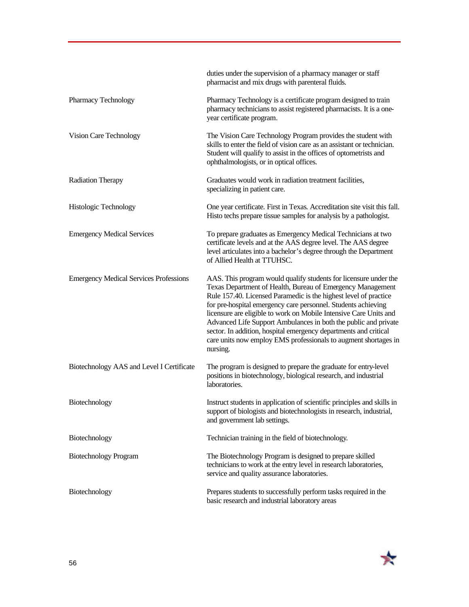|                                               | duties under the supervision of a pharmacy manager or staff<br>pharmacist and mix drugs with parenteral fluids.                                                                                                                                                                                                                                                                                                                                                                                                                                                |
|-----------------------------------------------|----------------------------------------------------------------------------------------------------------------------------------------------------------------------------------------------------------------------------------------------------------------------------------------------------------------------------------------------------------------------------------------------------------------------------------------------------------------------------------------------------------------------------------------------------------------|
| Pharmacy Technology                           | Pharmacy Technology is a certificate program designed to train<br>pharmacy technicians to assist registered pharmacists. It is a one-<br>year certificate program.                                                                                                                                                                                                                                                                                                                                                                                             |
| Vision Care Technology                        | The Vision Care Technology Program provides the student with<br>skills to enter the field of vision care as an assistant or technician.<br>Student will qualify to assist in the offices of optometrists and<br>ophthalmologists, or in optical offices.                                                                                                                                                                                                                                                                                                       |
| Radiation Therapy                             | Graduates would work in radiation treatment facilities,<br>specializing in patient care.                                                                                                                                                                                                                                                                                                                                                                                                                                                                       |
| Histologic Technology                         | One year certificate. First in Texas. Accreditation site visit this fall.<br>Histo techs prepare tissue samples for analysis by a pathologist.                                                                                                                                                                                                                                                                                                                                                                                                                 |
| <b>Emergency Medical Services</b>             | To prepare graduates as Emergency Medical Technicians at two<br>certificate levels and at the AAS degree level. The AAS degree<br>level articulates into a bachelor's degree through the Department<br>of Allied Health at TTUHSC.                                                                                                                                                                                                                                                                                                                             |
| <b>Emergency Medical Services Professions</b> | AAS. This program would qualify students for licensure under the<br>Texas Department of Health, Bureau of Emergency Management<br>Rule 157.40. Licensed Paramedic is the highest level of practice<br>for pre-hospital emergency care personnel. Students achieving<br>licensure are eligible to work on Mobile Intensive Care Units and<br>Advanced Life Support Ambulances in both the public and private<br>sector. In addition, hospital emergency departments and critical<br>care units now employ EMS professionals to augment shortages in<br>nursing. |
| Biotechnology AAS and Level I Certificate     | The program is designed to prepare the graduate for entry-level<br>positions in biotechnology, biological research, and industrial<br>laboratories.                                                                                                                                                                                                                                                                                                                                                                                                            |
| Biotechnology                                 | Instruct students in application of scientific principles and skills in<br>support of biologists and biotechnologists in research, industrial,<br>and government lab settings.                                                                                                                                                                                                                                                                                                                                                                                 |
| Biotechnology                                 | Technician training in the field of biotechnology.                                                                                                                                                                                                                                                                                                                                                                                                                                                                                                             |
| <b>Biotechnology Program</b>                  | The Biotechnology Program is designed to prepare skilled<br>technicians to work at the entry level in research laboratories,<br>service and quality assurance laboratories.                                                                                                                                                                                                                                                                                                                                                                                    |
| Biotechnology                                 | Prepares students to successfully perform tasks required in the<br>basic research and industrial laboratory areas                                                                                                                                                                                                                                                                                                                                                                                                                                              |

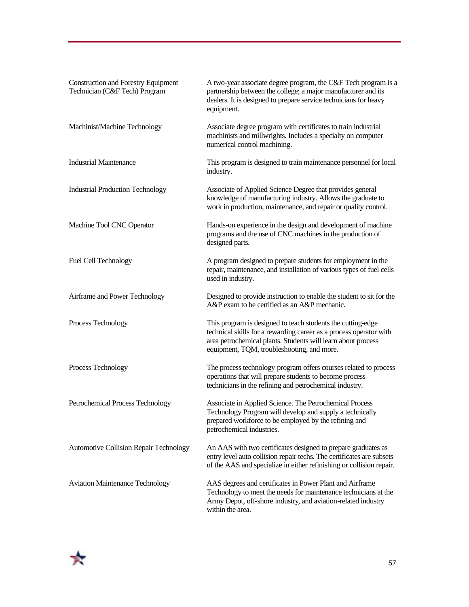| <b>Construction and Forestry Equipment</b><br>Technician (C&F Tech) Program | A two-year associate degree program, the C&F Tech program is a<br>partnership between the college; a major manufacturer and its<br>dealers. It is designed to prepare service technicians for heavy<br>equipment.                               |
|-----------------------------------------------------------------------------|-------------------------------------------------------------------------------------------------------------------------------------------------------------------------------------------------------------------------------------------------|
| Machinist/Machine Technology                                                | Associate degree program with certificates to train industrial<br>machinists and millwrights. Includes a specialty on computer<br>numerical control machining.                                                                                  |
| <b>Industrial Maintenance</b>                                               | This program is designed to train maintenance personnel for local<br>industry.                                                                                                                                                                  |
| <b>Industrial Production Technology</b>                                     | Associate of Applied Science Degree that provides general<br>knowledge of manufacturing industry. Allows the graduate to<br>work in production, maintenance, and repair or quality control.                                                     |
| Machine Tool CNC Operator                                                   | Hands-on experience in the design and development of machine<br>programs and the use of CNC machines in the production of<br>designed parts.                                                                                                    |
| <b>Fuel Cell Technology</b>                                                 | A program designed to prepare students for employment in the<br>repair, maintenance, and installation of various types of fuel cells<br>used in industry.                                                                                       |
| Airframe and Power Technology                                               | Designed to provide instruction to enable the student to sit for the<br>A&P exam to be certified as an A&P mechanic.                                                                                                                            |
| Process Technology                                                          | This program is designed to teach students the cutting-edge<br>technical skills for a rewarding career as a process operator with<br>area petrochemical plants. Students will learn about process<br>equipment, TQM, troubleshooting, and more. |
| Process Technology                                                          | The process technology program offers courses related to process<br>operations that will prepare students to become process<br>technicians in the refining and petrochemical industry.                                                          |
| Petrochemical Process Technology                                            | Associate in Applied Science. The Petrochemical Process<br>Technology Program will develop and supply a technically<br>prepared workforce to be employed by the refining and<br>petrochemical industries.                                       |
| Automotive Collision Repair Technology                                      | An AAS with two certificates designed to prepare graduates as<br>entry level auto collision repair techs. The certificates are subsets<br>of the AAS and specialize in either refinishing or collision repair.                                  |
| <b>Aviation Maintenance Technology</b>                                      | AAS degrees and certificates in Power Plant and Airframe<br>Technology to meet the needs for maintenance technicians at the<br>Army Depot, off-shore industry, and aviation-related industry<br>within the area.                                |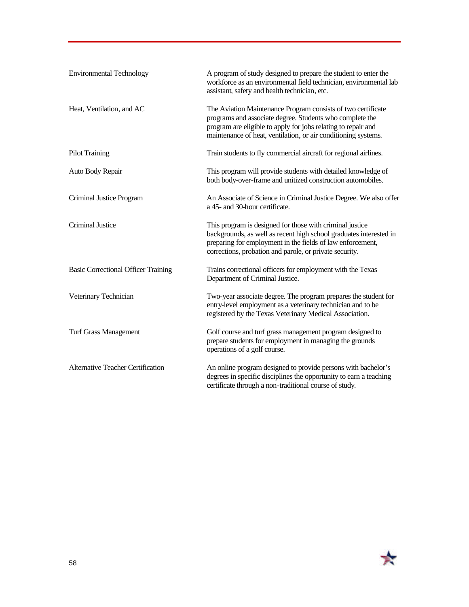| <b>Environmental Technology</b>            | A program of study designed to prepare the student to enter the<br>workforce as an environmental field technician, environmental lab<br>assistant, safety and health technician, etc.                                                                       |
|--------------------------------------------|-------------------------------------------------------------------------------------------------------------------------------------------------------------------------------------------------------------------------------------------------------------|
| Heat, Ventilation, and AC                  | The Aviation Maintenance Program consists of two certificate<br>programs and associate degree. Students who complete the<br>program are eligible to apply for jobs relating to repair and<br>maintenance of heat, ventilation, or air conditioning systems. |
| <b>Pilot Training</b>                      | Train students to fly commercial aircraft for regional airlines.                                                                                                                                                                                            |
| Auto Body Repair                           | This program will provide students with detailed knowledge of<br>both body-over-frame and unitized construction automobiles.                                                                                                                                |
| Criminal Justice Program                   | An Associate of Science in Criminal Justice Degree. We also offer<br>a 45- and 30-hour certificate.                                                                                                                                                         |
| Criminal Justice                           | This program is designed for those with criminal justice<br>backgrounds, as well as recent high school graduates interested in<br>preparing for employment in the fields of law enforcement,<br>corrections, probation and parole, or private security.     |
| <b>Basic Correctional Officer Training</b> | Trains correctional officers for employment with the Texas<br>Department of Criminal Justice.                                                                                                                                                               |
| Veterinary Technician                      | Two-year associate degree. The program prepares the student for<br>entry-level employment as a veterinary technician and to be<br>registered by the Texas Veterinary Medical Association.                                                                   |
| <b>Turf Grass Management</b>               | Golf course and turf grass management program designed to<br>prepare students for employment in managing the grounds<br>operations of a golf course.                                                                                                        |
| <b>Alternative Teacher Certification</b>   | An online program designed to provide persons with bachelor's<br>degrees in specific disciplines the opportunity to earn a teaching<br>certificate through a non-traditional course of study.                                                               |

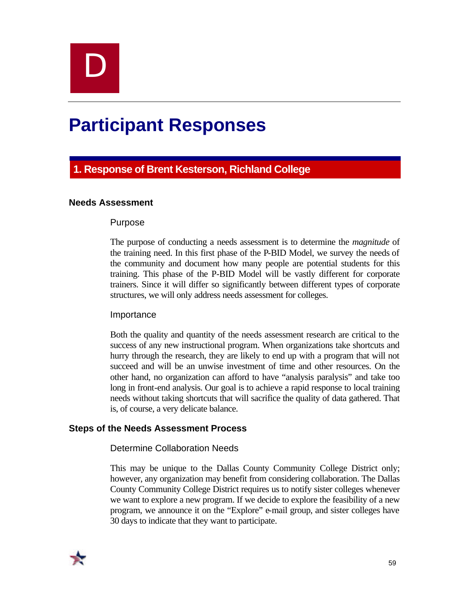

# **Participant Responses**

# **1. Response of Brent Kesterson, Richland College**

#### **Needs Assessment**

#### Purpose

The purpose of conducting a needs assessment is to determine the *magnitude* of the training need. In this first phase of the P-BID Model, we survey the needs of the community and document how many people are potential students for this training. This phase of the P-BID Model will be vastly different for corporate trainers. Since it will differ so significantly between different types of corporate structures, we will only address needs assessment for colleges.

#### Importance

Both the quality and quantity of the needs assessment research are critical to the success of any new instructional program. When organizations take shortcuts and hurry through the research, they are likely to end up with a program that will not succeed and will be an unwise investment of time and other resources. On the other hand, no organization can afford to have "analysis paralysis" and take too long in front-end analysis. Our goal is to achieve a rapid response to local training needs without taking shortcuts that will sacrifice the quality of data gathered. That is, of course, a very delicate balance.

#### **Steps of the Needs Assessment Process**

#### Determine Collaboration Needs

This may be unique to the Dallas County Community College District only; however, any organization may benefit from considering collaboration. The Dallas County Community College District requires us to notify sister colleges whenever we want to explore a new program. If we decide to explore the feasibility of a new program, we announce it on the "Explore" e-mail group, and sister colleges have 30 days to indicate that they want to participate.

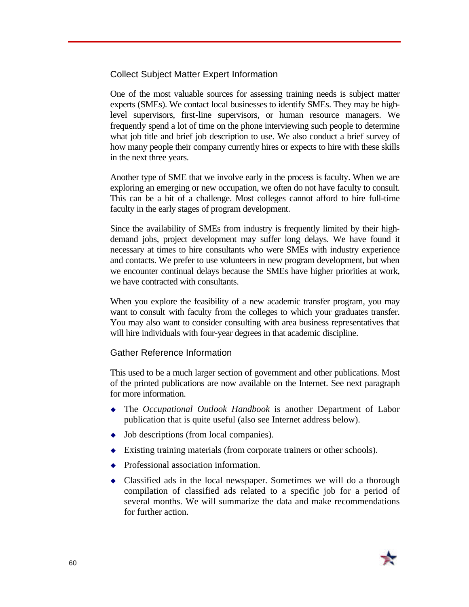Collect Subject Matter Expert Information

One of the most valuable sources for assessing training needs is subject matter experts (SMEs). We contact local businesses to identify SMEs. They may be highlevel supervisors, first-line supervisors, or human resource managers. We frequently spend a lot of time on the phone interviewing such people to determine what job title and brief job description to use. We also conduct a brief survey of how many people their company currently hires or expects to hire with these skills in the next three years.

Another type of SME that we involve early in the process is faculty. When we are exploring an emerging or new occupation, we often do not have faculty to consult. This can be a bit of a challenge. Most colleges cannot afford to hire full-time faculty in the early stages of program development.

Since the availability of SMEs from industry is frequently limited by their highdemand jobs, project development may suffer long delays. We have found it necessary at times to hire consultants who were SMEs with industry experience and contacts. We prefer to use volunteers in new program development, but when we encounter continual delays because the SMEs have higher priorities at work, we have contracted with consultants.

When you explore the feasibility of a new academic transfer program, you may want to consult with faculty from the colleges to which your graduates transfer. You may also want to consider consulting with area business representatives that will hire individuals with four-year degrees in that academic discipline.

#### Gather Reference Information

This used to be a much larger section of government and other publications. Most of the printed publications are now available on the Internet. See next paragraph for more information.

- <sup>u</sup> The *Occupational Outlook Handbook* is another Department of Labor publication that is quite useful (also see Internet address below).
- $\leftrightarrow$  Job descriptions (from local companies).
- $\blacklozenge$  Existing training materials (from corporate trainers or other schools).
- $\leftrightarrow$  Professional association information.
- $\triangleleft$  Classified ads in the local newspaper. Sometimes we will do a thorough compilation of classified ads related to a specific job for a period of several months. We will summarize the data and make recommendations for further action.

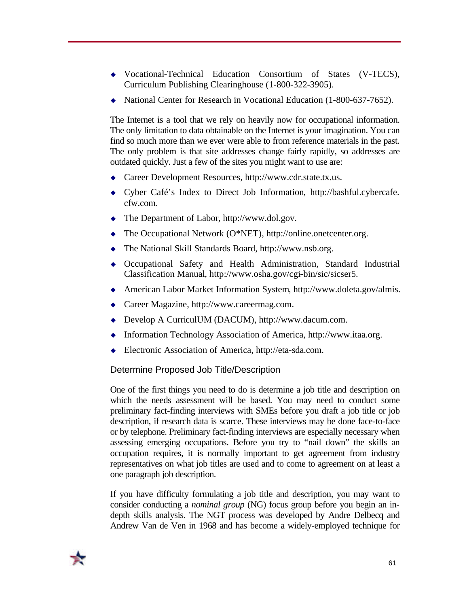- <sup>u</sup> Vocational-Technical Education Consortium of States (V-TECS), Curriculum Publishing Clearinghouse (1-800-322-3905).
- ◆ National Center for Research in Vocational Education (1-800-637-7652).

The Internet is a tool that we rely on heavily now for occupational information. The only limitation to data obtainable on the Internet is your imagination. You can find so much more than we ever were able to from reference materials in the past. The only problem is that site addresses change fairly rapidly, so addresses are outdated quickly. Just a few of the sites you might want to use are:

- $\triangle$  Career Development Resources, http://www.cdr.state.tx.us.
- <sup>u</sup> Cyber Café's Index to Direct Job Information, http://bashful.cybercafe. cfw.com.
- $\blacklozenge$  The Department of Labor, http://www.dol.gov.
- $\blacklozenge$  The Occupational Network (O\*NET), http://online.onetcenter.org.
- $\blacklozenge$  The National Skill Standards Board, http://www.nsb.org.
- <sup>u</sup> Occupational Safety and Health Administration, Standard Industrial Classification Manual, http://www.osha.gov/cgi-bin/sic/sicser5.
- ◆ American Labor Market Information System, http://www.doleta.gov/almis.
- $\triangle$  Career Magazine, http://www.careermag.com.
- ◆ Develop A CurriculUM (DACUM), http://www.dacum.com.
- $\blacklozenge$  Information Technology Association of America, http://www.itaa.org.
- $\triangleleft$  Electronic Association of America, http://eta-sda.com.

#### Determine Proposed Job Title/Description

One of the first things you need to do is determine a job title and description on which the needs assessment will be based. You may need to conduct some preliminary fact-finding interviews with SMEs before you draft a job title or job description, if research data is scarce. These interviews may be done face-to-face or by telephone. Preliminary fact-finding interviews are especially necessary when assessing emerging occupations. Before you try to "nail down" the skills an occupation requires, it is normally important to get agreement from industry representatives on what job titles are used and to come to agreement on at least a one paragraph job description.

If you have difficulty formulating a job title and description, you may want to consider conducting a *nominal group* (NG) focus group before you begin an indepth skills analysis. The NGT process was developed by Andre Delbecq and Andrew Van de Ven in 1968 and has become a widely-employed technique for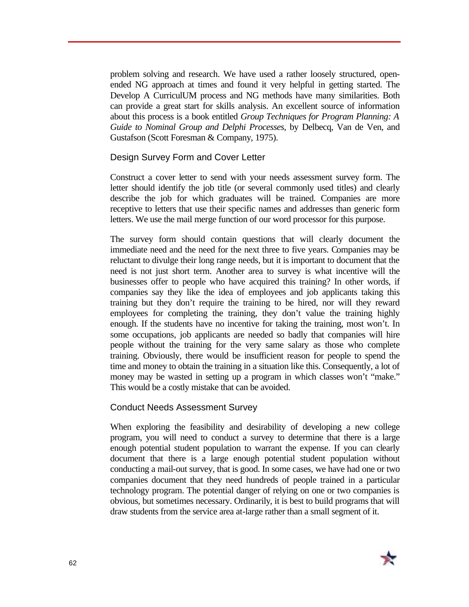problem solving and research. We have used a rather loosely structured, openended NG approach at times and found it very helpful in getting started. The Develop A CurriculUM process and NG methods have many similarities. Both can provide a great start for skills analysis. An excellent source of information about this process is a book entitled *Group Techniques for Program Planning: A Guide to Nominal Group and Delphi Processes*, by Delbecq, Van de Ven, and Gustafson (Scott Foresman & Company, 1975).

#### Design Survey Form and Cover Letter

Construct a cover letter to send with your needs assessment survey form. The letter should identify the job title (or several commonly used titles) and clearly describe the job for which graduates will be trained. Companies are more receptive to letters that use their specific names and addresses than generic form letters. We use the mail merge function of our word processor for this purpose.

The survey form should contain questions that will clearly document the immediate need and the need for the next three to five years. Companies may be reluctant to divulge their long range needs, but it is important to document that the need is not just short term. Another area to survey is what incentive will the businesses offer to people who have acquired this training? In other words, if companies say they like the idea of employees and job applicants taking this training but they don't require the training to be hired, nor will they reward employees for completing the training, they don't value the training highly enough. If the students have no incentive for taking the training, most won't. In some occupations, job applicants are needed so badly that companies will hire people without the training for the very same salary as those who complete training. Obviously, there would be insufficient reason for people to spend the time and money to obtain the training in a situation like this. Consequently, a lot of money may be wasted in setting up a program in which classes won't "make." This would be a costly mistake that can be avoided.

#### Conduct Needs Assessment Survey

When exploring the feasibility and desirability of developing a new college program, you will need to conduct a survey to determine that there is a large enough potential student population to warrant the expense. If you can clearly document that there is a large enough potential student population without conducting a mail-out survey, that is good. In some cases, we have had one or two companies document that they need hundreds of people trained in a particular technology program. The potential danger of relying on one or two companies is obvious, but sometimes necessary. Ordinarily, it is best to build programs that will draw students from the service area at-large rather than a small segment of it.

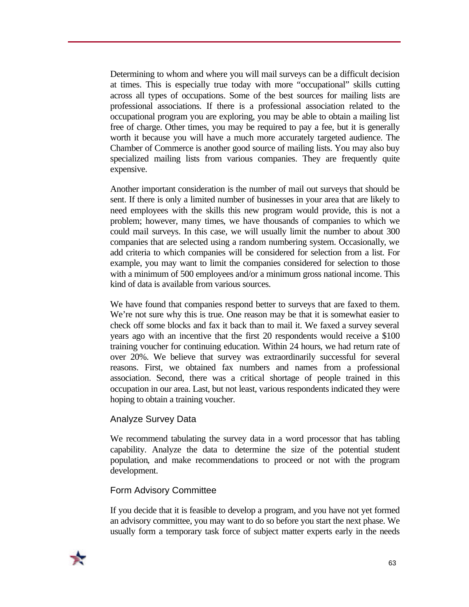Determining to whom and where you will mail surveys can be a difficult decision at times. This is especially true today with more "occupational" skills cutting across all types of occupations. Some of the best sources for mailing lists are professional associations. If there is a professional association related to the occupational program you are exploring, you may be able to obtain a mailing list free of charge. Other times, you may be required to pay a fee, but it is generally worth it because you will have a much more accurately targeted audience. The Chamber of Commerce is another good source of mailing lists. You may also buy specialized mailing lists from various companies. They are frequently quite expensive.

Another important consideration is the number of mail out surveys that should be sent. If there is only a limited number of businesses in your area that are likely to need employees with the skills this new program would provide, this is not a problem; however, many times, we have thousands of companies to which we could mail surveys. In this case, we will usually limit the number to about 300 companies that are selected using a random numbering system. Occasionally, we add criteria to which companies will be considered for selection from a list. For example, you may want to limit the companies considered for selection to those with a minimum of 500 employees and/or a minimum gross national income. This kind of data is available from various sources.

We have found that companies respond better to surveys that are faxed to them. We're not sure why this is true. One reason may be that it is somewhat easier to check off some blocks and fax it back than to mail it. We faxed a survey several years ago with an incentive that the first 20 respondents would receive a \$100 training voucher for continuing education. Within 24 hours, we had return rate of over 20%. We believe that survey was extraordinarily successful for several reasons. First, we obtained fax numbers and names from a professional association. Second, there was a critical shortage of people trained in this occupation in our area. Last, but not least, various respondents indicated they were hoping to obtain a training voucher.

#### Analyze Survey Data

We recommend tabulating the survey data in a word processor that has tabling capability. Analyze the data to determine the size of the potential student population, and make recommendations to proceed or not with the program development.

#### Form Advisory Committee

If you decide that it is feasible to develop a program, and you have not yet formed an advisory committee, you may want to do so before you start the next phase. We usually form a temporary task force of subject matter experts early in the needs

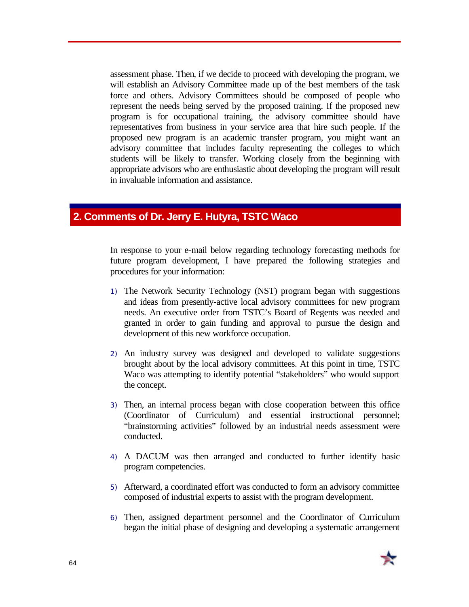assessment phase. Then, if we decide to proceed with developing the program, we will establish an Advisory Committee made up of the best members of the task force and others. Advisory Committees should be composed of people who represent the needs being served by the proposed training. If the proposed new program is for occupational training, the advisory committee should have representatives from business in your service area that hire such people. If the proposed new program is an academic transfer program, you might want an advisory committee that includes faculty representing the colleges to which students will be likely to transfer. Working closely from the beginning with appropriate advisors who are enthusiastic about developing the program will result in invaluable information and assistance.

# **2. Comments of Dr. Jerry E. Hutyra, TSTC Waco**

In response to your e-mail below regarding technology forecasting methods for future program development, I have prepared the following strategies and procedures for your information:

- 1) The Network Security Technology (NST) program began with suggestions and ideas from presently-active local advisory committees for new program needs. An executive order from TSTC's Board of Regents was needed and granted in order to gain funding and approval to pursue the design and development of this new workforce occupation.
- 2) An industry survey was designed and developed to validate suggestions brought about by the local advisory committees. At this point in time, TSTC Waco was attempting to identify potential "stakeholders" who would support the concept.
- 3) Then, an internal process began with close cooperation between this office (Coordinator of Curriculum) and essential instructional personnel; "brainstorming activities" followed by an industrial needs assessment were conducted.
- 4) A DACUM was then arranged and conducted to further identify basic program competencies.
- 5) Afterward, a coordinated effort was conducted to form an advisory committee composed of industrial experts to assist with the program development.
- 6) Then, assigned department personnel and the Coordinator of Curriculum began the initial phase of designing and developing a systematic arrangement

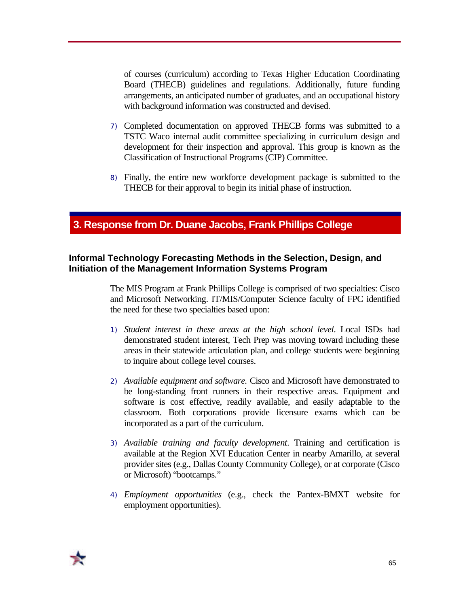of courses (curriculum) according to Texas Higher Education Coordinating Board (THECB) guidelines and regulations. Additionally, future funding arrangements, an anticipated number of graduates, and an occupational history with background information was constructed and devised.

- 7) Completed documentation on approved THECB forms was submitted to a TSTC Waco internal audit committee specializing in curriculum design and development for their inspection and approval. This group is known as the Classification of Instructional Programs (CIP) Committee.
- 8) Finally, the entire new workforce development package is submitted to the THECB for their approval to begin its initial phase of instruction.

## **3. Response from Dr. Duane Jacobs, Frank Phillips College**

#### **Informal Technology Forecasting Methods in the Selection, Design, and Initiation of the Management Information Systems Program**

The MIS Program at Frank Phillips College is comprised of two specialties: Cisco and Microsoft Networking. IT/MIS/Computer Science faculty of FPC identified the need for these two specialties based upon:

- 1) *Student interest in these areas at the high school level*. Local ISDs had demonstrated student interest, Tech Prep was moving toward including these areas in their statewide articulation plan, and college students were beginning to inquire about college level courses.
- 2) *Available equipment and software*. Cisco and Microsoft have demonstrated to be long-standing front runners in their respective areas. Equipment and software is cost effective, readily available, and easily adaptable to the classroom. Both corporations provide licensure exams which can be incorporated as a part of the curriculum.
- 3) *Available training and faculty development*. Training and certification is available at the Region XVI Education Center in nearby Amarillo, at several provider sites (e.g., Dallas County Community College), or at corporate (Cisco or Microsoft) "bootcamps."
- 4) *Employment opportunities* (e.g., check the Pantex-BMXT website for employment opportunities).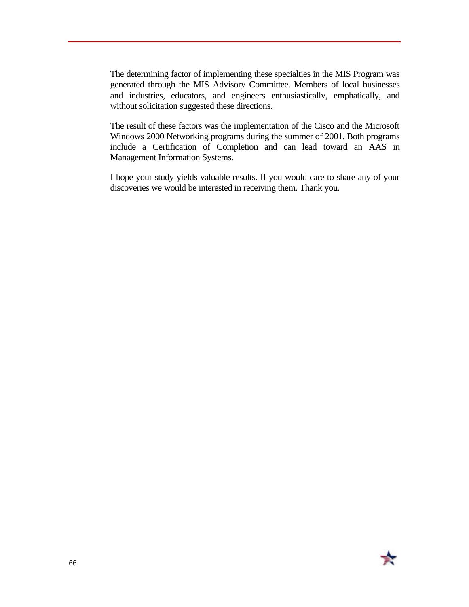The determining factor of implementing these specialties in the MIS Program was generated through the MIS Advisory Committee. Members of local businesses and industries, educators, and engineers enthusiastically, emphatically, and without solicitation suggested these directions.

The result of these factors was the implementation of the Cisco and the Microsoft Windows 2000 Networking programs during the summer of 2001. Both programs include a Certification of Completion and can lead toward an AAS in Management Information Systems.

I hope your study yields valuable results. If you would care to share any of your discoveries we would be interested in receiving them. Thank you.

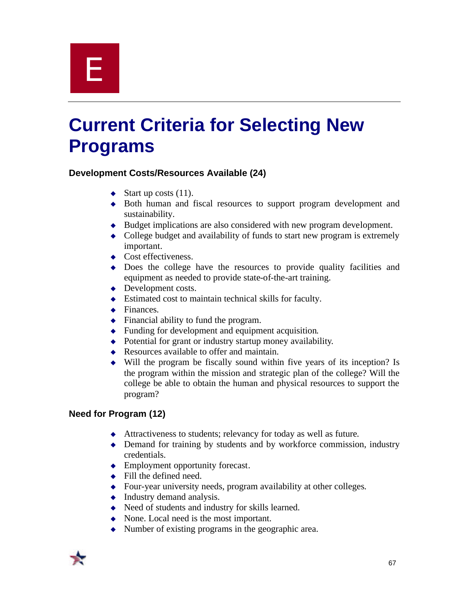

## **Current Criteria for Selecting New Programs**

#### **Development Costs/Resources Available (24)**

- $\blacklozenge$  Start up costs (11).
- <sup>u</sup> Both human and fiscal resources to support program development and sustainability.
- $\bullet$  Budget implications are also considered with new program development.
- $\bullet$  College budget and availability of funds to start new program is extremely important.
- $\leftrightarrow$  Cost effectiveness.
- $\bullet$  Does the college have the resources to provide quality facilities and equipment as needed to provide state-of-the-art training.
- $\rightarrow$  Development costs.
- $\bullet$  Estimated cost to maintain technical skills for faculty.
- $\leftarrow$  Finances.
- $\bullet$  Financial ability to fund the program.
- $\bullet$  Funding for development and equipment acquisition.
- $\rightarrow$  Potential for grant or industry startup money availability.
- $\triangle$  Resources available to offer and maintain.
- $\bullet$  Will the program be fiscally sound within five years of its inception? Is the program within the mission and strategic plan of the college? Will the college be able to obtain the human and physical resources to support the program?

#### **Need for Program (12)**

- $\triangleleft$  Attractiveness to students; relevancy for today as well as future.
- $\rightarrow$  Demand for training by students and by workforce commission, industry credentials.
- $\blacklozenge$  Employment opportunity forecast.
- $\leftarrow$  Fill the defined need.
- $\bullet$  Four-year university needs, program availability at other colleges.
- $\bullet$  Industry demand analysis.
- $\leftrightarrow$  Need of students and industry for skills learned.
- $\bullet$  None. Local need is the most important.
- $\bullet$  Number of existing programs in the geographic area.

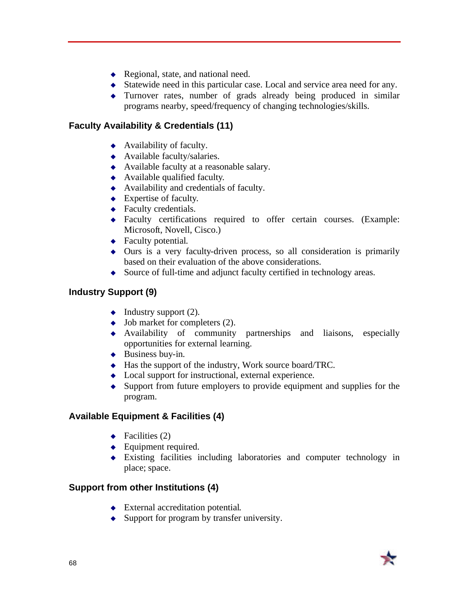- $\leftarrow$  Regional, state, and national need.
- $\bullet$  Statewide need in this particular case. Local and service area need for any.
- $\bullet$  Turnover rates, number of grads already being produced in similar programs nearby, speed/frequency of changing technologies/skills.

#### **Faculty Availability & Credentials (11)**

- $\leftrightarrow$  Availability of faculty.
- $\leftrightarrow$  Available faculty/salaries.
- $\leftrightarrow$  Available faculty at a reasonable salary.
- $\leftrightarrow$  Available qualified faculty.
- $\leftrightarrow$  Availability and credentials of faculty.
- $\leftarrow$  Expertise of faculty.
- $\leftarrow$  Faculty credentials.
- $\triangle$  Faculty certifications required to offer certain courses. (Example: Microsoft, Novell, Cisco.)
- $\leftarrow$  Faculty potential.
- $\bullet$  Ours is a very faculty-driven process, so all consideration is primarily based on their evaluation of the above considerations.
- $\bullet$  Source of full-time and adjunct faculty certified in technology areas.

#### **Industry Support (9)**

- $\blacklozenge$  Industry support (2).
- $\bullet$  Job market for completers (2).
- $\leftrightarrow$  Availability of community partnerships and liaisons, especially opportunities for external learning.
- $\triangleleft$  Business buy-in.
- $\triangleleft$  Has the support of the industry, Work source board/TRC.
- $\bullet$  Local support for instructional, external experience.
- $\bullet$  Support from future employers to provide equipment and supplies for the program.

#### **Available Equipment & Facilities (4)**

- $\leftarrow$  Facilities (2)
- $\leftarrow$  Equipment required.
- $\bullet$  Existing facilities including laboratories and computer technology in place; space.

#### **Support from other Institutions (4)**

- $\triangleleft$  External accreditation potential.
- $\bullet$  Support for program by transfer university.

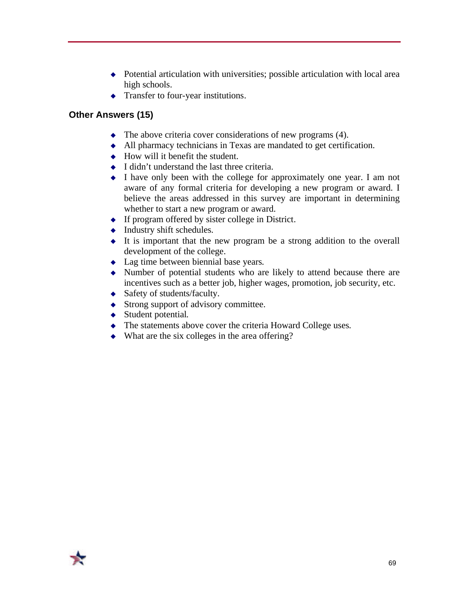- $\rightarrow$  Potential articulation with universities; possible articulation with local area high schools.
- $\triangleleft$  Transfer to four-year institutions.

#### **Other Answers (15)**

- $\bullet$  The above criteria cover considerations of new programs (4).
- $\triangleleft$  All pharmacy technicians in Texas are mandated to get certification.
- $\leftrightarrow$  How will it benefit the student.
- $\bullet$  I didn't understand the last three criteria.
- $\bullet$  I have only been with the college for approximately one year. I am not aware of any formal criteria for developing a new program or award. I believe the areas addressed in this survey are important in determining whether to start a new program or award.
- $\bullet$  If program offered by sister college in District.
- $\leftrightarrow$  Industry shift schedules.
- $\bullet$  It is important that the new program be a strong addition to the overall development of the college.
- $\triangle$  Lag time between biennial base years.
- $\bullet$  Number of potential students who are likely to attend because there are incentives such as a better job, higher wages, promotion, job security, etc.
- $\triangleleft$  Safety of students/faculty.
- $\triangleleft$  Strong support of advisory committee.
- $\triangleleft$  Student potential.
- $\triangle$  The statements above cover the criteria Howard College uses.
- $\bullet$  What are the six colleges in the area offering?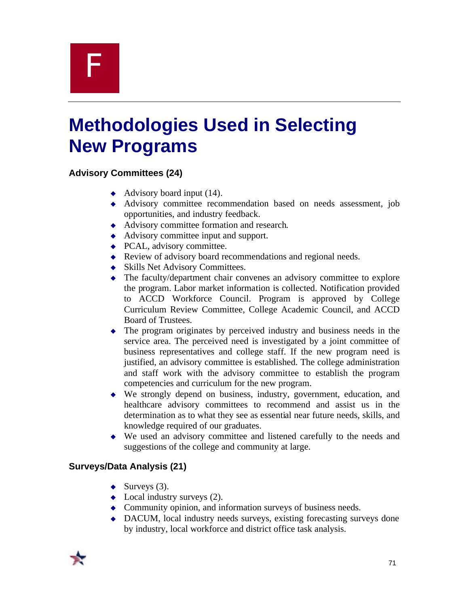## F

## **Methodologies Used in Selecting New Programs**

#### **Advisory Committees (24)**

- $\leftrightarrow$  Advisory board input (14).
- <sup>u</sup> Advisory committee recommendation based on needs assessment, job opportunities, and industry feedback.
- $\leftrightarrow$  Advisory committee formation and research.
- $\triangleleft$  Advisory committee input and support.
- $\leftarrow$  PCAL, advisory committee.
- $\triangle$  Review of advisory board recommendations and regional needs.
- $\triangleleft$  Skills Net Advisory Committees.
- $\bullet$  The faculty/department chair convenes an advisory committee to explore the program. Labor market information is collected. Notification provided to ACCD Workforce Council. Program is approved by College Curriculum Review Committee, College Academic Council, and ACCD Board of Trustees.
- $\bullet$  The program originates by perceived industry and business needs in the service area. The perceived need is investigated by a joint committee of business representatives and college staff. If the new program need is justified, an advisory committee is established. The college administration and staff work with the advisory committee to establish the program competencies and curriculum for the new program.
- $\bullet$  We strongly depend on business, industry, government, education, and healthcare advisory committees to recommend and assist us in the determination as to what they see as essential near future needs, skills, and knowledge required of our graduates.
- $\bullet$  We used an advisory committee and listened carefully to the needs and suggestions of the college and community at large.

#### **Surveys/Data Analysis (21)**

- $\blacklozenge$  Surveys (3).
- $\bullet$  Local industry surveys (2).
- $\triangle$  Community opinion, and information surveys of business needs.
- $\rightarrow$  DACUM, local industry needs surveys, existing forecasting surveys done by industry, local workforce and district office task analysis.

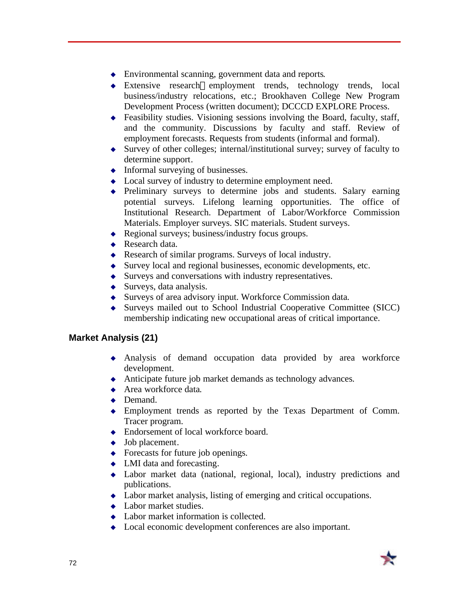- $\bullet$  Environmental scanning, government data and reports.
- $\bullet$  Extensive research—employment trends, technology trends, local business/industry relocations, etc.; Brookhaven College New Program Development Process (written document); DCCCD EXPLORE Process.
- $\bullet$  Feasibility studies. Visioning sessions involving the Board, faculty, staff, and the community. Discussions by faculty and staff. Review of employment forecasts. Requests from students (informal and formal).
- $\bullet$  Survey of other colleges; internal/institutional survey; survey of faculty to determine support.
- $\bullet$  Informal surveying of businesses.
- $\bullet$  Local survey of industry to determine employment need.
- $\leftrightarrow$  Preliminary surveys to determine jobs and students. Salary earning potential surveys. Lifelong learning opportunities. The office of Institutional Research. Department of Labor/Workforce Commission Materials. Employer surveys. SIC materials. Student surveys.
- $\triangle$  Regional surveys; business/industry focus groups.
- $\triangle$  Research data.
- $\triangle$  Research of similar programs. Surveys of local industry.
- $\bullet$  Survey local and regional businesses, economic developments, etc.
- $\bullet$  Surveys and conversations with industry representatives.
- $\triangleleft$  Surveys, data analysis.
- $\bullet$  Surveys of area advisory input. Workforce Commission data.
- $\bullet$  Surveys mailed out to School Industrial Cooperative Committee (SICC) membership indicating new occupational areas of critical importance.

#### **Market Analysis (21)**

- <sup>u</sup> Analysis of demand occupation data provided by area workforce development.
- $\leftrightarrow$  Anticipate future job market demands as technology advances.
- $\leftrightarrow$  Area workforce data.
- $\rightarrow$  Demand.
- Employment trends as reported by the Texas Department of Comm. Tracer program.
- ◆ Endorsement of local workforce board.
- $\bullet$  Job placement.
- $\leftrightarrow$  Forecasts for future job openings.
- $\bullet$  LMI data and forecasting.
- $\bullet$  Labor market data (national, regional, local), industry predictions and publications.
- $\triangle$  Labor market analysis, listing of emerging and critical occupations.
- $\leftarrow$  Labor market studies.
- $\triangle$  Labor market information is collected.
- $\bullet$  Local economic development conferences are also important.

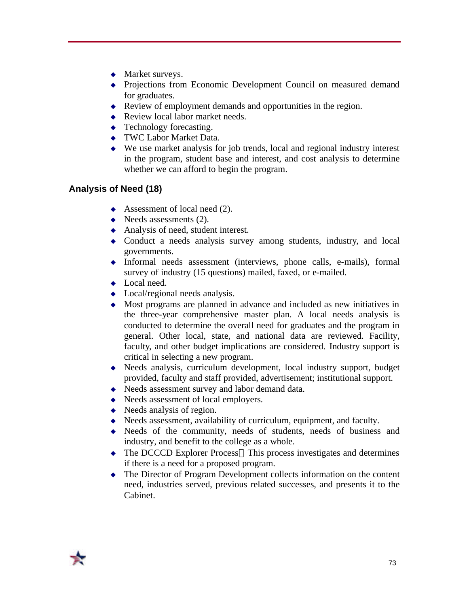- $\triangleleft$  Market surveys.
- Projections from Economic Development Council on measured demand for graduates.
- $\triangle$  Review of employment demands and opportunities in the region.
- $\triangle$  Review local labor market needs.
- $\leftarrow$  Technology forecasting.
- ◆ TWC Labor Market Data.
- $\bullet$  We use market analysis for job trends, local and regional industry interest in the program, student base and interest, and cost analysis to determine whether we can afford to begin the program.

#### **Analysis of Need (18)**

- $\leftrightarrow$  Assessment of local need (2).
- $\blacklozenge$  Needs assessments (2).
- $\leftrightarrow$  Analysis of need, student interest.
- $\bullet$  Conduct a needs analysis survey among students, industry, and local governments.
- $\bullet$  Informal needs assessment (interviews, phone calls, e-mails), formal survey of industry (15 questions) mailed, faxed, or e-mailed.
- $\bullet$  Local need.
- $\bullet$  Local/regional needs analysis.
- $\triangle$  Most programs are planned in advance and included as new initiatives in the three-year comprehensive master plan. A local needs analysis is conducted to determine the overall need for graduates and the program in general. Other local, state, and national data are reviewed. Facility, faculty, and other budget implications are considered. Industry support is critical in selecting a new program.
- $\bullet$  Needs analysis, curriculum development, local industry support, budget provided, faculty and staff provided, advertisement; institutional support.
- $\triangle$  Needs assessment survey and labor demand data.
- $\blacklozenge$  Needs assessment of local employers.
- $\leftrightarrow$  Needs analysis of region.
- $\blacklozenge$  Needs assessment, availability of curriculum, equipment, and faculty.
- $\leftrightarrow$  Needs of the community, needs of students, needs of business and industry, and benefit to the college as a whole.
- $\bullet$  The DCCCD Explorer Process—This process investigates and determines if there is a need for a proposed program.
- $\bullet$  The Director of Program Development collects information on the content need, industries served, previous related successes, and presents it to the Cabinet.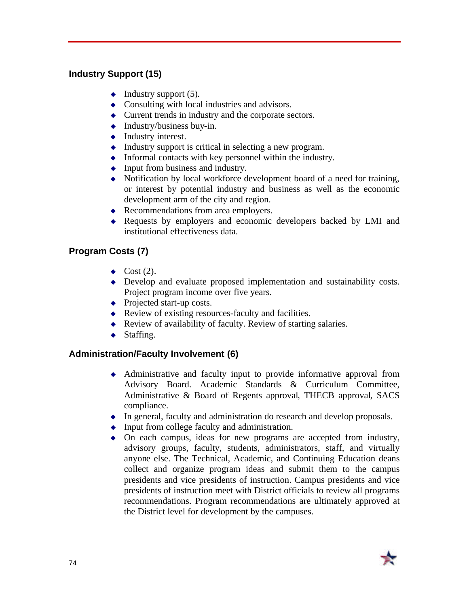#### **Industry Support (15)**

- $\blacklozenge$  Industry support (5).
- $\bullet$  Consulting with local industries and advisors.
- $\triangle$  Current trends in industry and the corporate sectors.
- $\triangleleft$  Industry/business buy-in.
- $\bullet$  Industry interest.
- $\bullet$  Industry support is critical in selecting a new program.
- $\bullet$  Informal contacts with key personnel within the industry.
- $\bullet$  Input from business and industry.
- $\bullet$  Notification by local workforce development board of a need for training, or interest by potential industry and business as well as the economic development arm of the city and region.
- $\triangle$  Recommendations from area employers.
- Requests by employers and economic developers backed by LMI and institutional effectiveness data.

#### **Program Costs (7)**

- $\bullet$  Cost (2).
- $\bullet$  Develop and evaluate proposed implementation and sustainability costs. Project program income over five years.
- $\leftrightarrow$  Projected start-up costs.
- Review of existing resources-faculty and facilities.
- $\triangle$  Review of availability of faculty. Review of starting salaries.
- $\blacklozenge$  Staffing.

#### **Administration/Faculty Involvement (6)**

- $\triangleleft$  Administrative and faculty input to provide informative approval from Advisory Board. Academic Standards & Curriculum Committee, Administrative & Board of Regents approval, THECB approval, SACS compliance.
- $\bullet$  In general, faculty and administration do research and develop proposals.
- $\bullet$  Input from college faculty and administration.
- $\bullet$  On each campus, ideas for new programs are accepted from industry, advisory groups, faculty, students, administrators, staff, and virtually anyone else. The Technical, Academic, and Continuing Education deans collect and organize program ideas and submit them to the campus presidents and vice presidents of instruction. Campus presidents and vice presidents of instruction meet with District officials to review all programs recommendations. Program recommendations are ultimately approved at the District level for development by the campuses.

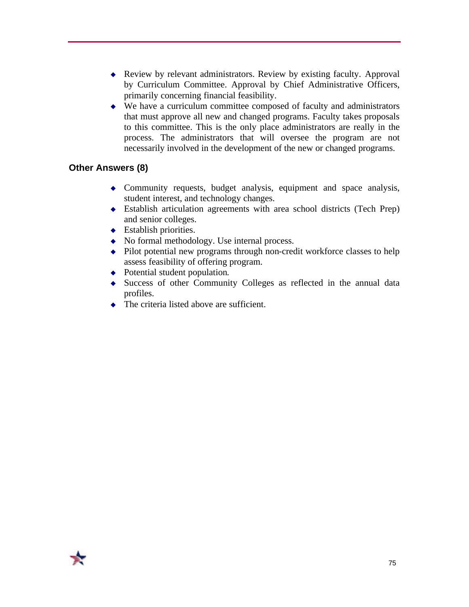- $\bullet$  Review by relevant administrators. Review by existing faculty. Approval by Curriculum Committee. Approval by Chief Administrative Officers, primarily concerning financial feasibility.
- $\bullet$  We have a curriculum committee composed of faculty and administrators that must approve all new and changed programs. Faculty takes proposals to this committee. This is the only place administrators are really in the process. The administrators that will oversee the program are not necessarily involved in the development of the new or changed programs.

#### **Other Answers (8)**

- $\bullet$  Community requests, budget analysis, equipment and space analysis, student interest, and technology changes.
- <sup>u</sup> Establish articulation agreements with area school districts (Tech Prep) and senior colleges.
- $\leftarrow$  Establish priorities.
- $\bullet$  No formal methodology. Use internal process.
- $\bullet$  Pilot potential new programs through non-credit workforce classes to help assess feasibility of offering program.
- $\rightarrow$  Potential student population.
- $\bullet$  Success of other Community Colleges as reflected in the annual data profiles.
- $\triangle$  The criteria listed above are sufficient.

75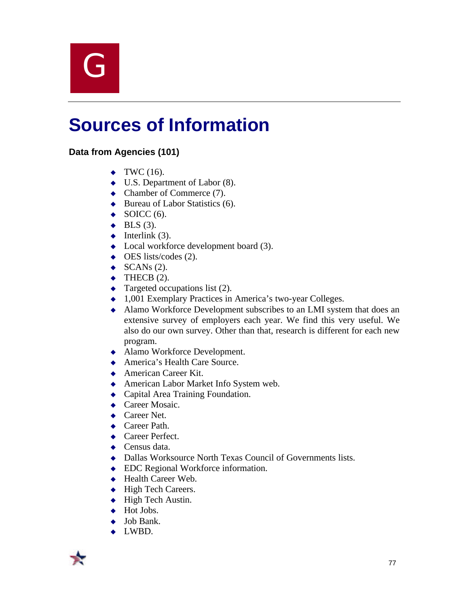$\overline{\mathsf{G}}$ 

### **Sources of Information**

#### **Data from Agencies (101)**

- $\blacktriangleright$  TWC (16).
- $\bullet$  U.S. Department of Labor (8).
- $\triangleleft$  Chamber of Commerce (7).
- $\triangleleft$  Bureau of Labor Statistics (6).
- $\triangleleft$  SOICC (6).
- $\triangleleft$  BLS (3).
- $\blacklozenge$  Interlink (3).
- $\bullet$  Local workforce development board (3).
- $\leftrightarrow$  OES lists/codes (2).
- $\blacklozenge$  SCANs (2).
- $\blacktriangleright$  THECB (2).
- $\leftarrow$  Targeted occupations list (2).
- $\leftrightarrow$  1,001 Exemplary Practices in America's two-year Colleges.
- $\triangle$  Alamo Workforce Development subscribes to an LMI system that does an extensive survey of employers each year. We find this very useful. We also do our own survey. Other than that, research is different for each new program.
- ◆ Alamo Workforce Development.
- ◆ America's Health Care Source.
- $\triangle$  American Career Kit.
- ◆ American Labor Market Info System web.
- $\leftarrow$  Capital Area Training Foundation.
- $\triangleleft$  Career Mosaic.
- $\triangle$  Career Net.
- $\triangle$  Career Path.
- $\triangle$  Career Perfect.
- $\leftarrow$  Census data.
- $\bullet$  Dallas Worksource North Texas Council of Governments lists.
- ◆ EDC Regional Workforce information.
- $\leftarrow$  Health Career Web.
- $\leftrightarrow$  High Tech Careers.
- $\blacklozenge$  High Tech Austin.
- $\blacklozenge$  Hot Jobs.
- $\rightarrow$  Job Bank.
- $\leftarrow$  LWBD.

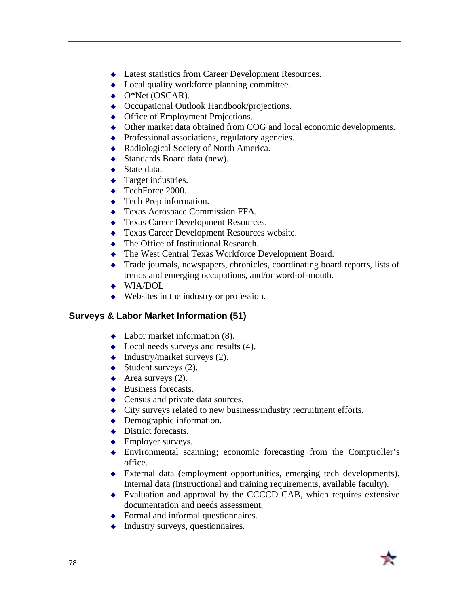- $\triangle$  Latest statistics from Career Development Resources.
- $\bullet$  Local quality workforce planning committee.
- $\blacklozenge$  O\*Net (OSCAR).
- $\leftrightarrow$  Occupational Outlook Handbook/projections.
- $\bullet$  Office of Employment Projections.
- $\bullet$  Other market data obtained from COG and local economic developments.
- $\leftrightarrow$  Professional associations, regulatory agencies.
- $\triangleleft$  Radiological Society of North America.
- $\triangleleft$  Standards Board data (new).
- $\triangleleft$  State data.
- $\leftarrow$  Target industries.
- $\blacklozenge$  TechForce 2000.
- $\leftarrow$  Tech Prep information.
- $\leftarrow$  Texas Aerospace Commission FFA.
- ◆ Texas Career Development Resources.
- ◆ Texas Career Development Resources website.
- $\triangle$  The Office of Institutional Research.
- $\bullet$  The West Central Texas Workforce Development Board.
- Trade journals, newspapers, chronicles, coordinating board reports, lists of trends and emerging occupations, and/or word-of-mouth.
- $\leftrightarrow$  WIA/DOL
- $\leftrightarrow$  Websites in the industry or profession.

#### **Surveys & Labor Market Information (51)**

- $\triangleleft$  Labor market information (8).
- $\bullet$  Local needs surveys and results (4).
- $\blacklozenge$  Industry/market surveys (2).
- $\blacklozenge$  Student surveys (2).
- $\leftrightarrow$  Area surveys (2).
- $\triangleleft$  Business forecasts.
- $\triangle$  Census and private data sources.
- $\triangle$  City surveys related to new business/industry recruitment efforts.
- $\rightarrow$  Demographic information.
- $\rightarrow$  District forecasts.
- $\triangleleft$  Employer surveys.
- $\bullet$  Environmental scanning; economic forecasting from the Comptroller's office.
- $\triangleleft$  External data (employment opportunities, emerging tech developments). Internal data (instructional and training requirements, available faculty).
- $\bullet$  Evaluation and approval by the CCCCD CAB, which requires extensive documentation and needs assessment.
- $\leftrightarrow$  Formal and informal questionnaires.
- $\bullet$  Industry surveys, questionnaires.

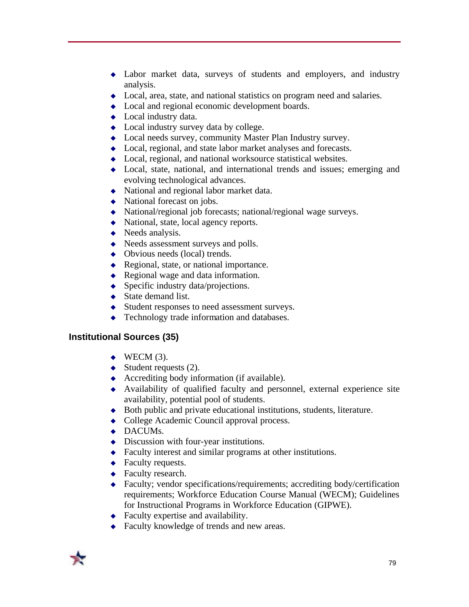- $\bullet$  Labor market data, surveys of students and employers, and industry analysis.
- $\bullet$  Local, area, state, and national statistics on program need and salaries.
- $\triangle$  Local and regional economic development boards.
- $\bullet$  Local industry data.
- $\bullet$  Local industry survey data by college.
- $\bullet$  Local needs survey, community Master Plan Industry survey.
- $\bullet$  Local, regional, and state labor market analyses and forecasts.
- $\bullet$  Local, regional, and national worksource statistical websites.
- $\bullet$  Local, state, national, and international trends and issues; emerging and evolving technological advances.
- $\bullet$  National and regional labor market data.
- $\leftrightarrow$  National forecast on jobs.
- $\leftrightarrow$  National/regional job forecasts; national/regional wage surveys.
- $\blacklozenge$  National, state, local agency reports.
- $\leftrightarrow$  Needs analysis.
- $\triangle$  Needs assessment surveys and polls.
- $\leftrightarrow$  Obvious needs (local) trends.
- $\triangle$  Regional, state, or national importance.
- $\triangle$  Regional wage and data information.
- $\bullet$  Specific industry data/projections.
- $\triangleleft$  State demand list.
- $\triangleleft$  Student responses to need assessment surveys.
- $\leftarrow$  Technology trade information and databases.

#### **Institutional Sources (35)**

- $\blacklozenge$  WECM (3).
- $\blacklozenge$  Student requests (2).
- Accrediting body information (if available).
- $\leftrightarrow$  Availability of qualified faculty and personnel, external experience site availability, potential pool of students.
- $\bullet$  Both public and private educational institutions, students, literature.
- $\bullet$  College Academic Council approval process.
- $\bullet$  DACUMs.
- $\bullet$  Discussion with four-year institutions.
- $\triangle$  Faculty interest and similar programs at other institutions.
- $\leftarrow$  Faculty requests.
- $\leftarrow$  Faculty research.
- $\triangle$  Faculty; vendor specifications/requirements; accrediting body/certification requirements; Workforce Education Course Manual (WECM); Guidelines for Instructional Programs in Workforce Education (GIPWE).
- $\leftarrow$  Faculty expertise and availability.
- $\triangle$  Faculty knowledge of trends and new areas.

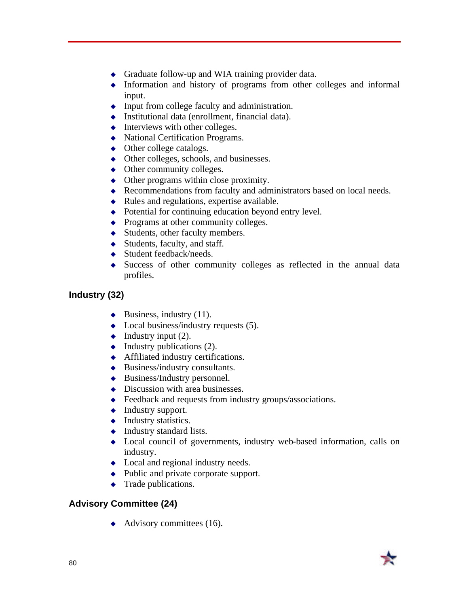- $\triangle$  Graduate follow-up and WIA training provider data.
- $\bullet$  Information and history of programs from other colleges and informal input.
- $\bullet$  Input from college faculty and administration.
- $\bullet$  Institutional data (enrollment, financial data).
- $\bullet$  Interviews with other colleges.
- $\leftrightarrow$  National Certification Programs.
- $\leftrightarrow$  Other college catalogs.
- $\bullet$  Other colleges, schools, and businesses.
- $\leftrightarrow$  Other community colleges.
- $\bullet$  Other programs within close proximity.
- $\triangle$  Recommendations from faculty and administrators based on local needs.
- $\bullet$  Rules and regulations, expertise available.
- $\rightarrow$  Potential for continuing education beyond entry level.
- $\leftrightarrow$  Programs at other community colleges.
- $\triangleleft$  Students, other faculty members.
- $\triangleleft$  Students, faculty, and staff.
- $\triangleleft$  Student feedback/needs.
- $\bullet$  Success of other community colleges as reflected in the annual data profiles.

#### **Industry (32)**

- $\blacklozenge$  Business, industry (11).
- $\bullet$  Local business/industry requests (5).
- $\blacklozenge$  Industry input (2).
- $\leftrightarrow$  Industry publications (2).
- $\triangle$  Affiliated industry certifications.
- $\triangleleft$  Business/industry consultants.
- $\triangleleft$  Business/Industry personnel.
- $\bullet$  Discussion with area businesses.
- $\leftrightarrow$  Feedback and requests from industry groups/associations.
- $\leftarrow$  Industry support.
- $\bullet$  Industry statistics.
- $\leftrightarrow$  Industry standard lists.
- $\bullet$  Local council of governments, industry web-based information, calls on industry.
- $\bullet$  Local and regional industry needs.
- $\bullet$  Public and private corporate support.
- $\leftarrow$  Trade publications.

#### **Advisory Committee (24)**

 $\leftrightarrow$  Advisory committees (16).

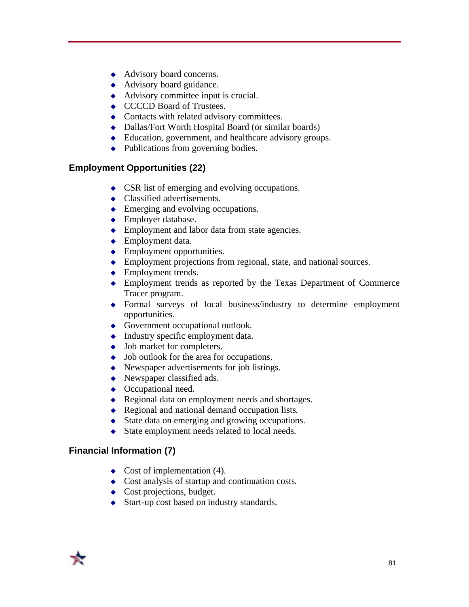- $\leftrightarrow$  Advisory board concerns.
- $\leftrightarrow$  Advisory board guidance.
- $\triangleleft$  Advisory committee input is crucial.
- ◆ CCCCD Board of Trustees.
- $\triangleleft$  Contacts with related advisory committees.
- $\bullet$  Dallas/Fort Worth Hospital Board (or similar boards)
- $\triangleleft$  Education, government, and healthcare advisory groups.
- $\bullet$  Publications from governing bodies.

#### **Employment Opportunities (22)**

- $\triangle$  CSR list of emerging and evolving occupations.
- $\triangle$  Classified advertisements.
- $\triangle$  Emerging and evolving occupations.
- $\leftarrow$  Employer database.
- $\triangle$  Employment and labor data from state agencies.
- $\leftarrow$  Employment data.
- $\leftarrow$  Employment opportunities.
- $\triangle$  Employment projections from regional, state, and national sources.
- $\leftarrow$  Employment trends.
- Employment trends as reported by the Texas Department of Commerce Tracer program.
- $\rightarrow$  Formal surveys of local business/industry to determine employment opportunities.
- $\leftrightarrow$  Government occupational outlook.
- $\bullet$  Industry specific employment data.
- $\bullet$  Job market for completers.
- $\bullet$  Job outlook for the area for occupations.
- $\bullet$  Newspaper advertisements for job listings.
- $\leftrightarrow$  Newspaper classified ads.
- $\leftrightarrow$  Occupational need.
- $\triangle$  Regional data on employment needs and shortages.
- $\triangle$  Regional and national demand occupation lists.
- $\bullet$  State data on emerging and growing occupations.
- $\triangleleft$  State employment needs related to local needs.

#### **Financial Information (7)**

- $\leftrightarrow$  Cost of implementation (4).
- $\triangle$  Cost analysis of startup and continuation costs.
- $\leftarrow$  Cost projections, budget.
- $\triangleleft$  Start-up cost based on industry standards.

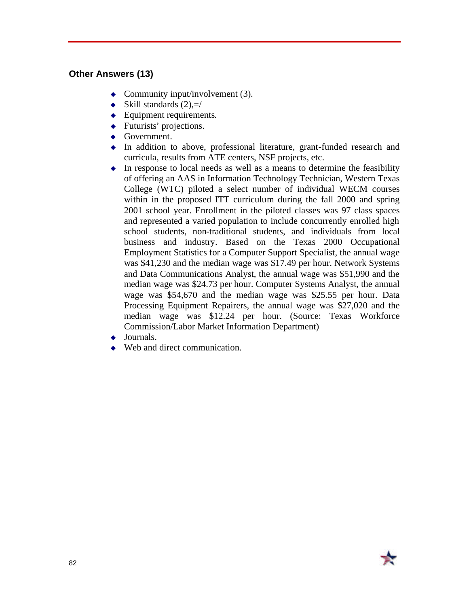#### **Other Answers (13)**

- Community input/involvement  $(3)$ .
- $\blacklozenge$  Skill standards (2),=/
- $\leftarrow$  Equipment requirements.
- $\leftarrow$  Futurists' projections.
- $\leftrightarrow$  Government.
- $\bullet$  In addition to above, professional literature, grant-funded research and curricula, results from ATE centers, NSF projects, etc.
- $\bullet$  In response to local needs as well as a means to determine the feasibility of offering an AAS in Information Technology Technician, Western Texas College (WTC) piloted a select number of individual WECM courses within in the proposed ITT curriculum during the fall 2000 and spring 2001 school year. Enrollment in the piloted classes was 97 class spaces and represented a varied population to include concurrently enrolled high school students, non-traditional students, and individuals from local business and industry. Based on the Texas 2000 Occupational Employment Statistics for a Computer Support Specialist, the annual wage was \$41,230 and the median wage was \$17.49 per hour. Network Systems and Data Communications Analyst, the annual wage was \$51,990 and the median wage was \$24.73 per hour. Computer Systems Analyst, the annual wage was \$54,670 and the median wage was \$25.55 per hour. Data Processing Equipment Repairers, the annual wage was \$27,020 and the median wage was \$12.24 per hour. (Source: Texas Workforce Commission/Labor Market Information Department)
- $\blacklozenge$  Journals.
- $\leftrightarrow$  Web and direct communication.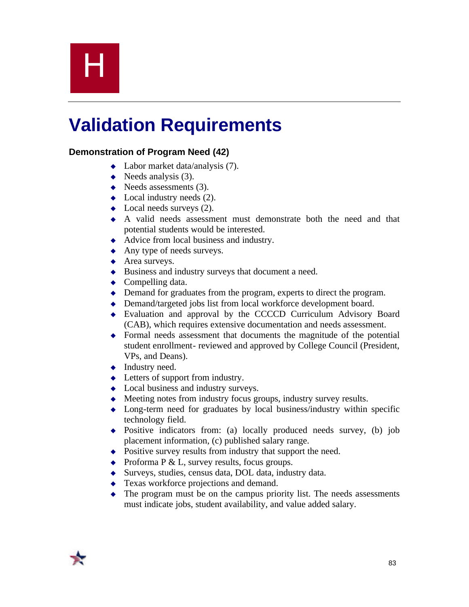# H

## **Validation Requirements**

#### **Demonstration of Program Need (42)**

- $\triangleleft$  Labor market data/analysis (7).
- $\blacklozenge$  Needs analysis (3).
- $\leftrightarrow$  Needs assessments (3).
- $\bullet$  Local industry needs (2).
- $\bullet$  Local needs surveys (2).
- $\leftrightarrow$  A valid needs assessment must demonstrate both the need and that potential students would be interested.
- $\triangleleft$  Advice from local business and industry.
- $\leftrightarrow$  Any type of needs surveys.
- $\triangleleft$  Area surveys.
- $\bullet$  Business and industry surveys that document a need.
- $\leftarrow$  Compelling data.
- $\triangle$  Demand for graduates from the program, experts to direct the program.
- $\triangle$  Demand/targeted jobs list from local workforce development board.
- Evaluation and approval by the CCCCD Curriculum Advisory Board (CAB), which requires extensive documentation and needs assessment.
- $\rightarrow$  Formal needs assessment that documents the magnitude of the potential student enrollment- reviewed and approved by College Council (President, VPs, and Deans).
- $\blacklozenge$  Industry need.
- $\triangleleft$  Letters of support from industry.
- $\bullet$  Local business and industry surveys.
- $\triangle$  Meeting notes from industry focus groups, industry survey results.
- $\bullet$  Long-term need for graduates by local business/industry within specific technology field.
- $\rightarrow$  Positive indicators from: (a) locally produced needs survey, (b) job placement information, (c) published salary range.
- $\bullet$  Positive survey results from industry that support the need.
- $\rightarrow$  Proforma P & L, survey results, focus groups.
- $\bullet$  Surveys, studies, census data, DOL data, industry data.
- $\triangleleft$  Texas workforce projections and demand.
- $\bullet$  The program must be on the campus priority list. The needs assessments must indicate jobs, student availability, and value added salary.

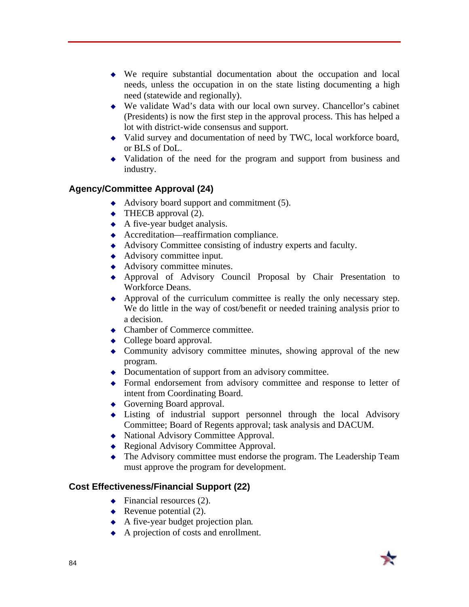- $\bullet$  We require substantial documentation about the occupation and local needs, unless the occupation in on the state listing documenting a high need (statewide and regionally).
- $\bullet$  We validate Wad's data with our local own survey. Chancellor's cabinet (Presidents) is now the first step in the approval process. This has helped a lot with district-wide consensus and support.
- $\bullet$  Valid survey and documentation of need by TWC, local workforce board, or BLS of DoL.
- $\bullet$  Validation of the need for the program and support from business and industry.

#### **Agency/Committee Approval (24)**

- Advisory board support and commitment  $(5)$ .
- $\leftrightarrow$  THECB approval (2).
- $\triangle$  A five-year budget analysis.
- $\triangle$  Accreditation—reaffirmation compliance.
- $\triangleleft$  Advisory Committee consisting of industry experts and faculty.
- $\leftrightarrow$  Advisory committee input.
- $\leftrightarrow$  Advisory committee minutes.
- <sup>u</sup> Approval of Advisory Council Proposal by Chair Presentation to Workforce Deans.
- $\leftrightarrow$  Approval of the curriculum committee is really the only necessary step. We do little in the way of cost/benefit or needed training analysis prior to a decision.
- $\triangle$  Chamber of Commerce committee.
- $\bullet$  College board approval.
- Community advisory committee minutes, showing approval of the new program.
- $\rightarrow$  Documentation of support from an advisory committee.
- $\rightarrow$  Formal endorsement from advisory committee and response to letter of intent from Coordinating Board.
- $\leftrightarrow$  Governing Board approval.
- $\bullet$  Listing of industrial support personnel through the local Advisory Committee; Board of Regents approval; task analysis and DACUM.
- National Advisory Committee Approval.
- ◆ Regional Advisory Committee Approval.
- $\bullet$  The Advisory committee must endorse the program. The Leadership Team must approve the program for development.

#### **Cost Effectiveness/Financial Support (22)**

- $\leftrightarrow$  Financial resources (2).
- Revenue potential  $(2)$ .
- $\triangle$  A five-year budget projection plan.
- $\leftrightarrow$  A projection of costs and enrollment.

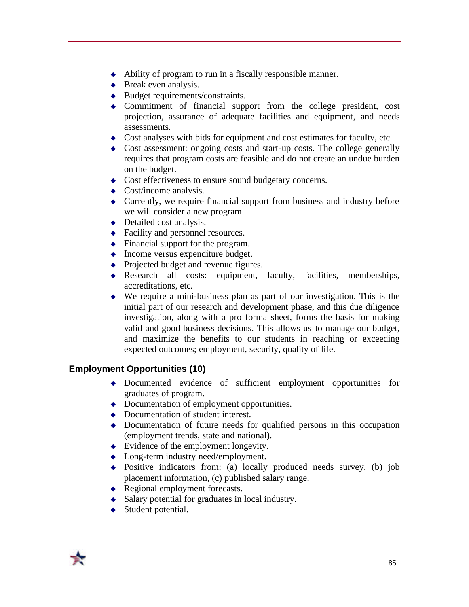- $\leftrightarrow$  Ability of program to run in a fiscally responsible manner.
- $\triangleleft$  Break even analysis.
- $\bullet$  Budget requirements/constraints.
- $\bullet$  Commitment of financial support from the college president, cost projection, assurance of adequate facilities and equipment, and needs assessments.
- $\bullet$  Cost analyses with bids for equipment and cost estimates for faculty, etc.
- $\bullet$  Cost assessment: ongoing costs and start-up costs. The college generally requires that program costs are feasible and do not create an undue burden on the budget.
- Cost effectiveness to ensure sound budgetary concerns.
- $\leftarrow$  Cost/income analysis.
- $\triangle$  Currently, we require financial support from business and industry before we will consider a new program.
- $\rightarrow$  Detailed cost analysis.
- $\triangle$  Facility and personnel resources.
- $\bullet$  Financial support for the program.
- $\bullet$  Income versus expenditure budget.
- $\bullet$  Projected budget and revenue figures.
- Research all costs: equipment, faculty, facilities, memberships, accreditations, etc.
- $\bullet$  We require a mini-business plan as part of our investigation. This is the initial part of our research and development phase, and this due diligence investigation, along with a pro forma sheet, forms the basis for making valid and good business decisions. This allows us to manage our budget, and maximize the benefits to our students in reaching or exceeding expected outcomes; employment, security, quality of life.

#### **Employment Opportunities (10)**

- <sup>u</sup> Documented evidence of sufficient employment opportunities for graduates of program.
- $\bullet$  Documentation of employment opportunities.
- $\bullet$  Documentation of student interest.
- $\bullet$  Documentation of future needs for qualified persons in this occupation (employment trends, state and national).
- $\bullet$  Evidence of the employment longevity.
- $\bullet$  Long-term industry need/employment.
- $\rightarrow$  Positive indicators from: (a) locally produced needs survey, (b) job placement information, (c) published salary range.
- $\triangle$  Regional employment forecasts.
- $\triangle$  Salary potential for graduates in local industry.
- $\triangleleft$  Student potential.

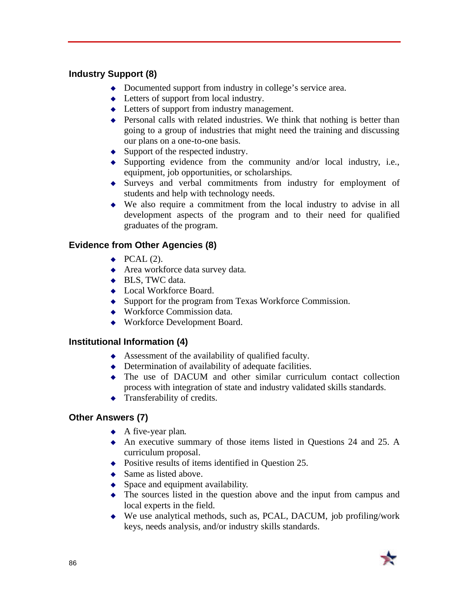#### **Industry Support (8)**

- $\bullet$  Documented support from industry in college's service area.
- $\triangleleft$  Letters of support from local industry.
- $\triangleleft$  Letters of support from industry management.
- $\triangle$  Personal calls with related industries. We think that nothing is better than going to a group of industries that might need the training and discussing our plans on a one-to-one basis.
- $\bullet$  Support of the respected industry.
- $\bullet$  Supporting evidence from the community and/or local industry, i.e., equipment, job opportunities, or scholarships.
- $\bullet$  Surveys and verbal commitments from industry for employment of students and help with technology needs.
- $\bullet$  We also require a commitment from the local industry to advise in all development aspects of the program and to their need for qualified graduates of the program.

#### **Evidence from Other Agencies (8)**

- $\blacktriangleright$  PCAL (2).
- $\triangle$  Area workforce data survey data.
- $\triangleleft$  BLS, TWC data.
- ◆ Local Workforce Board.
- $\bullet$  Support for the program from Texas Workforce Commission.
- $\leftrightarrow$  Workforce Commission data.
- $\leftrightarrow$  Workforce Development Board.

#### **Institutional Information (4)**

- $\triangle$  Assessment of the availability of qualified faculty.
- $\bullet$  Determination of availability of adequate facilities.
- $\bullet$  The use of DACUM and other similar curriculum contact collection process with integration of state and industry validated skills standards.
- $\triangleleft$  Transferability of credits.

#### **Other Answers (7)**

- $\leftrightarrow$  A five-year plan.
- $\leftrightarrow$  An executive summary of those items listed in Questions 24 and 25. A curriculum proposal.
- $\bullet$  Positive results of items identified in Question 25.
- $\triangle$  Same as listed above.
- $\bullet$  Space and equipment availability.
- $\bullet$  The sources listed in the question above and the input from campus and local experts in the field.
- $\bullet$  We use analytical methods, such as, PCAL, DACUM, job profiling/work keys, needs analysis, and/or industry skills standards.

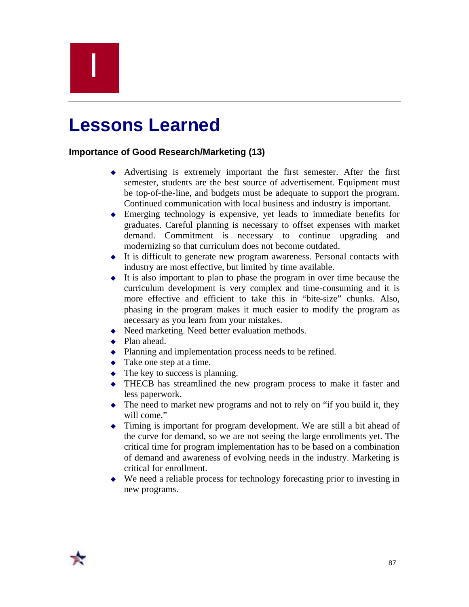## I

### **Lessons Learned**

#### **Importance of Good Research/Marketing (13)**

- $\leftrightarrow$  Advertising is extremely important the first semester. After the first semester, students are the best source of advertisement. Equipment must be top-of-the-line, and budgets must be adequate to support the program. Continued communication with local business and industry is important.
- $\triangle$  Emerging technology is expensive, yet leads to immediate benefits for graduates. Careful planning is necessary to offset expenses with market demand. Commitment is necessary to continue upgrading and modernizing so that curriculum does not become outdated.
- $\bullet$  It is difficult to generate new program awareness. Personal contacts with industry are most effective, but limited by time available.
- $\bullet$  It is also important to plan to phase the program in over time because the curriculum development is very complex and time-consuming and it is more effective and efficient to take this in "bite-size" chunks. Also, phasing in the program makes it much easier to modify the program as necessary as you learn from your mistakes.
- $\triangle$  Need marketing. Need better evaluation methods.
- $\blacklozenge$  Plan ahead.
- $\bullet$  Planning and implementation process needs to be refined.
- $\bullet$  Take one step at a time.
- $\bullet$  The key to success is planning.
- $\rightarrow$  THECB has streamlined the new program process to make it faster and less paperwork.
- $\bullet$  The need to market new programs and not to rely on "if you build it, they will come."
- $\bullet$  Timing is important for program development. We are still a bit ahead of the curve for demand, so we are not seeing the large enrollments yet. The critical time for program implementation has to be based on a combination of demand and awareness of evolving needs in the industry. Marketing is critical for enrollment.
- $\bullet$  We need a reliable process for technology forecasting prior to investing in new programs.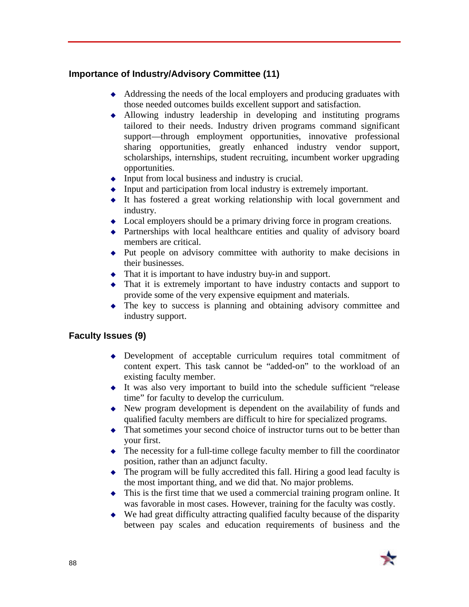#### **Importance of Industry/Advisory Committee (11)**

- $\triangle$  Addressing the needs of the local employers and producing graduates with those needed outcomes builds excellent support and satisfaction.
- $\triangle$  Allowing industry leadership in developing and instituting programs tailored to their needs. Industry driven programs command significant support—through employment opportunities, innovative professional sharing opportunities, greatly enhanced industry vendor support, scholarships, internships, student recruiting, incumbent worker upgrading opportunities.
- $\bullet$  Input from local business and industry is crucial.
- $\bullet$  Input and participation from local industry is extremely important.
- $\bullet$  It has fostered a great working relationship with local government and industry.
- $\triangle$  Local employers should be a primary driving force in program creations.
- $\rightarrow$  Partnerships with local healthcare entities and quality of advisory board members are critical.
- $\rightarrow$  Put people on advisory committee with authority to make decisions in their businesses.
- $\bullet$  That it is important to have industry buy-in and support.
- $\bullet$  That it is extremely important to have industry contacts and support to provide some of the very expensive equipment and materials.
- $\bullet$  The key to success is planning and obtaining advisory committee and industry support.

#### **Faculty Issues (9)**

- $\rightarrow$  Development of acceptable curriculum requires total commitment of content expert. This task cannot be "added-on" to the workload of an existing faculty member.
- $\bullet$  It was also very important to build into the schedule sufficient "release" time" for faculty to develop the curriculum.
- $\rightarrow$  New program development is dependent on the availability of funds and qualified faculty members are difficult to hire for specialized programs.
- $\bullet$  That sometimes your second choice of instructor turns out to be better than your first.
- $\bullet$  The necessity for a full-time college faculty member to fill the coordinator position, rather than an adjunct faculty.
- $\bullet$  The program will be fully accredited this fall. Hiring a good lead faculty is the most important thing, and we did that. No major problems.
- $\bullet$  This is the first time that we used a commercial training program online. It was favorable in most cases. However, training for the faculty was costly.
- $\bullet$  We had great difficulty attracting qualified faculty because of the disparity between pay scales and education requirements of business and the

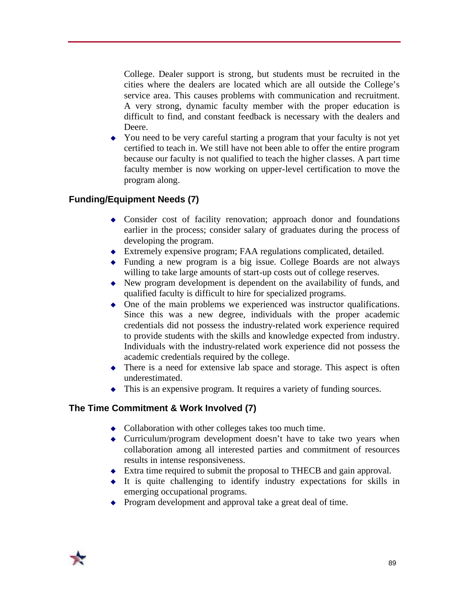College. Dealer support is strong, but students must be recruited in the cities where the dealers are located which are all outside the College's service area. This causes problems with communication and recruitment. A very strong, dynamic faculty member with the proper education is difficult to find, and constant feedback is necessary with the dealers and Deere.

• You need to be very careful starting a program that your faculty is not yet certified to teach in. We still have not been able to offer the entire program because our faculty is not qualified to teach the higher classes. A part time faculty member is now working on upper-level certification to move the program along.

#### **Funding/Equipment Needs (7)**

- $\bullet$  Consider cost of facility renovation; approach donor and foundations earlier in the process; consider salary of graduates during the process of developing the program.
- $\bullet$  Extremely expensive program; FAA regulations complicated, detailed.
- $\rightarrow$  Funding a new program is a big issue. College Boards are not always willing to take large amounts of start-up costs out of college reserves.
- $\bullet$  New program development is dependent on the availability of funds, and qualified faculty is difficult to hire for specialized programs.
- $\bullet$  One of the main problems we experienced was instructor qualifications. Since this was a new degree, individuals with the proper academic credentials did not possess the industry-related work experience required to provide students with the skills and knowledge expected from industry. Individuals with the industry-related work experience did not possess the academic credentials required by the college.
- $\bullet$  There is a need for extensive lab space and storage. This aspect is often underestimated.
- $\bullet$  This is an expensive program. It requires a variety of funding sources.

#### **The Time Commitment & Work Involved (7)**

- $\bullet$  Collaboration with other colleges takes too much time.
- $\triangleleft$  Curriculum/program development doesn't have to take two years when collaboration among all interested parties and commitment of resources results in intense responsiveness.
- $\triangle$  Extra time required to submit the proposal to THECB and gain approval.
- $\bullet$  It is quite challenging to identify industry expectations for skills in emerging occupational programs.
- $\leftrightarrow$  Program development and approval take a great deal of time.

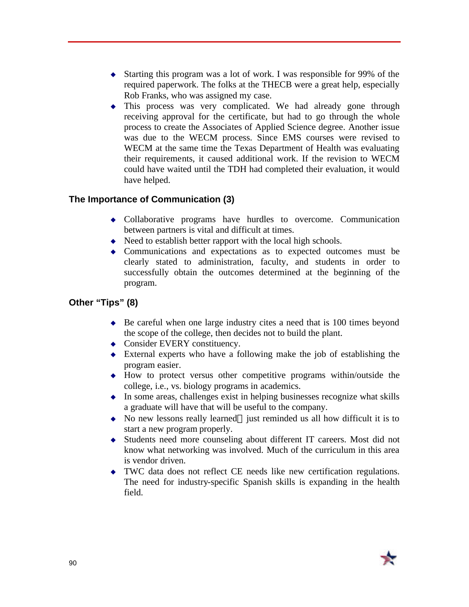- $\triangle$  Starting this program was a lot of work. I was responsible for 99% of the required paperwork. The folks at the THECB were a great help, especially Rob Franks, who was assigned my case.
- $\bullet$  This process was very complicated. We had already gone through receiving approval for the certificate, but had to go through the whole process to create the Associates of Applied Science degree. Another issue was due to the WECM process. Since EMS courses were revised to WECM at the same time the Texas Department of Health was evaluating their requirements, it caused additional work. If the revision to WECM could have waited until the TDH had completed their evaluation, it would have helped.

#### **The Importance of Communication (3)**

- $\bullet$  Collaborative programs have hurdles to overcome. Communication between partners is vital and difficult at times.
- $\triangle$  Need to establish better rapport with the local high schools.
- Communications and expectations as to expected outcomes must be clearly stated to administration, faculty, and students in order to successfully obtain the outcomes determined at the beginning of the program.

#### **Other "Tips" (8)**

- $\bullet$  Be careful when one large industry cites a need that is 100 times beyond the scope of the college, then decides not to build the plant.
- $\triangle$  Consider EVERY constituency.
- $\bullet$  External experts who have a following make the job of establishing the program easier.
- $\rightarrow$  How to protect versus other competitive programs within/outside the college, i.e., vs. biology programs in academics.
- $\bullet$  In some areas, challenges exist in helping businesses recognize what skills a graduate will have that will be useful to the company.
- $\bullet$  No new lessons really learned—just reminded us all how difficult it is to start a new program properly.
- <sup>u</sup> Students need more counseling about different IT careers. Most did not know what networking was involved. Much of the curriculum in this area is vendor driven.
- $\bullet$  TWC data does not reflect CE needs like new certification regulations. The need for industry-specific Spanish skills is expanding in the health field.

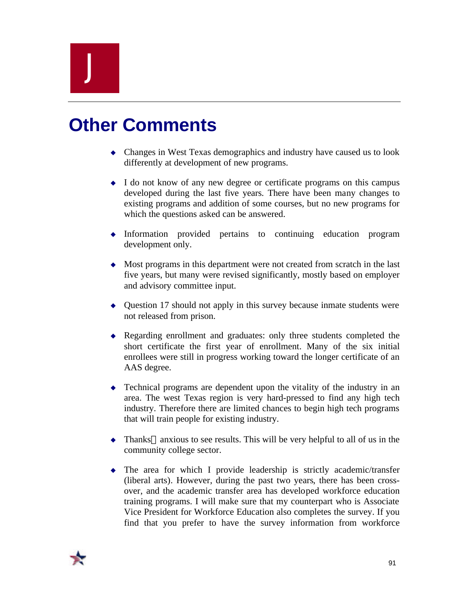## J

## **Other Comments**

- $\triangle$  Changes in West Texas demographics and industry have caused us to look differently at development of new programs.
- I do not know of any new degree or certificate programs on this campus developed during the last five years. There have been many changes to existing programs and addition of some courses, but no new programs for which the questions asked can be answered.
- $\bullet$  Information provided pertains to continuing education program development only.
- $\bullet$  Most programs in this department were not created from scratch in the last five years, but many were revised significantly, mostly based on employer and advisory committee input.
- $\triangle$  Question 17 should not apply in this survey because inmate students were not released from prison.
- Regarding enrollment and graduates: only three students completed the short certificate the first year of enrollment. Many of the six initial enrollees were still in progress working toward the longer certificate of an AAS degree.
- $\bullet$  Technical programs are dependent upon the vitality of the industry in an area. The west Texas region is very hard-pressed to find any high tech industry. Therefore there are limited chances to begin high tech programs that will train people for existing industry.
- $\bullet$  Thanks—anxious to see results. This will be very helpful to all of us in the community college sector.
- $\bullet$  The area for which I provide leadership is strictly academic/transfer (liberal arts). However, during the past two years, there has been crossover, and the academic transfer area has developed workforce education training programs. I will make sure that my counterpart who is Associate Vice President for Workforce Education also completes the survey. If you find that you prefer to have the survey information from workforce

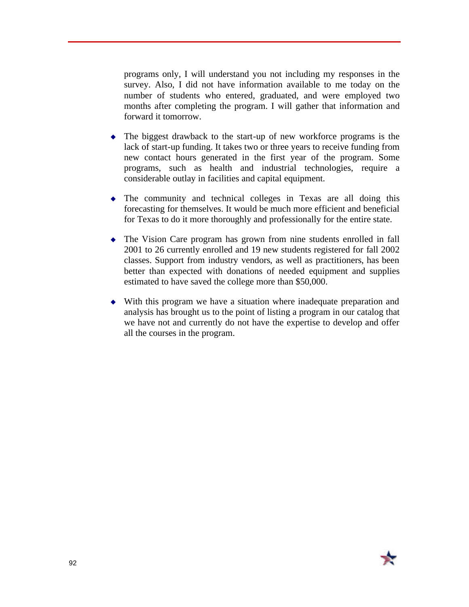programs only, I will understand you not including my responses in the survey. Also, I did not have information available to me today on the number of students who entered, graduated, and were employed two months after completing the program. I will gather that information and forward it tomorrow.

- $\bullet$  The biggest drawback to the start-up of new workforce programs is the lack of start-up funding. It takes two or three years to receive funding from new contact hours generated in the first year of the program. Some programs, such as health and industrial technologies, require a considerable outlay in facilities and capital equipment.
- $\bullet$  The community and technical colleges in Texas are all doing this forecasting for themselves. It would be much more efficient and beneficial for Texas to do it more thoroughly and professionally for the entire state.
- $\triangle$  The Vision Care program has grown from nine students enrolled in fall 2001 to 26 currently enrolled and 19 new students registered for fall 2002 classes. Support from industry vendors, as well as practitioners, has been better than expected with donations of needed equipment and supplies estimated to have saved the college more than \$50,000.
- $\bullet$  With this program we have a situation where inadequate preparation and analysis has brought us to the point of listing a program in our catalog that we have not and currently do not have the expertise to develop and offer all the courses in the program.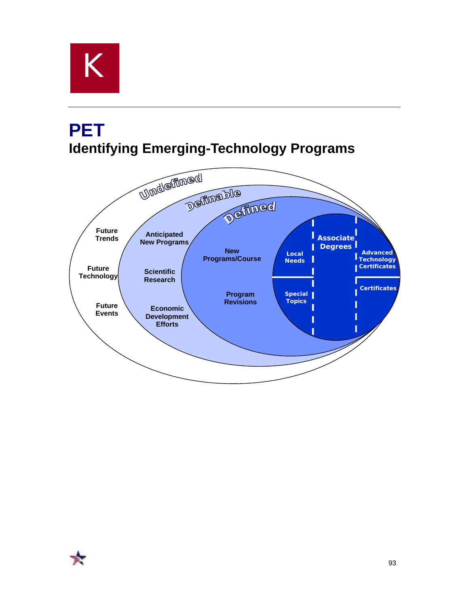

### **PET Identifying Emerging-Technology Programs**

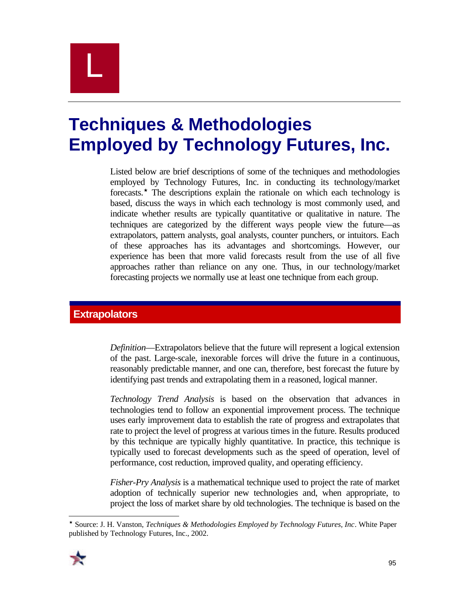## L

### **Techniques & Methodologies Employed by Technology Futures, Inc.**

Listed below are brief descriptions of some of the techniques and methodologies employed by Technology Futures, Inc. in conducting its technology/market forecasts.´ The descriptions explain the rationale on which each technology is based, discuss the ways in which each technology is most commonly used, and indicate whether results are typically quantitative or qualitative in nature. The techniques are categorized by the different ways people view the future—as extrapolators, pattern analysts, goal analysts, counter punchers, or intuitors. Each of these approaches has its advantages and shortcomings. However, our experience has been that more valid forecasts result from the use of all five approaches rather than reliance on any one. Thus, in our technology/market forecasting projects we normally use at least one technique from each group.

#### **Extrapolators**

*Definition*—Extrapolators believe that the future will represent a logical extension of the past. Large-scale, inexorable forces will drive the future in a continuous, reasonably predictable manner, and one can, therefore, best forecast the future by identifying past trends and extrapolating them in a reasoned, logical manner.

*Technology Trend Analysis* is based on the observation that advances in technologies tend to follow an exponential improvement process. The technique uses early improvement data to establish the rate of progress and extrapolates that rate to project the level of progress at various times in the future. Results produced by this technique are typically highly quantitative. In practice, this technique is typically used to forecast developments such as the speed of operation, level of performance, cost reduction, improved quality, and operating efficiency.

*Fisher-Pry Analysis* is a mathematical technique used to project the rate of market adoption of technically superior new technologies and, when appropriate, to project the loss of market share by old technologies. The technique is based on the

 $\overline{a}$ ´ Source: J. H. Vanston, *Techniques & Methodologies Employed by Technology Futures, Inc*. White Paper published by Technology Futures, Inc., 2002.

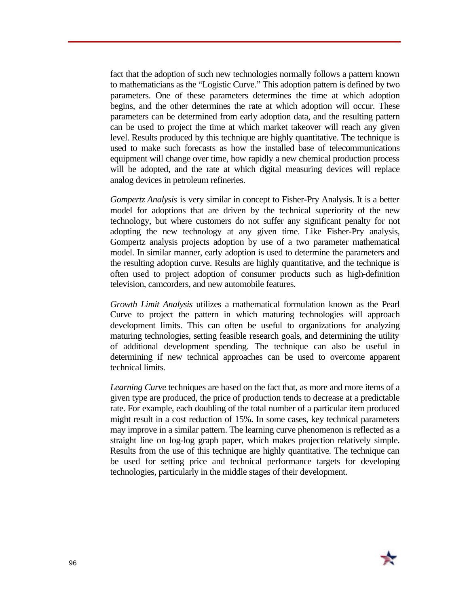fact that the adoption of such new technologies normally follows a pattern known to mathematicians as the "Logistic Curve." This adoption pattern is defined by two parameters. One of these parameters determines the time at which adoption begins, and the other determines the rate at which adoption will occur. These parameters can be determined from early adoption data, and the resulting pattern can be used to project the time at which market takeover will reach any given level. Results produced by this technique are highly quantitative. The technique is used to make such forecasts as how the installed base of telecommunications equipment will change over time, how rapidly a new chemical production process will be adopted, and the rate at which digital measuring devices will replace analog devices in petroleum refineries.

*Gompertz Analysis* is very similar in concept to Fisher-Pry Analysis. It is a better model for adoptions that are driven by the technical superiority of the new technology, but where customers do not suffer any significant penalty for not adopting the new technology at any given time. Like Fisher-Pry analysis, Gompertz analysis projects adoption by use of a two parameter mathematical model. In similar manner, early adoption is used to determine the parameters and the resulting adoption curve. Results are highly quantitative, and the technique is often used to project adoption of consumer products such as high-definition television, camcorders, and new automobile features.

*Growth Limit Analysis* utilizes a mathematical formulation known as the Pearl Curve to project the pattern in which maturing technologies will approach development limits. This can often be useful to organizations for analyzing maturing technologies, setting feasible research goals, and determining the utility of additional development spending. The technique can also be useful in determining if new technical approaches can be used to overcome apparent technical limits.

*Learning Curve* techniques are based on the fact that, as more and more items of a given type are produced, the price of production tends to decrease at a predictable rate. For example, each doubling of the total number of a particular item produced might result in a cost reduction of 15%. In some cases, key technical parameters may improve in a similar pattern. The learning curve phenomenon is reflected as a straight line on log-log graph paper, which makes projection relatively simple. Results from the use of this technique are highly quantitative. The technique can be used for setting price and technical performance targets for developing technologies, particularly in the middle stages of their development.

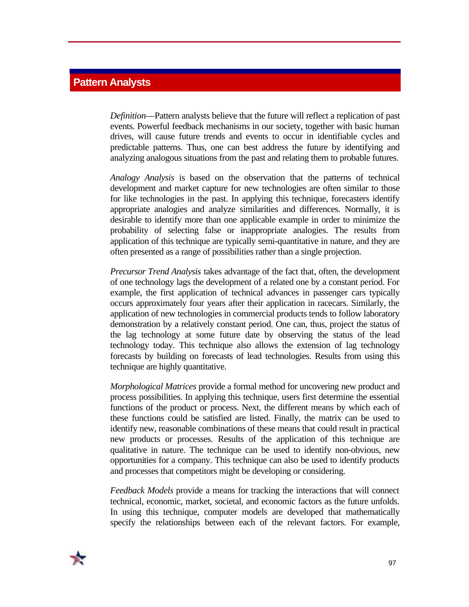#### **Pattern Analysts**

*Definition*—Pattern analysts believe that the future will reflect a replication of past events. Powerful feedback mechanisms in our society, together with basic human drives, will cause future trends and events to occur in identifiable cycles and predictable patterns. Thus, one can best address the future by identifying and analyzing analogous situations from the past and relating them to probable futures.

*Analogy Analysis* is based on the observation that the patterns of technical development and market capture for new technologies are often similar to those for like technologies in the past. In applying this technique, forecasters identify appropriate analogies and analyze similarities and differences. Normally, it is desirable to identify more than one applicable example in order to minimize the probability of selecting false or inappropriate analogies. The results from application of this technique are typically semi-quantitative in nature, and they are often presented as a range of possibilities rather than a single projection.

*Precursor Trend Analysis* takes advantage of the fact that, often, the development of one technology lags the development of a related one by a constant period. For example, the first application of technical advances in passenger cars typically occurs approximately four years after their application in racecars. Similarly, the application of new technologies in commercial products tends to follow laboratory demonstration by a relatively constant period. One can, thus, project the status of the lag technology at some future date by observing the status of the lead technology today. This technique also allows the extension of lag technology forecasts by building on forecasts of lead technologies. Results from using this technique are highly quantitative.

*Morphological Matrices* provide a formal method for uncovering new product and process possibilities. In applying this technique, users first determine the essential functions of the product or process. Next, the different means by which each of these functions could be satisfied are listed. Finally, the matrix can be used to identify new, reasonable combinations of these means that could result in practical new products or processes. Results of the application of this technique are qualitative in nature. The technique can be used to identify non-obvious, new opportunities for a company. This technique can also be used to identify products and processes that competitors might be developing or considering.

*Feedback Models* provide a means for tracking the interactions that will connect technical, economic, market, societal, and economic factors as the future unfolds. In using this technique, computer models are developed that mathematically specify the relationships between each of the relevant factors. For example,

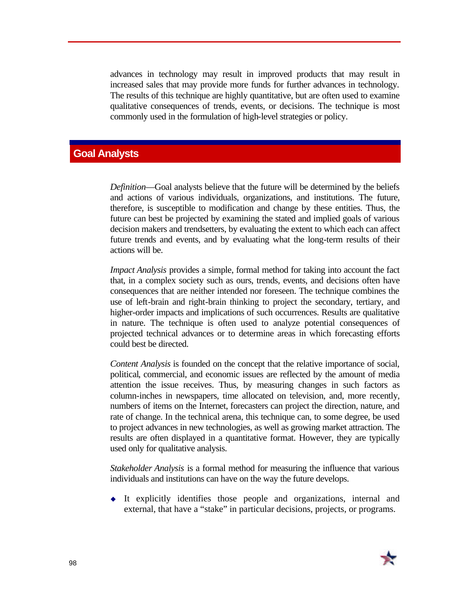advances in technology may result in improved products that may result in increased sales that may provide more funds for further advances in technology. The results of this technique are highly quantitative, but are often used to examine qualitative consequences of trends, events, or decisions. The technique is most commonly used in the formulation of high-level strategies or policy.

#### **Goal Analysts**

*Definition*—Goal analysts believe that the future will be determined by the beliefs and actions of various individuals, organizations, and institutions. The future, therefore, is susceptible to modification and change by these entities. Thus, the future can best be projected by examining the stated and implied goals of various decision makers and trendsetters, by evaluating the extent to which each can affect future trends and events, and by evaluating what the long-term results of their actions will be.

*Impact Analysis* provides a simple, formal method for taking into account the fact that, in a complex society such as ours, trends, events, and decisions often have consequences that are neither intended nor foreseen. The technique combines the use of left-brain and right-brain thinking to project the secondary, tertiary, and higher-order impacts and implications of such occurrences. Results are qualitative in nature. The technique is often used to analyze potential consequences of projected technical advances or to determine areas in which forecasting efforts could best be directed.

*Content Analysis* is founded on the concept that the relative importance of social, political, commercial, and economic issues are reflected by the amount of media attention the issue receives. Thus, by measuring changes in such factors as column-inches in newspapers, time allocated on television, and, more recently, numbers of items on the Internet, forecasters can project the direction, nature, and rate of change. In the technical arena, this technique can, to some degree, be used to project advances in new technologies, as well as growing market attraction. The results are often displayed in a quantitative format. However, they are typically used only for qualitative analysis.

*Stakeholder Analysis* is a formal method for measuring the influence that various individuals and institutions can have on the way the future develops.

 $\bullet$  It explicitly identifies those people and organizations, internal and external, that have a "stake" in particular decisions, projects, or programs.

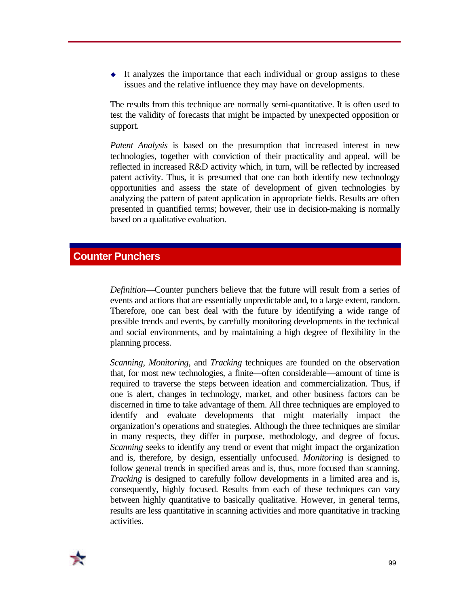$\bullet$  It analyzes the importance that each individual or group assigns to these issues and the relative influence they may have on developments.

The results from this technique are normally semi-quantitative. It is often used to test the validity of forecasts that might be impacted by unexpected opposition or support.

*Patent Analysis* is based on the presumption that increased interest in new technologies, together with conviction of their practicality and appeal, will be reflected in increased R&D activity which, in turn, will be reflected by increased patent activity. Thus, it is presumed that one can both identify new technology opportunities and assess the state of development of given technologies by analyzing the pattern of patent application in appropriate fields. Results are often presented in quantified terms; however, their use in decision-making is normally based on a qualitative evaluation.

#### **Counter Punchers**

*Definition*—Counter punchers believe that the future will result from a series of events and actions that are essentially unpredictable and, to a large extent, random. Therefore, one can best deal with the future by identifying a wide range of possible trends and events, by carefully monitoring developments in the technical and social environments, and by maintaining a high degree of flexibility in the planning process.

*Scanning*, *Monitoring*, and *Tracking* techniques are founded on the observation that, for most new technologies, a finite—often considerable—amount of time is required to traverse the steps between ideation and commercialization. Thus, if one is alert, changes in technology, market, and other business factors can be discerned in time to take advantage of them. All three techniques are employed to identify and evaluate developments that might materially impact the organization's operations and strategies. Although the three techniques are similar in many respects, they differ in purpose, methodology, and degree of focus. *Scanning* seeks to identify any trend or event that might impact the organization and is, therefore, by design, essentially unfocused. *Monitoring* is designed to follow general trends in specified areas and is, thus, more focused than scanning. *Tracking* is designed to carefully follow developments in a limited area and is, consequently, highly focused. Results from each of these techniques can vary between highly quantitative to basically qualitative. However, in general terms, results are less quantitative in scanning activities and more quantitative in tracking activities.

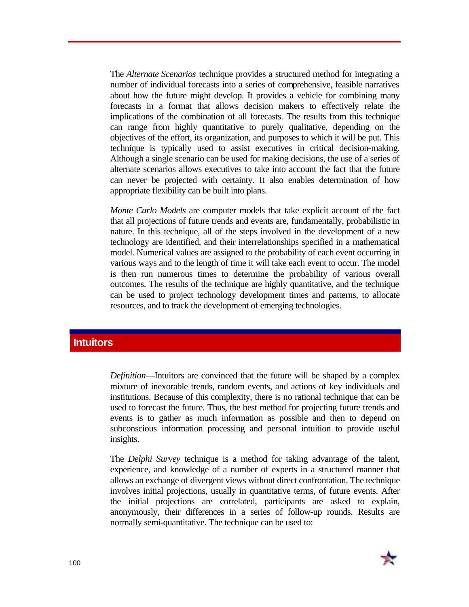The *Alternate Scenarios* technique provides a structured method for integrating a number of individual forecasts into a series of comprehensive, feasible narratives about how the future might develop. It provides a vehicle for combining many forecasts in a format that allows decision makers to effectively relate the implications of the combination of all forecasts. The results from this technique can range from highly quantitative to purely qualitative, depending on the objectives of the effort, its organization, and purposes to which it will be put. This technique is typically used to assist executives in critical decision-making. Although a single scenario can be used for making decisions, the use of a series of alternate scenarios allows executives to take into account the fact that the future can never be projected with certainty. It also enables determination of how appropriate flexibility can be built into plans.

*Monte Carlo Models* are computer models that take explicit account of the fact that all projections of future trends and events are, fundamentally, probabilistic in nature. In this technique, all of the steps involved in the development of a new technology are identified, and their interrelationships specified in a mathematical model. Numerical values are assigned to the probability of each event occurring in various ways and to the length of time it will take each event to occur. The model is then run numerous times to determine the probability of various overall outcomes. The results of the technique are highly quantitative, and the technique can be used to project technology development times and patterns, to allocate resources, and to track the development of emerging technologies.

#### **Intuitors**

*Definition*—Intuitors are convinced that the future will be shaped by a complex mixture of inexorable trends, random events, and actions of key individuals and institutions. Because of this complexity, there is no rational technique that can be used to forecast the future. Thus, the best method for projecting future trends and events is to gather as much information as possible and then to depend on subconscious information processing and personal intuition to provide useful insights.

The *Delphi Survey* technique is a method for taking advantage of the talent, experience, and knowledge of a number of experts in a structured manner that allows an exchange of divergent views without direct confrontation. The technique involves initial projections, usually in quantitative terms, of future events. After the initial projections are correlated, participants are asked to explain, anonymously, their differences in a series of follow-up rounds. Results are normally semi-quantitative. The technique can be used to:

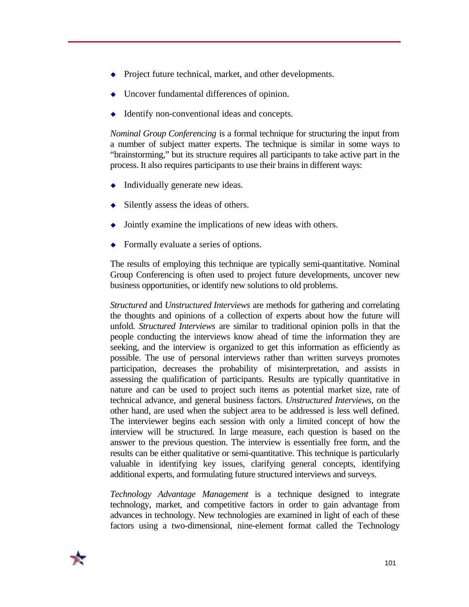- $\rightarrow$  Project future technical, market, and other developments.
- Uncover fundamental differences of opinion.
- Identify non-conventional ideas and concepts.

*Nominal Group Conferencing* is a formal technique for structuring the input from a number of subject matter experts. The technique is similar in some ways to "brainstorming," but its structure requires all participants to take active part in the process. It also requires participants to use their brains in different ways:

- $\bullet$  Individually generate new ideas.
- $\bullet$  Silently assess the ideas of others.
- Jointly examine the implications of new ideas with others.
- $\rightarrow$  Formally evaluate a series of options.

The results of employing this technique are typically semi-quantitative. Nominal Group Conferencing is often used to project future developments, uncover new business opportunities, or identify new solutions to old problems.

*Structured* and *Unstructured Interviews* are methods for gathering and correlating the thoughts and opinions of a collection of experts about how the future will unfold. *Structured Interviews* are similar to traditional opinion polls in that the people conducting the interviews know ahead of time the information they are seeking, and the interview is organized to get this information as efficiently as possible. The use of personal interviews rather than written surveys promotes participation, decreases the probability of misinterpretation, and assists in assessing the qualification of participants. Results are typically quantitative in nature and can be used to project such items as potential market size, rate of technical advance, and general business factors. *Unstructured Interviews*, on the other hand, are used when the subject area to be addressed is less well defined. The interviewer begins each session with only a limited concept of how the interview will be structured. In large measure, each question is based on the answer to the previous question. The interview is essentially free form, and the results can be either qualitative or semi-quantitative. This technique is particularly valuable in identifying key issues, clarifying general concepts, identifying additional experts, and formulating future structured interviews and surveys.

*Technology Advantage Management* is a technique designed to integrate technology, market, and competitive factors in order to gain advantage from advances in technology. New technologies are examined in light of each of these factors using a two-dimensional, nine-element format called the Technology

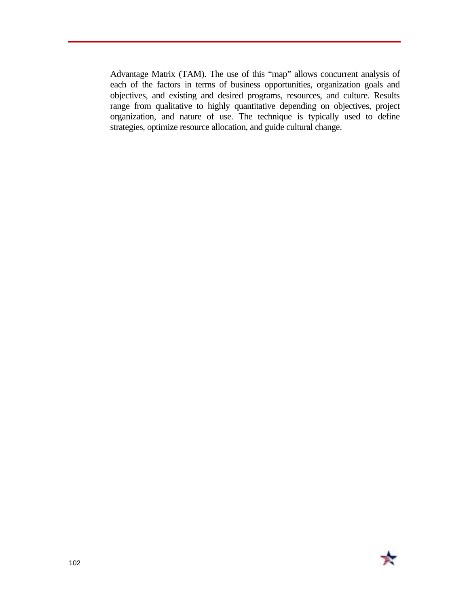Advantage Matrix (TAM). The use of this "map" allows concurrent analysis of each of the factors in terms of business opportunities, organization goals and objectives, and existing and desired programs, resources, and culture. Results range from qualitative to highly quantitative depending on objectives, project organization, and nature of use. The technique is typically used to define strategies, optimize resource allocation, and guide cultural change.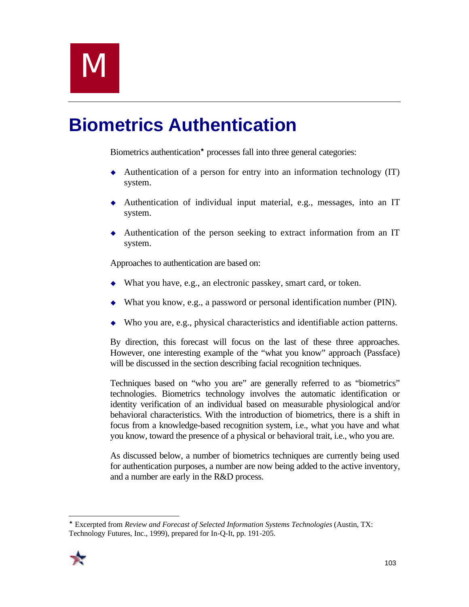# **Biometrics Authentication**

Biometrics authentication<sup>\*</sup> processes fall into three general categories:

- $\triangle$  Authentication of a person for entry into an information technology (IT) system.
- $\blacklozenge$  Authentication of individual input material, e.g., messages, into an IT system.
- $\triangle$  Authentication of the person seeking to extract information from an IT system.

Approaches to authentication are based on:

- $\bullet$  What you have, e.g., an electronic passkey, smart card, or token.
- $\blacklozenge$  What you know, e.g., a password or personal identification number (PIN).
- Who you are, e.g., physical characteristics and identifiable action patterns.

By direction, this forecast will focus on the last of these three approaches. However, one interesting example of the "what you know" approach (Passface) will be discussed in the section describing facial recognition techniques.

Techniques based on "who you are" are generally referred to as "biometrics" technologies. Biometrics technology involves the automatic identification or identity verification of an individual based on measurable physiological and/or behavioral characteristics. With the introduction of biometrics, there is a shift in focus from a knowledge-based recognition system, i.e., what you have and what you know, toward the presence of a physical or behavioral trait, i.e., who you are.

As discussed below, a number of biometrics techniques are currently being used for authentication purposes, a number are now being added to the active inventory, and a number are early in the R&D process.

 $\overline{a}$ ´ Excerpted from *Review and Forecast of Selected Information Systems Technologies* (Austin, TX: Technology Futures, Inc., 1999), prepared for In-Q-It, pp. 191-205.

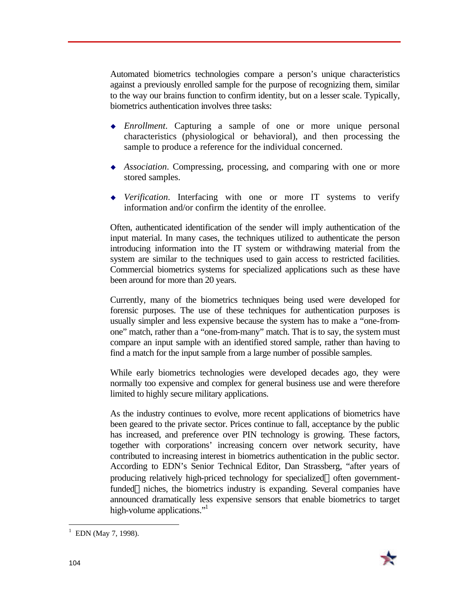Automated biometrics technologies compare a person's unique characteristics against a previously enrolled sample for the purpose of recognizing them, similar to the way our brains function to confirm identity, but on a lesser scale. Typically, biometrics authentication involves three tasks:

- *Enrollment*. Capturing a sample of one or more unique personal characteristics (physiological or behavioral), and then processing the sample to produce a reference for the individual concerned.
- <sup>u</sup> *Association*. Compressing, processing, and comparing with one or more stored samples.
- <sup>u</sup> *Verification*. Interfacing with one or more IT systems to verify information and/or confirm the identity of the enrollee.

Often, authenticated identification of the sender will imply authentication of the input material. In many cases, the techniques utilized to authenticate the person introducing information into the IT system or withdrawing material from the system are similar to the techniques used to gain access to restricted facilities. Commercial biometrics systems for specialized applications such as these have been around for more than 20 years.

Currently, many of the biometrics techniques being used were developed for forensic purposes. The use of these techniques for authentication purposes is usually simpler and less expensive because the system has to make a "one-fromone" match, rather than a "one-from-many" match. That is to say, the system must compare an input sample with an identified stored sample, rather than having to find a match for the input sample from a large number of possible samples.

While early biometrics technologies were developed decades ago, they were normally too expensive and complex for general business use and were therefore limited to highly secure military applications.

As the industry continues to evolve, more recent applications of biometrics have been geared to the private sector. Prices continue to fall, acceptance by the public has increased, and preference over PIN technology is growing. These factors, together with corporations' increasing concern over network security, have contributed to increasing interest in biometrics authentication in the public sector. According to EDN's Senior Technical Editor, Dan Strassberg, "after years of producing relatively high-priced technology for specialized-often governmentfunded—niches, the biometrics industry is expanding. Several companies have announced dramatically less expensive sensors that enable biometrics to target high-volume applications."<sup>1</sup>



<sup>1</sup>  $1$  EDN (May 7, 1998).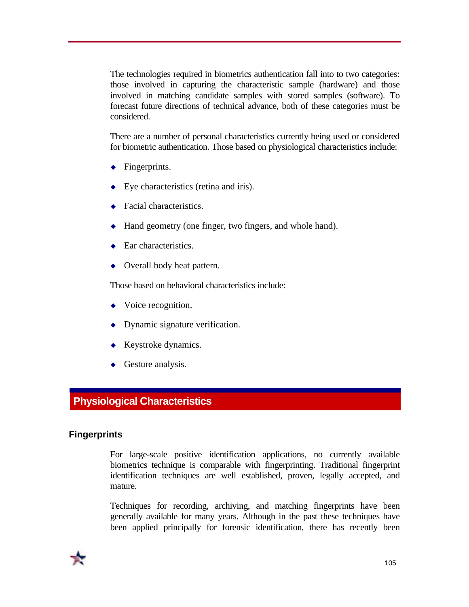The technologies required in biometrics authentication fall into to two categories: those involved in capturing the characteristic sample (hardware) and those involved in matching candidate samples with stored samples (software). To forecast future directions of technical advance, both of these categories must be considered.

There are a number of personal characteristics currently being used or considered for biometric authentication. Those based on physiological characteristics include:

- $\leftarrow$  Fingerprints.
- $\bullet$  Eye characteristics (retina and iris).
- Facial characteristics.
- $\triangle$  Hand geometry (one finger, two fingers, and whole hand).
- $\leftarrow$  Ear characteristics.
- $\leftrightarrow$  Overall body heat pattern.

Those based on behavioral characteristics include:

- $\bullet$  Voice recognition.
- $\bullet$  Dynamic signature verification.
- $\leftarrow$  Keystroke dynamics.
- $\triangleleft$  Gesture analysis.

# **Physiological Characteristics**

### **Fingerprints**

For large-scale positive identification applications, no currently available biometrics technique is comparable with fingerprinting. Traditional fingerprint identification techniques are well established, proven, legally accepted, and mature.

Techniques for recording, archiving, and matching fingerprints have been generally available for many years. Although in the past these techniques have been applied principally for forensic identification, there has recently been

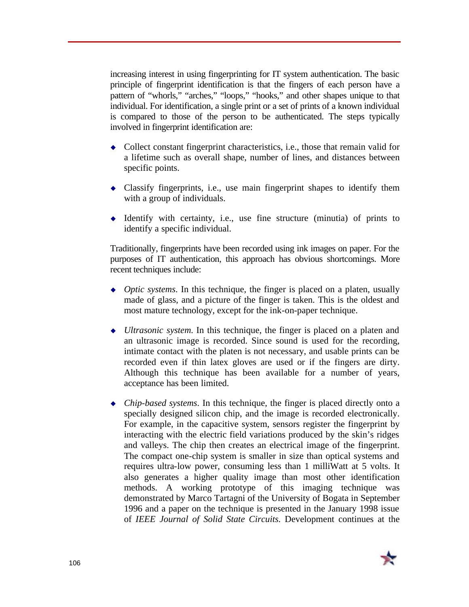increasing interest in using fingerprinting for IT system authentication. The basic principle of fingerprint identification is that the fingers of each person have a pattern of "whorls," "arches," "loops," "hooks," and other shapes unique to that individual. For identification, a single print or a set of prints of a known individual is compared to those of the person to be authenticated. The steps typically involved in fingerprint identification are:

- $\bullet$  Collect constant fingerprint characteristics, i.e., those that remain valid for a lifetime such as overall shape, number of lines, and distances between specific points.
- $\bullet$  Classify fingerprints, i.e., use main fingerprint shapes to identify them with a group of individuals.
- $\bullet$  Identify with certainty, i.e., use fine structure (minutia) of prints to identify a specific individual.

Traditionally, fingerprints have been recorded using ink images on paper. For the purposes of IT authentication, this approach has obvious shortcomings. More recent techniques include:

- <sup>u</sup> *Optic systems*. In this technique, the finger is placed on a platen, usually made of glass, and a picture of the finger is taken. This is the oldest and most mature technology, except for the ink-on-paper technique.
- <sup>u</sup> *Ultrasonic system*. In this technique, the finger is placed on a platen and an ultrasonic image is recorded. Since sound is used for the recording, intimate contact with the platen is not necessary, and usable prints can be recorded even if thin latex gloves are used or if the fingers are dirty. Although this technique has been available for a number of years, acceptance has been limited.
- *Chip-based systems*. In this technique, the finger is placed directly onto a specially designed silicon chip, and the image is recorded electronically. For example, in the capacitive system, sensors register the fingerprint by interacting with the electric field variations produced by the skin's ridges and valleys. The chip then creates an electrical image of the fingerprint. The compact one-chip system is smaller in size than optical systems and requires ultra-low power, consuming less than 1 milliWatt at 5 volts. It also generates a higher quality image than most other identification methods. A working prototype of this imaging technique was demonstrated by Marco Tartagni of the University of Bogata in September 1996 and a paper on the technique is presented in the January 1998 issue of *IEEE Journal of Solid State Circuits*. Development continues at the

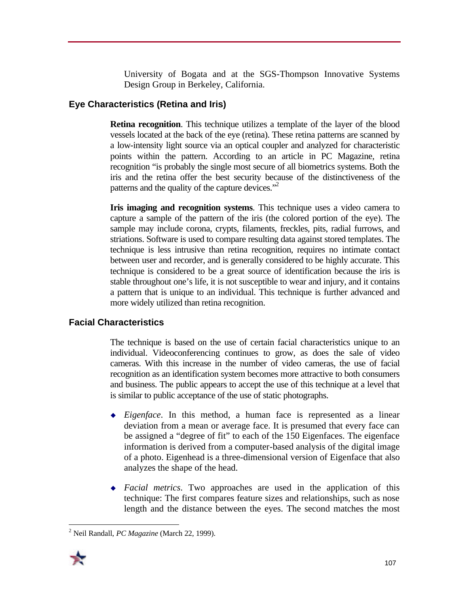University of Bogata and at the SGS-Thompson Innovative Systems Design Group in Berkeley, California.

# **Eye Characteristics (Retina and Iris)**

**Retina recognition**. This technique utilizes a template of the layer of the blood vessels located at the back of the eye (retina). These retina patterns are scanned by a low-intensity light source via an optical coupler and analyzed for characteristic points within the pattern. According to an article in PC Magazine, retina recognition "is probably the single most secure of all biometrics systems. Both the iris and the retina offer the best security because of the distinctiveness of the patterns and the quality of the capture devices."<sup>2</sup>

**Iris imaging and recognition systems**. This technique uses a video camera to capture a sample of the pattern of the iris (the colored portion of the eye). The sample may include corona, crypts, filaments, freckles, pits, radial furrows, and striations. Software is used to compare resulting data against stored templates. The technique is less intrusive than retina recognition, requires no intimate contact between user and recorder, and is generally considered to be highly accurate. This technique is considered to be a great source of identification because the iris is stable throughout one's life, it is not susceptible to wear and injury, and it contains a pattern that is unique to an individual. This technique is further advanced and more widely utilized than retina recognition.

# **Facial Characteristics**

The technique is based on the use of certain facial characteristics unique to an individual. Videoconferencing continues to grow, as does the sale of video cameras. With this increase in the number of video cameras, the use of facial recognition as an identification system becomes more attractive to both consumers and business. The public appears to accept the use of this technique at a level that is similar to public acceptance of the use of static photographs.

- <sup>u</sup> *Eigenface*. In this method, a human face is represented as a linear deviation from a mean or average face. It is presumed that every face can be assigned a "degree of fit" to each of the 150 Eigenfaces. The eigenface information is derived from a computer-based analysis of the digital image of a photo. Eigenhead is a three-dimensional version of Eigenface that also analyzes the shape of the head.
- <sup>u</sup> *Facial metrics*. Two approaches are used in the application of this technique: The first compares feature sizes and relationships, such as nose length and the distance between the eyes. The second matches the most

<sup>1</sup> 2 Neil Randall, *PC Magazine* (March 22, 1999).

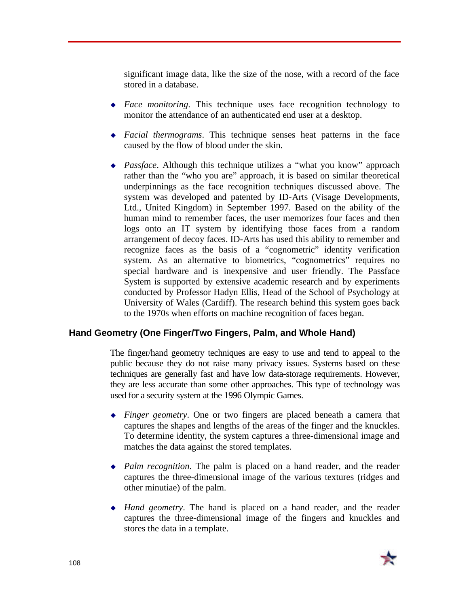significant image data, like the size of the nose, with a record of the face stored in a database.

- <sup>u</sup> *Face monitoring*. This technique uses face recognition technology to monitor the attendance of an authenticated end user at a desktop.
- <sup>u</sup> *Facial thermograms*. This technique senses heat patterns in the face caused by the flow of blood under the skin.
- ◆ *Passface*. Although this technique utilizes a "what you know" approach rather than the "who you are" approach, it is based on similar theoretical underpinnings as the face recognition techniques discussed above. The system was developed and patented by ID-Arts (Visage Developments, Ltd., United Kingdom) in September 1997. Based on the ability of the human mind to remember faces, the user memorizes four faces and then logs onto an IT system by identifying those faces from a random arrangement of decoy faces. ID-Arts has used this ability to remember and recognize faces as the basis of a "cognometric" identity verification system. As an alternative to biometrics, "cognometrics" requires no special hardware and is inexpensive and user friendly. The Passface System is supported by extensive academic research and by experiments conducted by Professor Hadyn Ellis, Head of the School of Psychology at University of Wales (Cardiff). The research behind this system goes back to the 1970s when efforts on machine recognition of faces began.

### **Hand Geometry (One Finger/Two Fingers, Palm, and Whole Hand)**

The finger/hand geometry techniques are easy to use and tend to appeal to the public because they do not raise many privacy issues. Systems based on these techniques are generally fast and have low data-storage requirements. However, they are less accurate than some other approaches. This type of technology was used for a security system at the 1996 Olympic Games.

- <sup>u</sup> *Finger geometry*. One or two fingers are placed beneath a camera that captures the shapes and lengths of the areas of the finger and the knuckles. To determine identity, the system captures a three-dimensional image and matches the data against the stored templates.
- *Palm recognition*. The palm is placed on a hand reader, and the reader captures the three-dimensional image of the various textures (ridges and other minutiae) of the palm.
- <sup>u</sup> *Hand geometry*. The hand is placed on a hand reader, and the reader captures the three-dimensional image of the fingers and knuckles and stores the data in a template.

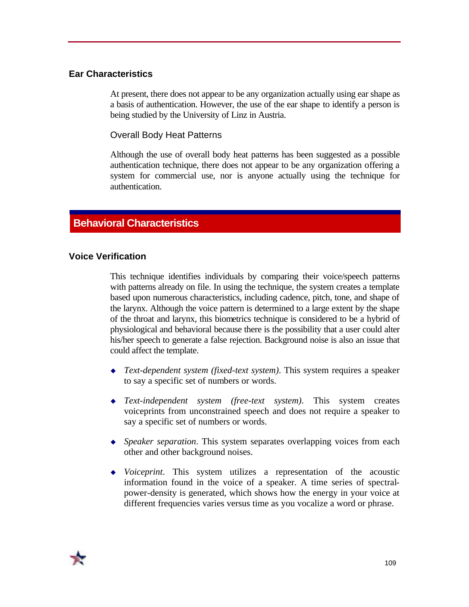# **Ear Characteristics**

At present, there does not appear to be any organization actually using ear shape as a basis of authentication. However, the use of the ear shape to identify a person is being studied by the University of Linz in Austria.

Overall Body Heat Patterns

Although the use of overall body heat patterns has been suggested as a possible authentication technique, there does not appear to be any organization offering a system for commercial use, nor is anyone actually using the technique for authentication.

# **Behavioral Characteristics**

### **Voice Verification**

This technique identifies individuals by comparing their voice/speech patterns with patterns already on file. In using the technique, the system creates a template based upon numerous characteristics, including cadence, pitch, tone, and shape of the larynx. Although the voice pattern is determined to a large extent by the shape of the throat and larynx, this biometrics technique is considered to be a hybrid of physiological and behavioral because there is the possibility that a user could alter his/her speech to generate a false rejection. Background noise is also an issue that could affect the template.

- ◆ *Text-dependent system (fixed-text system)*. This system requires a speaker to say a specific set of numbers or words.
- <sup>u</sup> *Text-independent system (free-text system)*. This system creates voiceprints from unconstrained speech and does not require a speaker to say a specific set of numbers or words.
- <sup>u</sup> *Speaker separation*. This system separates overlapping voices from each other and other background noises.
- <sup>u</sup> *Voiceprint*. This system utilizes a representation of the acoustic information found in the voice of a speaker. A time series of spectralpower-density is generated, which shows how the energy in your voice at different frequencies varies versus time as you vocalize a word or phrase.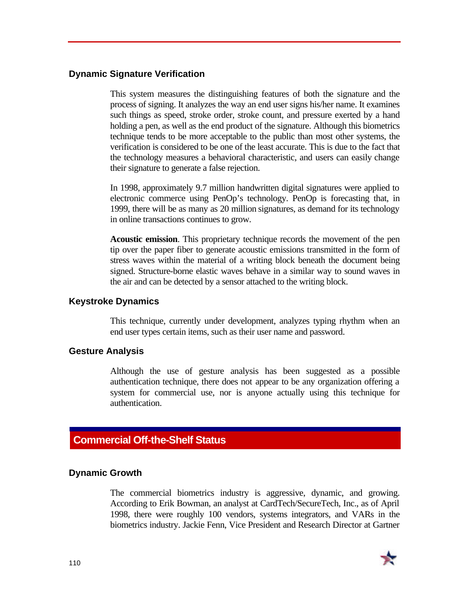### **Dynamic Signature Verification**

This system measures the distinguishing features of both the signature and the process of signing. It analyzes the way an end user signs his/her name. It examines such things as speed, stroke order, stroke count, and pressure exerted by a hand holding a pen, as well as the end product of the signature. Although this biometrics technique tends to be more acceptable to the public than most other systems, the verification is considered to be one of the least accurate. This is due to the fact that the technology measures a behavioral characteristic, and users can easily change their signature to generate a false rejection.

In 1998, approximately 9.7 million handwritten digital signatures were applied to electronic commerce using PenOp's technology. PenOp is forecasting that, in 1999, there will be as many as 20 million signatures, as demand for its technology in online transactions continues to grow.

**Acoustic emission**. This proprietary technique records the movement of the pen tip over the paper fiber to generate acoustic emissions transmitted in the form of stress waves within the material of a writing block beneath the document being signed. Structure-borne elastic waves behave in a similar way to sound waves in the air and can be detected by a sensor attached to the writing block.

### **Keystroke Dynamics**

This technique, currently under development, analyzes typing rhythm when an end user types certain items, such as their user name and password.

### **Gesture Analysis**

Although the use of gesture analysis has been suggested as a possible authentication technique, there does not appear to be any organization offering a system for commercial use, nor is anyone actually using this technique for authentication.

# **Commercial Off-the-Shelf Status**

### **Dynamic Growth**

The commercial biometrics industry is aggressive, dynamic, and growing. According to Erik Bowman, an analyst at CardTech/SecureTech, Inc., as of April 1998, there were roughly 100 vendors, systems integrators, and VARs in the biometrics industry. Jackie Fenn, Vice President and Research Director at Gartner

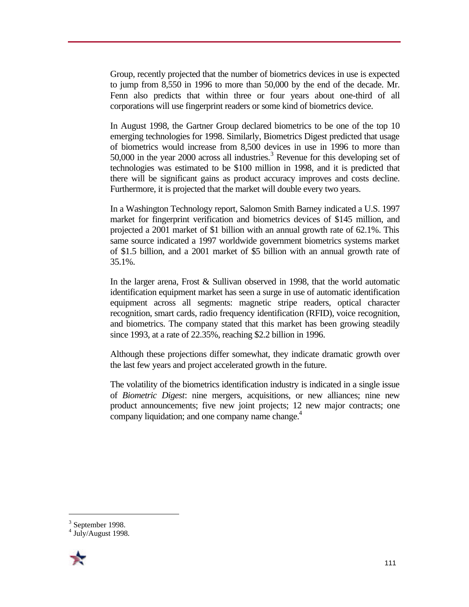Group, recently projected that the number of biometrics devices in use is expected to jump from 8,550 in 1996 to more than 50,000 by the end of the decade. Mr. Fenn also predicts that within three or four years about one-third of all corporations will use fingerprint readers or some kind of biometrics device.

In August 1998, the Gartner Group declared biometrics to be one of the top 10 emerging technologies for 1998. Similarly, Biometrics Digest predicted that usage of biometrics would increase from 8,500 devices in use in 1996 to more than 50,000 in the year 2000 across all industries.<sup>3</sup> Revenue for this developing set of technologies was estimated to be \$100 million in 1998, and it is predicted that there will be significant gains as product accuracy improves and costs decline. Furthermore, it is projected that the market will double every two years.

In a Washington Technology report, Salomon Smith Barney indicated a U.S. 1997 market for fingerprint verification and biometrics devices of \$145 million, and projected a 2001 market of \$1 billion with an annual growth rate of 62.1%. This same source indicated a 1997 worldwide government biometrics systems market of \$1.5 billion, and a 2001 market of \$5 billion with an annual growth rate of 35.1%.

In the larger arena, Frost & Sullivan observed in 1998, that the world automatic identification equipment market has seen a surge in use of automatic identification equipment across all segments: magnetic stripe readers, optical character recognition, smart cards, radio frequency identification (RFID), voice recognition, and biometrics. The company stated that this market has been growing steadily since 1993, at a rate of 22.35%, reaching \$2.2 billion in 1996.

Although these projections differ somewhat, they indicate dramatic growth over the last few years and project accelerated growth in the future.

The volatility of the biometrics identification industry is indicated in a single issue of *Biometric Digest*: nine mergers, acquisitions, or new alliances; nine new product announcements; five new joint projects; 12 new major contracts; one company liquidation; and one company name change.<sup>4</sup>

<sup>4</sup> July/August 1998.



<u>.</u>

 $3$  September 1998.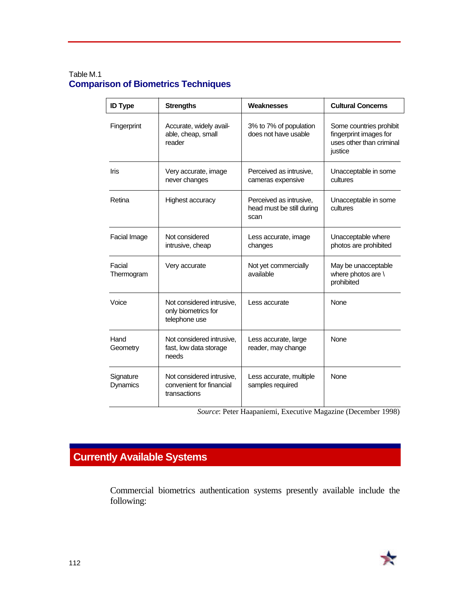### Table M.1 **Comparison of Biometrics Techniques**

| <b>ID Type</b>        | <b>Strengths</b>                                                      | Weaknesses                                                   | <b>Cultural Concerns</b>                                                                 |
|-----------------------|-----------------------------------------------------------------------|--------------------------------------------------------------|------------------------------------------------------------------------------------------|
| Fingerprint           | Accurate, widely avail-<br>able, cheap, small<br>reader               | 3% to 7% of population<br>does not have usable               | Some countries prohibit<br>fingerprint images for<br>uses other than criminal<br>justice |
| <b>Iris</b>           | Very accurate, image<br>never changes                                 | Perceived as intrusive,<br>cameras expensive                 | Unacceptable in some<br>cultures                                                         |
| Retina                | <b>Highest accuracy</b>                                               | Perceived as intrusive,<br>head must be still during<br>scan | Unacceptable in some<br>cultures                                                         |
| Facial Image          | Not considered<br>intrusive, cheap                                    | Less accurate, image<br>changes                              | Unacceptable where<br>photos are prohibited                                              |
| Facial<br>Thermogram  | Very accurate                                                         | Not yet commercially<br>available                            | May be unacceptable<br>where photos are \<br>prohibited                                  |
| Voice                 | Not considered intrusive,<br>only biometrics for<br>telephone use     | Less accurate                                                | <b>None</b>                                                                              |
| Hand<br>Geometry      | Not considered intrusive,<br>fast, low data storage<br>needs          | Less accurate, large<br>reader, may change                   | None                                                                                     |
| Signature<br>Dynamics | Not considered intrusive,<br>convenient for financial<br>transactions | Less accurate, multiple<br>samples required                  | <b>None</b>                                                                              |

*Source*: Peter Haapaniemi, Executive Magazine (December 1998)

# **Currently Available Systems**

Commercial biometrics authentication systems presently available include the following: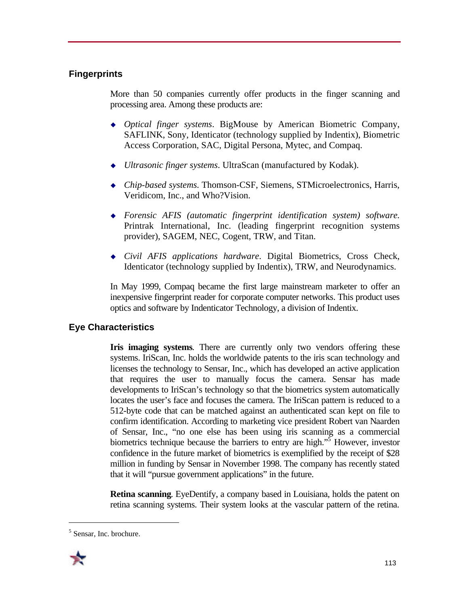# **Fingerprints**

More than 50 companies currently offer products in the finger scanning and processing area. Among these products are:

- <sup>u</sup> *Optical finger systems*. BigMouse by American Biometric Company, SAFLINK, Sony, Identicator (technology supplied by Indentix), Biometric Access Corporation, SAC, Digital Persona, Mytec, and Compaq.
- ◆ *Ultrasonic finger systems*. UltraScan (manufactured by Kodak).
- <sup>u</sup> *Chip-based systems*. Thomson-CSF, Siemens, STMicroelectronics, Harris, Veridicom, Inc., and Who?Vision.
- <sup>u</sup> *Forensic AFIS (automatic fingerprint identification system) software*. Printrak International, Inc. (leading fingerprint recognition systems provider), SAGEM, NEC, Cogent, TRW, and Titan.
- <sup>u</sup> *Civil AFIS applications hardware*. Digital Biometrics, Cross Check, Identicator (technology supplied by Indentix), TRW, and Neurodynamics.

In May 1999, Compaq became the first large mainstream marketer to offer an inexpensive fingerprint reader for corporate computer networks. This product uses optics and software by Indenticator Technology, a division of Indentix.

# **Eye Characteristics**

**Iris imaging systems**. There are currently only two vendors offering these systems. IriScan, Inc. holds the worldwide patents to the iris scan technology and licenses the technology to Sensar, Inc., which has developed an active application that requires the user to manually focus the camera. Sensar has made developments to IriScan's technology so that the biometrics system automatically locates the user's face and focuses the camera. The IriScan pattern is reduced to a 512-byte code that can be matched against an authenticated scan kept on file to confirm identification. According to marketing vice president Robert van Naarden of Sensar, Inc., "no one else has been using iris scanning as a commercial biometrics technique because the barriers to entry are high."<sup>5</sup> However, investor confidence in the future market of biometrics is exemplified by the receipt of \$28 million in funding by Sensar in November 1998. The company has recently stated that it will "pursue government applications" in the future.

**Retina scanning**. EyeDentify, a company based in Louisiana, holds the patent on retina scanning systems. Their system looks at the vascular pattern of the retina.

<sup>&</sup>lt;sup>5</sup> Sensar, Inc. brochure.



1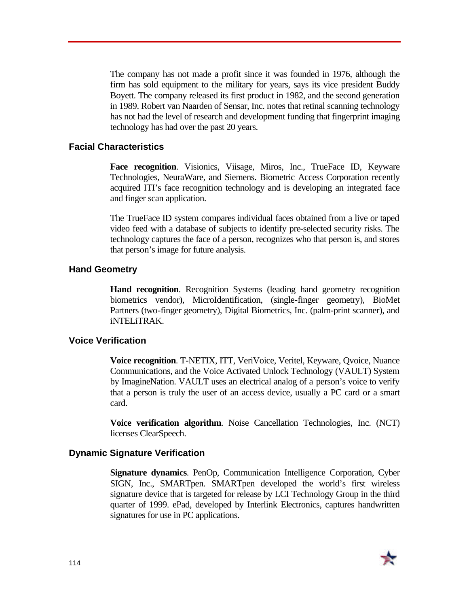The company has not made a profit since it was founded in 1976, although the firm has sold equipment to the military for years, says its vice president Buddy Boyett. The company released its first product in 1982, and the second generation in 1989. Robert van Naarden of Sensar, Inc. notes that retinal scanning technology has not had the level of research and development funding that fingerprint imaging technology has had over the past 20 years.

### **Facial Characteristics**

**Face recognition**. Visionics, Viisage, Miros, Inc., TrueFace ID, Keyware Technologies, NeuraWare, and Siemens. Biometric Access Corporation recently acquired ITI's face recognition technology and is developing an integrated face and finger scan application.

The TrueFace ID system compares individual faces obtained from a live or taped video feed with a database of subjects to identify pre-selected security risks. The technology captures the face of a person, recognizes who that person is, and stores that person's image for future analysis.

### **Hand Geometry**

**Hand recognition**. Recognition Systems (leading hand geometry recognition biometrics vendor), MicroIdentification, (single-finger geometry), BioMet Partners (two-finger geometry), Digital Biometrics, Inc. (palm-print scanner), and iNTELiTRAK.

#### **Voice Verification**

**Voice recognition**. T-NETIX, ITT, VeriVoice, Veritel, Keyware, Qvoice, Nuance Communications, and the Voice Activated Unlock Technology (VAULT) System by ImagineNation. VAULT uses an electrical analog of a person's voice to verify that a person is truly the user of an access device, usually a PC card or a smart card.

**Voice verification algorithm**. Noise Cancellation Technologies, Inc. (NCT) licenses ClearSpeech.

### **Dynamic Signature Verification**

**Signature dynamics**. PenOp, Communication Intelligence Corporation, Cyber SIGN, Inc., SMARTpen. SMARTpen developed the world's first wireless signature device that is targeted for release by LCI Technology Group in the third quarter of 1999. ePad, developed by Interlink Electronics, captures handwritten signatures for use in PC applications.

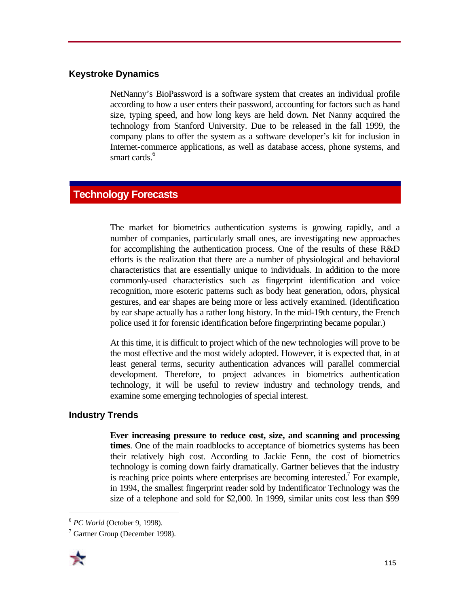# **Keystroke Dynamics**

NetNanny's BioPassword is a software system that creates an individual profile according to how a user enters their password, accounting for factors such as hand size, typing speed, and how long keys are held down. Net Nanny acquired the technology from Stanford University. Due to be released in the fall 1999, the company plans to offer the system as a software developer's kit for inclusion in Internet-commerce applications, as well as database access, phone systems, and smart cards.<sup>6</sup>

# **Technology Forecasts**

The market for biometrics authentication systems is growing rapidly, and a number of companies, particularly small ones, are investigating new approaches for accomplishing the authentication process. One of the results of these R&D efforts is the realization that there are a number of physiological and behavioral characteristics that are essentially unique to individuals. In addition to the more commonly-used characteristics such as fingerprint identification and voice recognition, more esoteric patterns such as body heat generation, odors, physical gestures, and ear shapes are being more or less actively examined. (Identification by ear shape actually has a rather long history. In the mid-19th century, the French police used it for forensic identification before fingerprinting became popular.)

At this time, it is difficult to project which of the new technologies will prove to be the most effective and the most widely adopted. However, it is expected that, in at least general terms, security authentication advances will parallel commercial development. Therefore, to project advances in biometrics authentication technology, it will be useful to review industry and technology trends, and examine some emerging technologies of special interest.

# **Industry Trends**

**Ever increasing pressure to reduce cost, size, and scanning and processing times**. One of the main roadblocks to acceptance of biometrics systems has been their relatively high cost. According to Jackie Fenn, the cost of biometrics technology is coming down fairly dramatically. Gartner believes that the industry is reaching price points where enterprises are becoming interested.<sup>7</sup> For example, in 1994, the smallest fingerprint reader sold by Indentificator Technology was the size of a telephone and sold for \$2,000. In 1999, similar units cost less than \$99

<sup>&</sup>lt;sup>7</sup> Gartner Group (December 1998).



 $\overline{a}$ 

<sup>6</sup> *PC World* (October 9, 1998).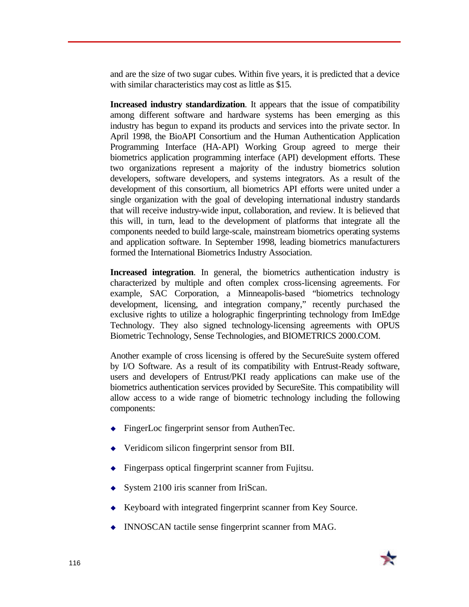and are the size of two sugar cubes. Within five years, it is predicted that a device with similar characteristics may cost as little as \$15.

**Increased industry standardization**. It appears that the issue of compatibility among different software and hardware systems has been emerging as this industry has begun to expand its products and services into the private sector. In April 1998, the BioAPI Consortium and the Human Authentication Application Programming Interface (HA-API) Working Group agreed to merge their biometrics application programming interface (API) development efforts. These two organizations represent a majority of the industry biometrics solution developers, software developers, and systems integrators. As a result of the development of this consortium, all biometrics API efforts were united under a single organization with the goal of developing international industry standards that will receive industry-wide input, collaboration, and review. It is believed that this will, in turn, lead to the development of platforms that integrate all the components needed to build large-scale, mainstream biometrics operating systems and application software. In September 1998, leading biometrics manufacturers formed the International Biometrics Industry Association.

**Increased integration**. In general, the biometrics authentication industry is characterized by multiple and often complex cross-licensing agreements. For example, SAC Corporation, a Minneapolis-based "biometrics technology development, licensing, and integration company," recently purchased the exclusive rights to utilize a holographic fingerprinting technology from ImEdge Technology. They also signed technology-licensing agreements with OPUS Biometric Technology, Sense Technologies, and BIOMETRICS 2000.COM.

Another example of cross licensing is offered by the SecureSuite system offered by I/O Software. As a result of its compatibility with Entrust-Ready software, users and developers of Entrust/PKI ready applications can make use of the biometrics authentication services provided by SecureSite. This compatibility will allow access to a wide range of biometric technology including the following components:

- $\bullet$  FingerLoc fingerprint sensor from AuthenTec.
- $\blacklozenge$  Veridicom silicon fingerprint sensor from BII.
- Fingerpass optical fingerprint scanner from Fujitsu.
- $\bullet$  System 2100 iris scanner from IriScan.
- Keyboard with integrated fingerprint scanner from Key Source.
- $\bullet$  INNOSCAN tactile sense fingerprint scanner from MAG.

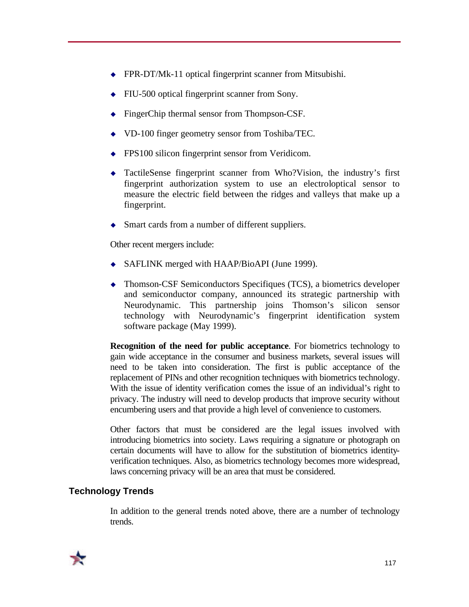- $\triangle$  FPR-DT/Mk-11 optical fingerprint scanner from Mitsubishi.
- FIU-500 optical fingerprint scanner from Sony.
- FingerChip thermal sensor from Thompson-CSF.
- $\bullet$  VD-100 finger geometry sensor from Toshiba/TEC.
- $\leftarrow$  FPS100 silicon fingerprint sensor from Veridicom.
- $\triangleleft$  TactileSense fingerprint scanner from Who?Vision, the industry's first fingerprint authorization system to use an electroloptical sensor to measure the electric field between the ridges and valleys that make up a fingerprint.
- Smart cards from a number of different suppliers.

Other recent mergers include:

- $\blacklozenge$  SAFLINK merged with HAAP/BioAPI (June 1999).
- $\bullet$  Thomson-CSF Semiconductors Specifiques (TCS), a biometrics developer and semiconductor company, announced its strategic partnership with Neurodynamic. This partnership joins Thomson's silicon sensor technology with Neurodynamic's fingerprint identification system software package (May 1999).

**Recognition of the need for public acceptance**. For biometrics technology to gain wide acceptance in the consumer and business markets, several issues will need to be taken into consideration. The first is public acceptance of the replacement of PINs and other recognition techniques with biometrics technology. With the issue of identity verification comes the issue of an individual's right to privacy. The industry will need to develop products that improve security without encumbering users and that provide a high level of convenience to customers.

Other factors that must be considered are the legal issues involved with introducing biometrics into society. Laws requiring a signature or photograph on certain documents will have to allow for the substitution of biometrics identityverification techniques. Also, as biometrics technology becomes more widespread, laws concerning privacy will be an area that must be considered.

## **Technology Trends**

In addition to the general trends noted above, there are a number of technology trends.

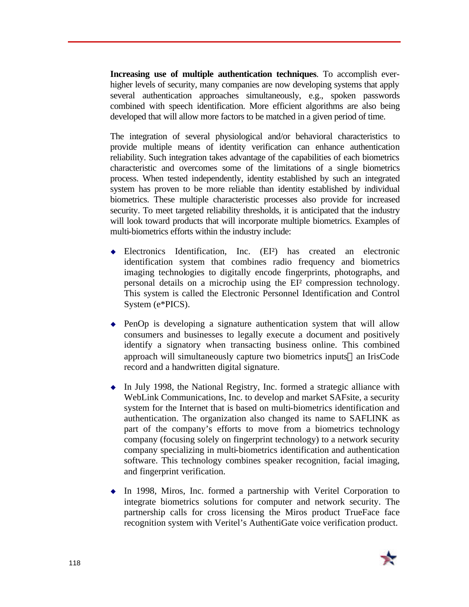**Increasing use of multiple authentication techniques**. To accomplish everhigher levels of security, many companies are now developing systems that apply several authentication approaches simultaneously, e.g., spoken passwords combined with speech identification. More efficient algorithms are also being developed that will allow more factors to be matched in a given period of time.

The integration of several physiological and/or behavioral characteristics to provide multiple means of identity verification can enhance authentication reliability. Such integration takes advantage of the capabilities of each biometrics characteristic and overcomes some of the limitations of a single biometrics process. When tested independently, identity established by such an integrated system has proven to be more reliable than identity established by individual biometrics. These multiple characteristic processes also provide for increased security. To meet targeted reliability thresholds, it is anticipated that the industry will look toward products that will incorporate multiple biometrics. Examples of multi-biometrics efforts within the industry include:

- <sup>u</sup> Electronics Identification, Inc. (EI²) has created an electronic identification system that combines radio frequency and biometrics imaging technologies to digitally encode fingerprints, photographs, and personal details on a microchip using the EI² compression technology. This system is called the Electronic Personnel Identification and Control System (e\*PICS).
- $\rightarrow$  PenOp is developing a signature authentication system that will allow consumers and businesses to legally execute a document and positively identify a signatory when transacting business online. This combined approach will simultaneously capture two biometrics inputs—an IrisCode record and a handwritten digital signature.
- $\bullet$  In July 1998, the National Registry, Inc. formed a strategic alliance with WebLink Communications, Inc. to develop and market SAFsite, a security system for the Internet that is based on multi-biometrics identification and authentication. The organization also changed its name to SAFLINK as part of the company's efforts to move from a biometrics technology company (focusing solely on fingerprint technology) to a network security company specializing in multi-biometrics identification and authentication software. This technology combines speaker recognition, facial imaging, and fingerprint verification.
- $\bullet$  In 1998, Miros, Inc. formed a partnership with Veritel Corporation to integrate biometrics solutions for computer and network security. The partnership calls for cross licensing the Miros product TrueFace face recognition system with Veritel's AuthentiGate voice verification product.

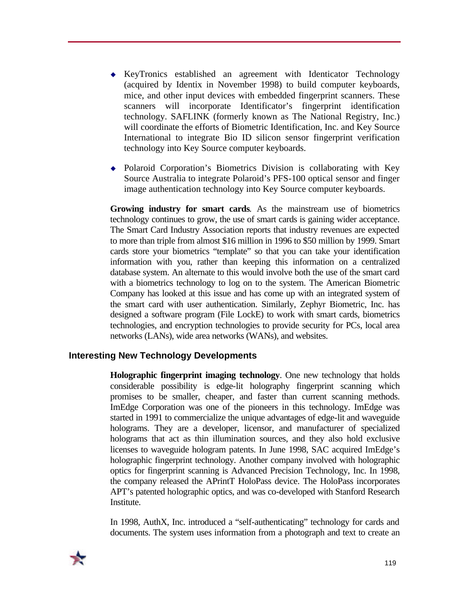- KeyTronics established an agreement with Identicator Technology (acquired by Identix in November 1998) to build computer keyboards, mice, and other input devices with embedded fingerprint scanners. These scanners will incorporate Identificator's fingerprint identification technology. SAFLINK (formerly known as The National Registry, Inc.) will coordinate the efforts of Biometric Identification, Inc. and Key Source International to integrate Bio ID silicon sensor fingerprint verification technology into Key Source computer keyboards.
- $\bullet$  Polaroid Corporation's Biometrics Division is collaborating with Key Source Australia to integrate Polaroid's PFS-100 optical sensor and finger image authentication technology into Key Source computer keyboards.

**Growing industry for smart cards**. As the mainstream use of biometrics technology continues to grow, the use of smart cards is gaining wider acceptance. The Smart Card Industry Association reports that industry revenues are expected to more than triple from almost \$16 million in 1996 to \$50 million by 1999. Smart cards store your biometrics "template" so that you can take your identification information with you, rather than keeping this information on a centralized database system. An alternate to this would involve both the use of the smart card with a biometrics technology to log on to the system. The American Biometric Company has looked at this issue and has come up with an integrated system of the smart card with user authentication. Similarly, Zephyr Biometric, Inc. has designed a software program (File LockE) to work with smart cards, biometrics technologies, and encryption technologies to provide security for PCs, local area networks (LANs), wide area networks (WANs), and websites.

### **Interesting New Technology Developments**

**Holographic fingerprint imaging technology**. One new technology that holds considerable possibility is edge-lit holography fingerprint scanning which promises to be smaller, cheaper, and faster than current scanning methods. ImEdge Corporation was one of the pioneers in this technology. ImEdge was started in 1991 to commercialize the unique advantages of edge-lit and waveguide holograms. They are a developer, licensor, and manufacturer of specialized holograms that act as thin illumination sources, and they also hold exclusive licenses to waveguide hologram patents. In June 1998, SAC acquired ImEdge's holographic fingerprint technology. Another company involved with holographic optics for fingerprint scanning is Advanced Precision Technology, Inc. In 1998, the company released the APrintT HoloPass device. The HoloPass incorporates APT's patented holographic optics, and was co-developed with Stanford Research Institute.

In 1998, AuthX, Inc. introduced a "self-authenticating" technology for cards and documents. The system uses information from a photograph and text to create an